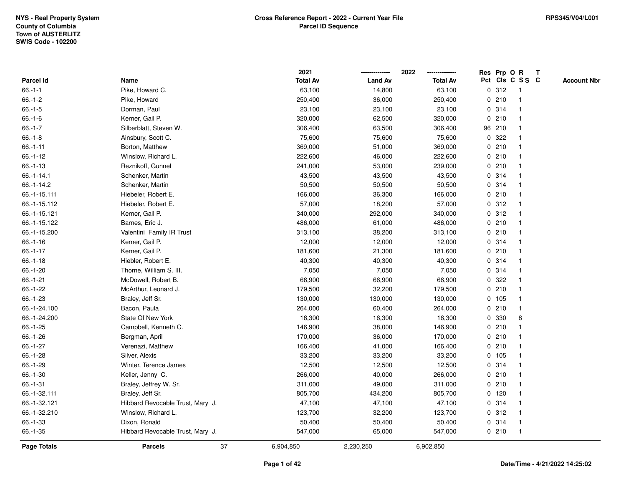|                 |                                  | 2021            |                | 2022            |             |         | Res Prp O R |                         | T |                    |
|-----------------|----------------------------------|-----------------|----------------|-----------------|-------------|---------|-------------|-------------------------|---|--------------------|
| Parcel Id       | Name                             | <b>Total Av</b> | <b>Land Av</b> | <b>Total Av</b> |             |         |             | Pct Cls C S S C         |   | <b>Account Nbr</b> |
| $66.-1-1$       | Pike, Howard C.                  | 63,100          | 14,800         | 63,100          | 0           | 312     |             | $\mathbf{1}$            |   |                    |
| $66.-1-2$       | Pike, Howard                     | 250,400         | 36,000         | 250,400         | 0           | 210     |             | -1                      |   |                    |
| $66.-1-5$       | Dorman, Paul                     | 23,100          | 23,100         | 23,100          |             | 0 314   |             | -1                      |   |                    |
| $66.-1-6$       | Kerner, Gail P.                  | 320,000         | 62,500         | 320,000         |             | 0210    |             |                         |   |                    |
| $66.-1-7$       | Silberblatt, Steven W.           | 306,400         | 63,500         | 306,400         |             | 96 210  |             |                         |   |                    |
| $66 - 1 - 8$    | Ainsbury, Scott C.               | 75,600          | 75,600         | 75,600          |             | 0 322   |             |                         |   |                    |
| $66.-1-11$      | Borton, Matthew                  | 369,000         | 51,000         | 369,000         |             | 0210    |             |                         |   |                    |
| $66.-1-12$      | Winslow, Richard L.              | 222,600         | 46,000         | 222,600         | 0           | 210     |             | $\overline{\mathbf{1}}$ |   |                    |
| $66.-1-13$      | Reznikoff, Gunnel                | 241,000         | 53,000         | 239,000         |             | 0210    |             | $\mathbf{1}$            |   |                    |
| $66 - 1 - 14.1$ | Schenker, Martin                 | 43,500          | 43,500         | 43,500          |             | 0 314   |             | $\mathbf{1}$            |   |                    |
| 66.-1-14.2      | Schenker, Martin                 | 50,500          | 50,500         | 50,500          |             | 0 314   |             |                         |   |                    |
| 66.-1-15.111    | Hiebeler, Robert E.              | 166,000         | 36,300         | 166,000         |             | 0210    |             |                         |   |                    |
| 66.-1-15.112    | Hiebeler, Robert E.              | 57,000          | 18,200         | 57,000          |             | 0.312   |             |                         |   |                    |
| 66.-1-15.121    | Kerner, Gail P.                  | 340,000         | 292,000        | 340,000         |             | 0.312   |             |                         |   |                    |
| 66.-1-15.122    | Barnes, Eric J.                  | 486,000         | 61,000         | 486,000         | $\mathbf 0$ | 210     |             | -1                      |   |                    |
| 66.-1-15.200    | Valentini Family IR Trust        | 313,100         | 38,200         | 313,100         | $\mathbf 0$ | 210     |             | $\mathbf{1}$            |   |                    |
| $66.-1-16$      | Kerner, Gail P.                  | 12,000          | 12,000         | 12,000          |             | 0.314   |             | $\mathbf{1}$            |   |                    |
| $66.-1-17$      | Kerner, Gail P.                  | 181,600         | 21,300         | 181,600         |             | 0210    |             |                         |   |                    |
| $66.-1-18$      | Hiebler, Robert E.               | 40,300          | 40,300         | 40,300          |             | 0.314   |             |                         |   |                    |
| 66.-1-20        | Thorne, William S. III.          | 7,050           | 7,050          | 7,050           |             | 0.314   |             |                         |   |                    |
| $66.-1-21$      | McDowell, Robert B.              | 66,900          | 66,900         | 66,900          |             | 0.322   |             |                         |   |                    |
| $66.-1-22$      | McArthur, Leonard J.             | 179,500         | 32,200         | 179,500         |             | 0210    |             |                         |   |                    |
| 66.-1-23        | Braley, Jeff Sr.                 | 130,000         | 130,000        | 130,000         |             | 0, 105  |             | -1                      |   |                    |
| 66.-1-24.100    | Bacon, Paula                     | 264,000         | 60,400         | 264,000         | $\mathbf 0$ | 210     |             | $\mathbf{1}$            |   |                    |
| 66.-1-24.200    | State Of New York                | 16,300          | 16,300         | 16,300          |             | 0 330   |             | 8                       |   |                    |
| $66.-1-25$      | Campbell, Kenneth C.             | 146,900         | 38,000         | 146,900         |             | 0210    |             |                         |   |                    |
| 66.-1-26        | Bergman, April                   | 170,000         | 36,000         | 170,000         |             | 0210    |             |                         |   |                    |
| $66.-1-27$      | Verenazi, Matthew                | 166,400         | 41,000         | 166,400         |             | 0210    |             |                         |   |                    |
| 66.-1-28        | Silver, Alexis                   | 33,200          | 33,200         | 33,200          |             | 0 105   |             |                         |   |                    |
| $66.-1-29$      | Winter, Terence James            | 12,500          | 12,500         | 12,500          | 0           | 314     |             | -1                      |   |                    |
| $66.-1-30$      | Keller, Jenny C.                 | 266,000         | 40,000         | 266,000         | 0           | 210     |             | -1                      |   |                    |
| $66.-1-31$      | Braley, Jeffrey W. Sr.           | 311,000         | 49,000         | 311,000         |             | 0210    |             | -1                      |   |                    |
| 66.-1-32.111    | Braley, Jeff Sr.                 | 805,700         | 434,200        | 805,700         |             | $0$ 120 |             |                         |   |                    |
| 66.-1-32.121    | Hibbard Revocable Trust, Mary J. | 47,100          | 47,100         | 47,100          |             | 0 314   |             |                         |   |                    |
| 66.-1-32.210    | Winslow, Richard L.              | 123,700         | 32,200         | 123,700         |             | 0.312   |             | $\mathbf{1}$            |   |                    |
| $66.-1-33$      | Dixon, Ronald                    | 50,400          | 50,400         | 50,400          |             | 0.314   |             | -1                      |   |                    |
| $66.-1-35$      | Hibbard Revocable Trust, Mary J. | 547,000         | 65,000         | 547,000         |             | 0210    |             | $\mathbf{1}$            |   |                    |
| Page Totals     | 37<br><b>Parcels</b>             | 6,904,850       | 2,230,250      | 6,902,850       |             |         |             |                         |   |                    |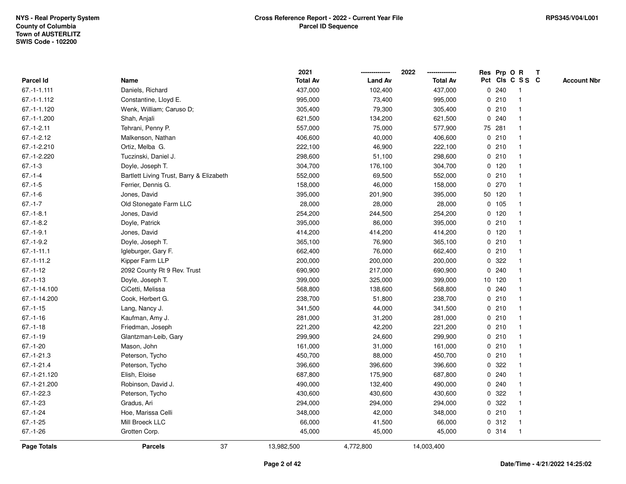|                   |                                          | 2021            |                | 2022            |             |         | Res Prp O R     | $\mathbf{T}$ |                    |
|-------------------|------------------------------------------|-----------------|----------------|-----------------|-------------|---------|-----------------|--------------|--------------------|
| Parcel Id         | Name                                     | <b>Total Av</b> | <b>Land Av</b> | <b>Total Av</b> |             |         | Pct Cls C S S C |              | <b>Account Nbr</b> |
| $67. - 1 - 1.111$ | Daniels, Richard                         | 437,000         | 102,400        | 437,000         |             | 0.240   |                 |              |                    |
| 67.-1-1.112       | Constantine, Lloyd E.                    | 995,000         | 73,400         | 995,000         |             | 0210    |                 |              |                    |
| 67.-1-1.120       | Wenk, William; Caruso D;                 | 305,400         | 79,300         | 305,400         |             | 0210    | -1              |              |                    |
| 67.-1-1.200       | Shah, Anjali                             | 621,500         | 134,200        | 621,500         | $\mathbf 0$ | 240     | $\mathbf{1}$    |              |                    |
| $67.-1-2.11$      | Tehrani, Penny P.                        | 557,000         | 75,000         | 577,900         |             | 75 281  | $\mathbf 1$     |              |                    |
| $67.-1-2.12$      | Malkenson, Nathan                        | 406,600         | 40,000         | 406,600         |             | 0210    | $\mathbf 1$     |              |                    |
| 67.-1-2.210       | Ortiz, Melba G.                          | 222,100         | 46,900         | 222,100         |             | 0210    |                 |              |                    |
| 67.-1-2.220       | Tuczinski, Daniel J.                     | 298,600         | 51,100         | 298,600         |             | 0210    |                 |              |                    |
| $67 - 1 - 3$      | Doyle, Joseph T.                         | 304,700         | 176,100        | 304,700         |             | $0$ 120 |                 |              |                    |
| $67 - 1 - 4$      | Bartlett Living Trust, Barry & Elizabeth | 552,000         | 69,500         | 552,000         |             | 0210    |                 |              |                    |
| $67 - 1 - 5$      | Ferrier, Dennis G.                       | 158,000         | 46,000         | 158,000         |             | 0270    | -1              |              |                    |
| $67 - 1 - 6$      | Jones, David                             | 395,000         | 201,900        | 395,000         |             | 50 120  | $\mathbf{1}$    |              |                    |
| $67.-1-7$         | Old Stonegate Farm LLC                   | 28,000          | 28,000         | 28,000          |             | 0 105   |                 |              |                    |
| $67.-1-8.1$       | Jones, David                             | 254,200         | 244,500        | 254,200         |             | $0$ 120 |                 |              |                    |
| $67.-1-8.2$       | Doyle, Patrick                           | 395,000         | 86,000         | 395,000         |             | 0210    |                 |              |                    |
| $67.-1-9.1$       | Jones, David                             | 414,200         | 414,200        | 414,200         |             | $0$ 120 |                 |              |                    |
| $67.-1-9.2$       | Doyle, Joseph T.                         | 365,100         | 76,900         | 365,100         | $\mathbf 0$ | 210     |                 |              |                    |
| $67 - 1 - 11.1$   | Igleburger, Gary F.                      | 662,400         | 76,000         | 662,400         |             | 0210    | -1              |              |                    |
| $67.-1-11.2$      | Kipper Farm LLP                          | 200,000         | 200,000        | 200,000         |             | 0.322   | -1              |              |                    |
| $67 - 1 - 12$     | 2092 County Rt 9 Rev. Trust              | 690,900         | 217,000        | 690,900         |             | 0.240   |                 |              |                    |
| $67 - 1 - 13$     | Doyle, Joseph T.                         | 399,000         | 325,000        | 399,000         |             | 10 120  |                 |              |                    |
| 67.-1-14.100      | CiCetti, Melissa                         | 568,800         | 138,600        | 568,800         |             | 0.240   |                 |              |                    |
| 67.-1-14.200      | Cook, Herbert G.                         | 238,700         | 51,800         | 238,700         |             | 0210    |                 |              |                    |
| $67.-1-15$        | Lang, Nancy J.                           | 341,500         | 44,000         | 341,500         |             | 0210    | $\mathbf{1}$    |              |                    |
| $67 - 1 - 16$     | Kaufman, Amy J.                          | 281,000         | 31,200         | 281,000         |             | 0210    |                 |              |                    |
| $67 - 1 - 18$     | Friedman, Joseph                         | 221,200         | 42,200         | 221,200         |             | 0210    | $\mathbf 1$     |              |                    |
| $67.-1-19$        | Glantzman-Leib, Gary                     | 299,900         | 24,600         | 299,900         |             | 0210    |                 |              |                    |
| $67.-1-20$        | Mason, John                              | 161,000         | 31,000         | 161,000         |             | 0210    |                 |              |                    |
| $67.-1-21.3$      | Peterson, Tycho                          | 450,700         | 88,000         | 450,700         |             | 0210    |                 |              |                    |
| $67.-1-21.4$      | Peterson, Tycho                          | 396,600         | 396,600        | 396,600         | 0           | 322     |                 |              |                    |
| 67.-1-21.120      | Elish, Eloise                            | 687,800         | 175,900        | 687,800         | 0           | 240     |                 |              |                    |
| 67.-1-21.200      | Robinson, David J.                       | 490,000         | 132,400        | 490,000         |             | 0.240   | $\mathbf 1$     |              |                    |
| $67.-1-22.3$      | Peterson, Tycho                          | 430,600         | 430,600        | 430,600         |             | 0.322   |                 |              |                    |
| $67 - 1 - 23$     | Gradus, Ari                              | 294,000         | 294,000        | 294,000         |             | 0.322   |                 |              |                    |
| $67 - 1 - 24$     | Hoe, Marissa Celli                       | 348,000         | 42,000         | 348,000         |             | 0210    |                 |              |                    |
| $67.-1-25$        | Mill Broeck LLC                          | 66,000          | 41,500         | 66,000          |             | 0.312   | $\mathbf{1}$    |              |                    |
| $67 - 1 - 26$     | Grotten Corp.                            | 45,000          | 45,000         | 45,000          |             | 0.314   | -1              |              |                    |
| Page Totals       | 37<br><b>Parcels</b>                     | 13,982,500      | 4,772,800      | 14,003,400      |             |         |                 |              |                    |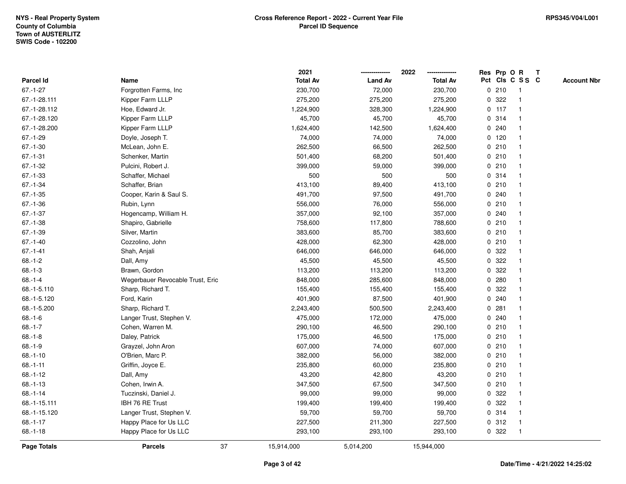|               |                                  |    | 2021            |                | 2022            |             |         | Res Prp O R             | $\mathbf{T}$ |                    |
|---------------|----------------------------------|----|-----------------|----------------|-----------------|-------------|---------|-------------------------|--------------|--------------------|
| Parcel Id     | Name                             |    | <b>Total Av</b> | <b>Land Av</b> | <b>Total Av</b> |             |         | Pct Cls C S S C         |              | <b>Account Nbr</b> |
| $67.-1-27$    | Forgrotten Farms, Inc.           |    | 230,700         | 72,000         | 230,700         |             | 0210    | -1                      |              |                    |
| 67.-1-28.111  | Kipper Farm LLLP                 |    | 275,200         | 275,200        | 275,200         | 0           | 322     |                         |              |                    |
| 67.-1-28.112  | Hoe, Edward Jr.                  |    | 1,224,900       | 328,300        | 1,224,900       |             | $0$ 117 | -1                      |              |                    |
| 67.-1-28.120  | Kipper Farm LLLP                 |    | 45,700          | 45,700         | 45,700          |             | 0.314   | -1                      |              |                    |
| 67.-1-28.200  | Kipper Farm LLLP                 |    | 1,624,400       | 142,500        | 1,624,400       |             | 0.240   | -1                      |              |                    |
| $67.-1-29$    | Doyle, Joseph T.                 |    | 74,000          | 74,000         | 74,000          |             | $0$ 120 | -1                      |              |                    |
| $67.-1-30$    | McLean, John E.                  |    | 262,500         | 66,500         | 262,500         |             | 0210    |                         |              |                    |
| $67 - 1 - 31$ | Schenker, Martin                 |    | 501,400         | 68,200         | 501,400         |             | 0210    |                         |              |                    |
| $67.-1-32$    | Pulcini, Robert J.               |    | 399,000         | 59,000         | 399,000         |             | 0210    | -1                      |              |                    |
| $67 - 1 - 33$ | Schaffer, Michael                |    | 500             | 500            | 500             |             | 0.314   |                         |              |                    |
| $67 - 1 - 34$ | Schaffer, Brian                  |    | 413,100         | 89,400         | 413,100         |             | 0210    | -1                      |              |                    |
| $67 - 1 - 35$ | Cooper, Karin & Saul S.          |    | 491,700         | 97,500         | 491,700         |             | 0.240   | -1                      |              |                    |
| $67.-1-36$    | Rubin, Lynn                      |    | 556,000         | 76,000         | 556,000         |             | 0210    |                         |              |                    |
| $67.-1-37$    | Hogencamp, William H.            |    | 357,000         | 92,100         | 357,000         |             | 0.240   |                         |              |                    |
| $67.-1-38$    | Shapiro, Gabrielle               |    | 758,600         | 117,800        | 788,600         |             | 0210    |                         |              |                    |
| $67.-1-39$    | Silver, Martin                   |    | 383,600         | 85,700         | 383,600         |             | 0210    |                         |              |                    |
| $67.-1-40$    | Cozzolino, John                  |    | 428,000         | 62,300         | 428,000         | 0           | 210     | -1                      |              |                    |
| $67 - 1 - 41$ | Shah, Anjali                     |    | 646,000         | 646,000        | 646,000         | 0           | 322     |                         |              |                    |
| $68.-1-2$     | Dall, Amy                        |    | 45,500          | 45,500         | 45,500          |             | 0 322   | -1                      |              |                    |
| $68.-1-3$     | Brawn, Gordon                    |    | 113,200         | 113,200        | 113,200         |             | 0.322   |                         |              |                    |
| $68.-1-4$     | Wegerbauer Revocable Trust, Eric |    | 848,000         | 285,600        | 848,000         |             | 0.280   |                         |              |                    |
| 68.-1-5.110   | Sharp, Richard T.                |    | 155,400         | 155,400        | 155,400         |             | 0.322   |                         |              |                    |
| 68.-1-5.120   | Ford, Karin                      |    | 401,900         | 87,500         | 401,900         |             | 0.240   |                         |              |                    |
| 68.-1-5.200   | Sharp, Richard T.                |    | 2,243,400       | 500,500        | 2,243,400       | 0           | 281     | -1                      |              |                    |
| $68 - 1 - 6$  | Langer Trust, Stephen V.         |    | 475,000         | 172,000        | 475,000         |             | 0.240   | $\mathbf 1$             |              |                    |
| $68.-1-7$     | Cohen, Warren M.                 |    | 290,100         | 46,500         | 290,100         |             | 0210    | -1                      |              |                    |
| $68 - 1 - 8$  | Daley, Patrick                   |    | 175,000         | 46,500         | 175,000         |             | 0210    |                         |              |                    |
| $68.-1-9$     | Grayzel, John Aron               |    | 607,000         | 74,000         | 607,000         |             | 0210    |                         |              |                    |
| $68.-1-10$    | O'Brien, Marc P.                 |    | 382,000         | 56,000         | 382,000         |             | 0210    | -1                      |              |                    |
| $68.-1-11$    | Griffin, Joyce E.                |    | 235,800         | 60,000         | 235,800         | $\mathbf 0$ | 210     | $\overline{\mathbf{1}}$ |              |                    |
| $68.-1-12$    | Dall, Amy                        |    | 43,200          | 42,800         | 43,200          |             | 0210    | -1                      |              |                    |
| $68.-1-13$    | Cohen, Irwin A.                  |    | 347,500         | 67,500         | 347,500         |             | 0210    | $\mathbf 1$             |              |                    |
| $68.-1-14$    | Tuczinski, Daniel J.             |    | 99,000          | 99,000         | 99,000          |             | 0.322   |                         |              |                    |
| 68.-1-15.111  | IBH 76 RE Trust                  |    | 199,400         | 199,400        | 199,400         |             | 0.322   |                         |              |                    |
| 68.-1-15.120  | Langer Trust, Stephen V.         |    | 59,700          | 59,700         | 59,700          |             | 0.314   |                         |              |                    |
| $68.-1-17$    | Happy Place for Us LLC           |    | 227,500         | 211,300        | 227,500         | 0           | 312     | -1                      |              |                    |
| $68.-1-18$    | Happy Place for Us LLC           |    | 293,100         | 293,100        | 293,100         |             | 0.322   | -1                      |              |                    |
| Page Totals   | <b>Parcels</b>                   | 37 | 15,914,000      | 5,014,200      | 15,944,000      |             |         |                         |              |                    |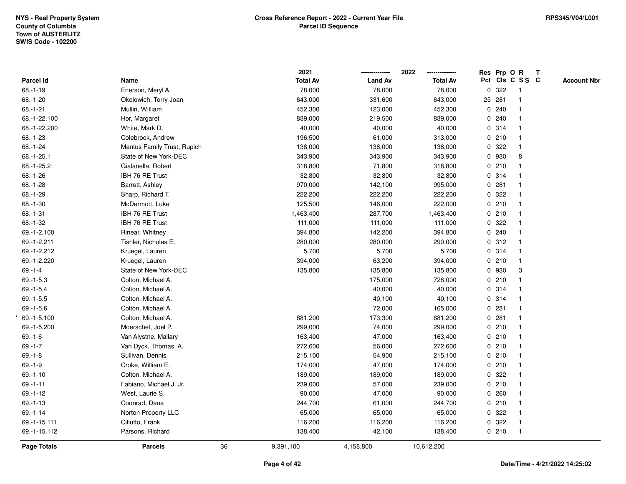|                  |                             | 2021            |                | 2022            | Res Prp O R |                 | $\mathbf{T}$ |                    |
|------------------|-----------------------------|-----------------|----------------|-----------------|-------------|-----------------|--------------|--------------------|
| <b>Parcel Id</b> | Name                        | <b>Total Av</b> | <b>Land Av</b> | <b>Total Av</b> |             | Pct Cls C S S C |              | <b>Account Nbr</b> |
| $68.-1-19$       | Enerson, Meryl A.           | 78,000          | 78,000         | 78,000          | 0.322       | $\mathbf 1$     |              |                    |
| 68.-1-20         | Okolowich, Terry Joan       | 643,000         | 331,600        | 643,000         | 25 281      | 1               |              |                    |
| $68.-1-21$       | Mullin, William             | 452,300         | 123,000        | 452,300         | 0.240       | $\mathbf{1}$    |              |                    |
| 68.-1-22.100     | Hor, Margaret               | 839,000         | 219,500        | 839,000         | 0.240       | $\mathbf{1}$    |              |                    |
| 68.-1-22.200     | White, Mark D.              | 40,000          | 40,000         | 40,000          | 0 314       | $\mathbf{1}$    |              |                    |
| 68.-1-23         | Colebrook, Andrew           | 196,500         | 61,000         | 313,000         | 0210        | $\mathbf{1}$    |              |                    |
| 68.-1-24         | Mantus Family Trust, Rupich | 138,000         | 138,000        | 138,000         | 0.322       | $\mathbf{1}$    |              |                    |
| $68.-1-25.1$     | State of New York-DEC       | 343,900         | 343,900        | 343,900         | 0 930       | 8               |              |                    |
| 68.-1-25.2       | Gialanella, Robert          | 318,800         | 71,800         | 318,800         | 0210        | $\mathbf{1}$    |              |                    |
| $68.-1-26$       | IBH 76 RE Trust             | 32,800          | 32,800         | 32,800          | 0 314       | $\mathbf{1}$    |              |                    |
| 68.-1-28         | Barrett, Ashley             | 970,000         | 142,100        | 995,000         | 0.281       | $\mathbf{1}$    |              |                    |
| 68.-1-29         | Sharp, Richard T.           | 222,200         | 222,200        | 222,200         | 0.322       | $\mathbf{1}$    |              |                    |
| $68.-1-30$       | McDermott, Luke             | 125,500         | 146,000        | 222,000         | 0210        | $\mathbf{1}$    |              |                    |
| $68.-1-31$       | IBH 76 RE Trust             | 1,463,400       | 287,700        | 1,463,400       | 0210        | 1               |              |                    |
| 68.-1-32         | IBH 76 RE Trust             | 111,000         | 111,000        | 111,000         | 0 322       | 1               |              |                    |
| 69.-1-2.100      | Rinear, Whitney             | 394,800         | 142,200        | 394,800         | 0.240       | $\mathbf{1}$    |              |                    |
| 69.-1-2.211      | Tishler, Nicholas E.        | 280,000         | 280,000        | 290,000         | 0.312       | $\mathbf{1}$    |              |                    |
| 69.-1-2.212      | Kruegel, Lauren             | 5,700           | 5,700          | 5,700           | 0 314       | $\mathbf{1}$    |              |                    |
| 69.-1-2.220      | Kruegel, Lauren             | 394,000         | 63,200         | 394,000         | 0210        | $\mathbf{1}$    |              |                    |
| $69 - 1 - 4$     | State of New York-DEC       | 135,800         | 135,800        | 135,800         | 0 930       | 3               |              |                    |
| $69.-1-5.3$      | Colton, Michael A.          |                 | 175,000        | 728,000         | 0210        |                 |              |                    |
| $69.-1-5.4$      | Colton, Michael A.          |                 | 40,000         | 40,000          | 0 314       | 1               |              |                    |
| $69.-1-5.5$      | Colton, Michael A.          |                 | 40,100         | 40,100          | 0 314       | $\mathbf{1}$    |              |                    |
| $69.-1-5.6$      | Colton, Michael A.          |                 | 72,000         | 165,000         | 0.281       | $\mathbf{1}$    |              |                    |
| 69.-1-5.100      | Colton, Michael A.          | 681,200         | 173,300        | 681,200         | 0.281       | $\mathbf{1}$    |              |                    |
| 69.-1-5.200      | Moerschel, Joel P.          | 299,000         | 74,000         | 299,000         | 0210        | $\mathbf{1}$    |              |                    |
| $69.-1-6$        | Van Alystne, Mallary        | 163,400         | 47,000         | 163,400         | 0210        | 1               |              |                    |
| $69 - 1 - 7$     | Van Dyck, Thomas A.         | 272,600         | 56,000         | 272,600         | 0210        |                 |              |                    |
| $69.-1-8$        | Sullivan, Dennis            | 215,100         | 54,900         | 215,100         | 0210        | $\mathbf{1}$    |              |                    |
| $69.-1-9$        | Croke, William E.           | 174,000         | 47,000         | 174,000         | 0210        | $\mathbf{1}$    |              |                    |
| $69.-1-10$       | Colton, Michael A.          | 189,000         | 189,000        | 189,000         | 0.322       | $\mathbf{1}$    |              |                    |
| $69.-1-11$       | Fabiano, Michael J. Jr.     | 239,000         | 57,000         | 239,000         | 0210        | $\mathbf{1}$    |              |                    |
| $69.-1-12$       | West, Laurie S.             | 90,000          | 47,000         | 90,000          | 0.260       | $\mathbf{1}$    |              |                    |
| $69.-1-13$       | Coonrad, Dana               | 244,700         | 61,000         | 244,700         | 0210        | 1               |              |                    |
| $69. - 1 - 14$   | Norton Property LLC         | 65,000          | 65,000         | 65,000          | 0.322       | $\mathbf{1}$    |              |                    |
| 69.-1-15.111     | Cilluffo, Frank             | 116,200         | 116,200        | 116,200         | 0 322       | $\mathbf{1}$    |              |                    |
| 69.-1-15.112     | Parsons, Richard            | 138,400         | 42,100         | 138,400         | 0210        | $\mathbf{1}$    |              |                    |
| Page Totals      | <b>Parcels</b>              | 36<br>9,391,100 | 4,158,800      | 10,612,200      |             |                 |              |                    |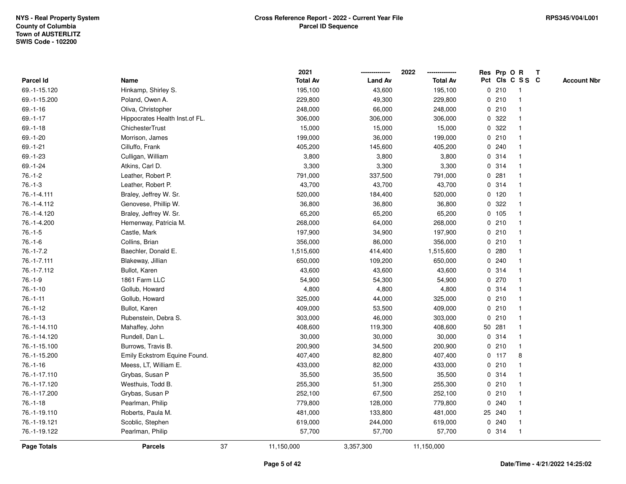|                    |                                 |    | 2021            |                | 2022            |             |         | Res Prp O R             | $\mathbf{T}$ |                    |
|--------------------|---------------------------------|----|-----------------|----------------|-----------------|-------------|---------|-------------------------|--------------|--------------------|
| Parcel Id          | Name                            |    | <b>Total Av</b> | <b>Land Av</b> | <b>Total Av</b> |             |         | Pct Cls C S S C         |              | <b>Account Nbr</b> |
| 69.-1-15.120       | Hinkamp, Shirley S.             |    | 195,100         | 43,600         | 195,100         |             | 0210    | -1                      |              |                    |
| 69.-1-15.200       | Poland, Owen A.                 |    | 229,800         | 49,300         | 229,800         |             | 0210    |                         |              |                    |
| $69.-1-16$         | Oliva, Christopher              |    | 248,000         | 66,000         | 248,000         |             | 0210    | -1                      |              |                    |
| $69. - 1 - 17$     | Hippocrates Health Inst. of FL. |    | 306,000         | 306,000        | 306,000         | $\mathbf 0$ | 322     | $\mathbf{1}$            |              |                    |
| $69.-1-18$         | <b>ChichesterTrust</b>          |    | 15,000          | 15,000         | 15,000          | 0           | 322     | $\mathbf{1}$            |              |                    |
| 69.-1-20           | Morrison, James                 |    | 199,000         | 36,000         | 199,000         |             | 0210    | -1                      |              |                    |
| $69.-1-21$         | Cilluffo, Frank                 |    | 405,200         | 145,600        | 405,200         |             | 0.240   |                         |              |                    |
| 69.-1-23           | Culligan, William               |    | 3,800           | 3,800          | 3,800           |             | 0.314   |                         |              |                    |
| 69.-1-24           | Atkins, Carl D.                 |    | 3,300           | 3,300          | 3,300           |             | 0.314   | $\overline{\mathbf{1}}$ |              |                    |
| $76.-1-2$          | Leather, Robert P.              |    | 791,000         | 337,500        | 791,000         |             | 0.281   |                         |              |                    |
| $76.-1-3$          | Leather, Robert P.              |    | 43,700          | 43,700         | 43,700          |             | 0.314   | $\mathbf{1}$            |              |                    |
| 76.-1-4.111        | Braley, Jeffrey W. Sr.          |    | 520,000         | 184,400        | 520,000         |             | $0$ 120 | $\mathbf{1}$            |              |                    |
| 76.-1-4.112        | Genovese, Phillip W.            |    | 36,800          | 36,800         | 36,800          |             | 0.322   | -1                      |              |                    |
| 76.-1-4.120        | Braley, Jeffrey W. Sr.          |    | 65,200          | 65,200         | 65,200          |             | 0 105   |                         |              |                    |
| 76.-1-4.200        | Hemenway, Patricia M.           |    | 268,000         | 64,000         | 268,000         |             | 0210    |                         |              |                    |
| $76.-1-5$          | Castle, Mark                    |    | 197,900         | 34,900         | 197,900         |             | 0210    | -1                      |              |                    |
| $76.-1-6$          | Collins, Brian                  |    | 356,000         | 86,000         | 356,000         |             | 0210    | $\overline{\mathbf{1}}$ |              |                    |
| $76. - 1 - 7.2$    | Baechler, Donald E.             |    | 1,515,600       | 414,400        | 1,515,600       | 0           | 280     | -1                      |              |                    |
| 76.-1-7.111        | Blakeway, Jillian               |    | 650,000         | 109,200        | 650,000         |             | 0.240   | $\mathbf 1$             |              |                    |
| 76.-1-7.112        | Bullot, Karen                   |    | 43,600          | 43,600         | 43,600          |             | 0.314   |                         |              |                    |
| $76.-1-9$          | 1861 Farm LLC                   |    | 54,900          | 54,300         | 54,900          |             | 0270    |                         |              |                    |
| $76.-1-10$         | Gollub, Howard                  |    | 4,800           | 4,800          | 4,800           |             | 0.314   |                         |              |                    |
| $76.-1-11$         | Gollub, Howard                  |    | 325,000         | 44,000         | 325,000         |             | 0210    | -1                      |              |                    |
| $76.-1-12$         | Bullot, Karen                   |    | 409,000         | 53,500         | 409,000         |             | 0210    | $\mathbf{1}$            |              |                    |
| $76.-1-13$         | Rubenstein, Debra S.            |    | 303,000         | 46,000         | 303,000         |             | 0210    | $\mathbf 1$             |              |                    |
| 76.-1-14.110       | Mahaffey, John                  |    | 408,600         | 119,300        | 408,600         |             | 50 281  | $\mathbf 1$             |              |                    |
| 76.-1-14.120       | Rundell, Dan L.                 |    | 30,000          | 30,000         | 30,000          |             | 0.314   |                         |              |                    |
| 76.-1-15.100       | Burrows, Travis B.              |    | 200,900         | 34,500         | 200,900         |             | 0210    |                         |              |                    |
| 76.-1-15.200       | Emily Eckstrom Equine Found.    |    | 407,400         | 82,800         | 407,400         |             | $0$ 117 | 8                       |              |                    |
| $76.-1-16$         | Meess, LT, William E.           |    | 433,000         | 82,000         | 433,000         |             | 0210    | -1                      |              |                    |
| 76.-1-17.110       | Grybas, Susan P                 |    | 35,500          | 35,500         | 35,500          |             | 0.314   | $\mathbf{1}$            |              |                    |
| 76.-1-17.120       | Westhuis, Todd B.               |    | 255,300         | 51,300         | 255,300         |             | 0210    | $\mathbf 1$             |              |                    |
| 76.-1-17.200       | Grybas, Susan P                 |    | 252,100         | 67,500         | 252,100         |             | 0210    | $\mathbf 1$             |              |                    |
| $76.-1-18$         | Pearlman, Philip                |    | 779,800         | 128,000        | 779,800         |             | 0.240   |                         |              |                    |
| 76.-1-19.110       | Roberts, Paula M.               |    | 481,000         | 133,800        | 481,000         |             | 25 240  |                         |              |                    |
| 76.-1-19.121       | Scoblic, Stephen                |    | 619,000         | 244,000        | 619,000         |             | 0.240   | $\mathbf{1}$            |              |                    |
| 76.-1-19.122       | Pearlman, Philip                |    | 57,700          | 57,700         | 57,700          |             | 0.314   | -1                      |              |                    |
| <b>Page Totals</b> | <b>Parcels</b>                  | 37 | 11,150,000      | 3,357,300      | 11,150,000      |             |         |                         |              |                    |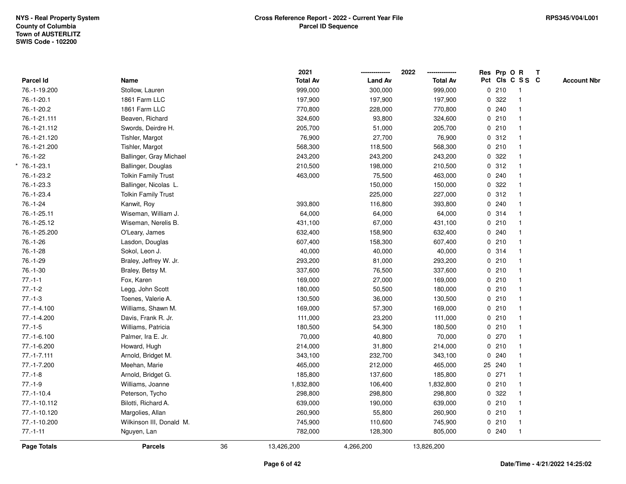|               |                            |    | 2021            |                | 2022            |              | Res Prp O R |                 | $\mathbf{T}$ |                    |
|---------------|----------------------------|----|-----------------|----------------|-----------------|--------------|-------------|-----------------|--------------|--------------------|
| Parcel Id     | Name                       |    | <b>Total Av</b> | <b>Land Av</b> | <b>Total Av</b> |              |             | Pct Cls C S S C |              | <b>Account Nbr</b> |
| 76.-1-19.200  | Stollow, Lauren            |    | 999,000         | 300,000        | 999,000         |              | 0210        | $\overline{1}$  |              |                    |
| 76.-1-20.1    | 1861 Farm LLC              |    | 197,900         | 197,900        | 197,900         |              | 0.322       | $\mathbf{1}$    |              |                    |
| 76.-1-20.2    | 1861 Farm LLC              |    | 770,800         | 228,000        | 770,800         |              | 0.240       | $\mathbf{1}$    |              |                    |
| 76.-1-21.111  | Beaven, Richard            |    | 324,600         | 93,800         | 324,600         |              | 0210        | $\mathbf 1$     |              |                    |
| 76.-1-21.112  | Swords, Deirdre H.         |    | 205,700         | 51,000         | 205,700         |              | 0210        |                 |              |                    |
| 76.-1-21.120  | Tishler, Margot            |    | 76,900          | 27,700         | 76,900          |              | 0.312       | $\mathbf{1}$    |              |                    |
| 76.-1-21.200  | Tishler, Margot            |    | 568,300         | 118,500        | 568,300         |              | 0210        | $\mathbf 1$     |              |                    |
| $76.-1-22$    | Ballinger, Gray Michael    |    | 243,200         | 243,200        | 243,200         | 0            | 322         | $\mathbf{1}$    |              |                    |
| 76.-1-23.1    | Ballinger, Douglas         |    | 210,500         | 198,000        | 210,500         |              | 0.312       | $\mathbf{1}$    |              |                    |
| 76.-1-23.2    | <b>Tolkin Family Trust</b> |    | 463,000         | 75,500         | 463,000         |              | 0.240       | 1               |              |                    |
| 76.-1-23.3    | Ballinger, Nicolas L.      |    |                 | 150,000        | 150,000         |              | 0.322       |                 |              |                    |
| 76.-1-23.4    | <b>Tolkin Family Trust</b> |    |                 | 225,000        | 227,000         |              | 0.312       |                 |              |                    |
| 76.-1-24      | Kanwit, Roy                |    | 393,800         | 116,800        | 393,800         |              | 0.240       |                 |              |                    |
| 76.-1-25.11   | Wiseman, William J.        |    | 64,000          | 64,000         | 64,000          |              | 0.314       | $\mathbf{1}$    |              |                    |
| 76.-1-25.12   | Wiseman, Nerelis B.        |    | 431,100         | 67,000         | 431,100         |              | 0210        | $\mathbf{1}$    |              |                    |
| 76.-1-25.200  | O'Leary, James             |    | 632,400         | 158,900        | 632,400         |              | 0.240       | $\mathbf{1}$    |              |                    |
| 76.-1-26      | Lasdon, Douglas            |    | 607,400         | 158,300        | 607,400         |              | 0210        | $\mathbf{1}$    |              |                    |
| 76.-1-28      | Sokol, Leon J.             |    | 40,000          | 40,000         | 40,000          |              | 0.314       |                 |              |                    |
| $76.-1-29$    | Braley, Jeffrey W. Jr.     |    | 293,200         | 81,000         | 293,200         |              | 0210        |                 |              |                    |
| $76.-1-30$    | Braley, Betsy M.           |    | 337,600         | 76,500         | 337,600         |              | 0210        | $\mathbf 1$     |              |                    |
| $77.-1-1$     | Fox, Karen                 |    | 169,000         | 27,000         | 169,000         |              | 0210        | $\mathbf{1}$    |              |                    |
| $77.-1-2$     | Legg, John Scott           |    | 180,000         | 50,500         | 180,000         |              | 0210        | $\mathbf{1}$    |              |                    |
| $77.-1-3$     | Toenes, Valerie A.         |    | 130,500         | 36,000         | 130,500         |              | 0210        | $\mathbf{1}$    |              |                    |
| 77.-1-4.100   | Williams, Shawn M.         |    | 169,000         | 57,300         | 169,000         |              | 0210        | $\mathbf 1$     |              |                    |
| 77.-1-4.200   | Davis, Frank R. Jr.        |    | 111,000         | 23,200         | 111,000         |              | 0210        |                 |              |                    |
| $77.-1-5$     | Williams, Patricia         |    | 180,500         | 54,300         | 180,500         |              | 0210        |                 |              |                    |
| 77.-1-6.100   | Palmer, Ira E. Jr.         |    | 70,000          | 40,800         | 70,000          |              | 0270        |                 |              |                    |
| 77.-1-6.200   | Howard, Hugh               |    | 214,000         | 31,800         | 214,000         |              | 0210        | $\mathbf{1}$    |              |                    |
| $77.-1-7.111$ | Arnold, Bridget M.         |    | 343,100         | 232,700        | 343,100         | $\mathbf{0}$ | 240         | $\mathbf{1}$    |              |                    |
| 77.-1-7.200   | Meehan, Marie              |    | 465,000         | 212,000        | 465,000         |              | 25 240      | $\mathbf{1}$    |              |                    |
| $77.-1-8$     | Arnold, Bridget G.         |    | 185,800         | 137,600        | 185,800         |              | $0$ 271     | 1               |              |                    |
| $77.-1-9$     | Williams, Joanne           |    | 1,832,800       | 106,400        | 1,832,800       |              | 0210        | $\mathbf 1$     |              |                    |
| $77.-1-10.4$  | Peterson, Tycho            |    | 298,800         | 298,800        | 298,800         |              | 0 322       |                 |              |                    |
| 77.-1-10.112  | Bilotti, Richard A.        |    | 639,000         | 190,000        | 639,000         |              | 0210        | $\mathbf{1}$    |              |                    |
| 77.-1-10.120  | Margolies, Allan           |    | 260,900         | 55,800         | 260,900         |              | 0210        | $\mathbf{1}$    |              |                    |
| 77.-1-10.200  | Wilkinson III, Donald M.   |    | 745,900         | 110,600        | 745,900         |              | 0210        | $\mathbf{1}$    |              |                    |
| $77.-1-11$    | Nguyen, Lan                |    | 782,000         | 128,300        | 805,000         |              | 0.240       | $\mathbf{1}$    |              |                    |
| Page Totals   | <b>Parcels</b>             | 36 | 13,426,200      | 4,266,200      | 13,826,200      |              |             |                 |              |                    |
|               |                            |    |                 |                |                 |              |             |                 |              |                    |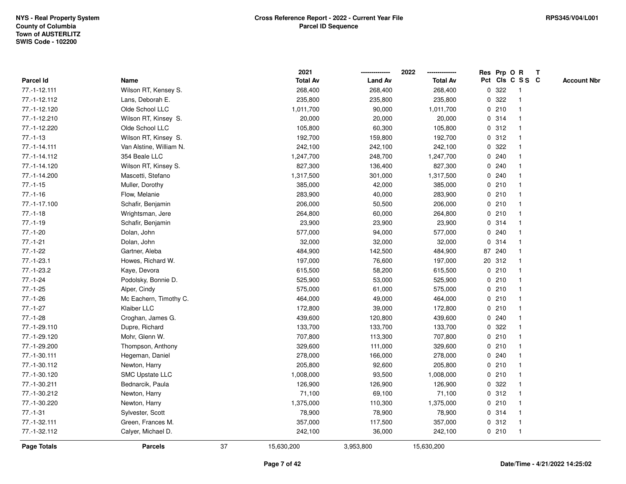|              |                         |    | 2021            |                | 2022            |             | Res Prp O R     |                         | T |                    |
|--------------|-------------------------|----|-----------------|----------------|-----------------|-------------|-----------------|-------------------------|---|--------------------|
| Parcel Id    | Name                    |    | <b>Total Av</b> | <b>Land Av</b> | <b>Total Av</b> |             | Pct Cls C S S C |                         |   | <b>Account Nbr</b> |
| 77.-1-12.111 | Wilson RT, Kensey S.    |    | 268,400         | 268,400        | 268,400         | $\mathbf 0$ | 322             | $\mathbf{1}$            |   |                    |
| 77.-1-12.112 | Lans, Deborah E.        |    | 235,800         | 235,800        | 235,800         | 0           | 322             | -1                      |   |                    |
| 77.-1-12.120 | Olde School LLC         |    | 1,011,700       | 90,000         | 1,011,700       |             | 0210            | -1                      |   |                    |
| 77.-1-12.210 | Wilson RT, Kinsey S.    |    | 20,000          | 20,000         | 20,000          |             | 0 314           |                         |   |                    |
| 77.-1-12.220 | Olde School LLC         |    | 105,800         | 60,300         | 105,800         |             | 0.312           |                         |   |                    |
| $77.-1-13$   | Wilson RT, Kinsey S.    |    | 192,700         | 159,800        | 192,700         |             | 0.312           |                         |   |                    |
| 77.-1-14.111 | Van Alstine, William N. |    | 242,100         | 242,100        | 242,100         |             | 0.322           |                         |   |                    |
| 77.-1-14.112 | 354 Beale LLC           |    | 1,247,700       | 248,700        | 1,247,700       | 0           | 240             |                         |   |                    |
| 77.-1-14.120 | Wilson RT, Kinsey S.    |    | 827,300         | 136,400        | 827,300         | 0           | 240             |                         |   |                    |
| 77.-1-14.200 | Mascetti, Stefano       |    | 1,317,500       | 301,000        | 1,317,500       |             | 0.240           | -1                      |   |                    |
| $77.-1-15$   | Muller, Dorothy         |    | 385,000         | 42,000         | 385,000         |             | 0210            |                         |   |                    |
| $77.-1-16$   | Flow, Melanie           |    | 283,900         | 40,000         | 283,900         |             | 0210            |                         |   |                    |
| 77.-1-17.100 | Schafir, Benjamin       |    | 206,000         | 50,500         | 206,000         |             | 0210            |                         |   |                    |
| $77.-1-18$   | Wrightsman, Jere        |    | 264,800         | 60,000         | 264,800         |             | 0210            |                         |   |                    |
| $77.-1-19$   | Schafir, Benjamin       |    | 23,900          | 23,900         | 23,900          | $\mathbf 0$ | 314             |                         |   |                    |
| $77.-1-20$   | Dolan, John             |    | 577,000         | 94,000         | 577,000         | $\mathbf 0$ | 240             | -1                      |   |                    |
| $77.-1-21$   | Dolan, John             |    | 32,000          | 32,000         | 32,000          | $\mathbf 0$ | 314             | $\overline{\mathbf{1}}$ |   |                    |
| $77.-1-22$   | Gartner, Aleba          |    | 484,900         | 142,500        | 484,900         |             | 87 240          |                         |   |                    |
| 77.-1-23.1   | Howes, Richard W.       |    | 197,000         | 76,600         | 197,000         |             | 20 312          |                         |   |                    |
| 77.-1-23.2   | Kaye, Devora            |    | 615,500         | 58,200         | 615,500         |             | 0210            |                         |   |                    |
| $77.-1-24$   | Podolsky, Bonnie D.     |    | 525,900         | 53,000         | 525,900         |             | 0210            |                         |   |                    |
| $77.-1-25$   | Alper, Cindy            |    | 575,000         | 61,000         | 575,000         |             | 0210            |                         |   |                    |
| $77.-1-26$   | Mc Eachern, Timothy C.  |    | 464,000         | 49,000         | 464,000         |             | 0210            | -1                      |   |                    |
| $77.-1-27$   | Klaiber LLC             |    | 172,800         | 39,000         | 172,800         |             | 0210            | $\overline{\mathbf{1}}$ |   |                    |
| $77.-1-28$   | Croghan, James G.       |    | 439,600         | 120,800        | 439,600         |             | 0.240           |                         |   |                    |
| 77.-1-29.110 | Dupre, Richard          |    | 133,700         | 133,700        | 133,700         |             | 0 322           |                         |   |                    |
| 77.-1-29.120 | Mohr, Glenn W.          |    | 707,800         | 113,300        | 707,800         |             | 0210            |                         |   |                    |
| 77.-1-29.200 | Thompson, Anthony       |    | 329,600         | 111,000        | 329,600         |             | 0210            |                         |   |                    |
| 77.-1-30.111 | Hegeman, Daniel         |    | 278,000         | 166,000        | 278,000         |             | 0.240           |                         |   |                    |
| 77.-1-30.112 | Newton, Harry           |    | 205,800         | 92,600         | 205,800         | 0           | 210             |                         |   |                    |
| 77.-1-30.120 | <b>SMC Upstate LLC</b>  |    | 1,008,000       | 93,500         | 1,008,000       |             | 0210            | -1                      |   |                    |
| 77.-1-30.211 | Bednarcik, Paula        |    | 126,900         | 126,900        | 126,900         |             | 0.322           |                         |   |                    |
| 77.-1-30.212 | Newton, Harry           |    | 71,100          | 69,100         | 71,100          |             | 0.312           |                         |   |                    |
| 77.-1-30.220 | Newton, Harry           |    | 1,375,000       | 110,300        | 1,375,000       |             | 0210            |                         |   |                    |
| $77.-1-31$   | Sylvester, Scott        |    | 78,900          | 78,900         | 78,900          |             | 0 314           |                         |   |                    |
| 77.-1-32.111 | Green, Frances M.       |    | 357,000         | 117,500        | 357,000         |             | 0.312           | -1                      |   |                    |
| 77.-1-32.112 | Calyer, Michael D.      |    | 242,100         | 36,000         | 242,100         |             | 0210            | $\mathbf{1}$            |   |                    |
| Page Totals  | <b>Parcels</b>          | 37 | 15,630,200      | 3,953,800      | 15,630,200      |             |                 |                         |   |                    |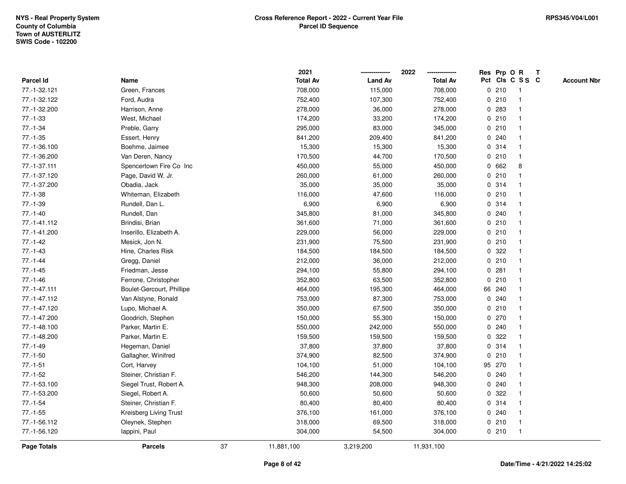|                    |                           |    | 2021            |                | 2022            |              |        | Res Prp O R     | T |                    |
|--------------------|---------------------------|----|-----------------|----------------|-----------------|--------------|--------|-----------------|---|--------------------|
| Parcel Id          | Name                      |    | <b>Total Av</b> | <b>Land Av</b> | <b>Total Av</b> |              |        | Pct Cls C S S C |   | <b>Account Nbr</b> |
| 77.-1-32.121       | Green, Frances            |    | 708,000         | 115,000        | 708,000         |              | 0210   | $\mathbf{1}$    |   |                    |
| 77.-1-32.122       | Ford, Audra               |    | 752,400         | 107,300        | 752,400         | 0            | 210    | $\overline{1}$  |   |                    |
| 77.-1-32.200       | Harrison, Anne            |    | 278,000         | 36,000         | 278,000         |              | 0 283  | $\mathbf{1}$    |   |                    |
| $77.-1-33$         | West, Michael             |    | 174,200         | 33,200         | 174,200         |              | 0210   | -1              |   |                    |
| $77.-1-34$         | Preble, Garry             |    | 295,000         | 83,000         | 345,000         |              | 0210   |                 |   |                    |
| $77.-1-35$         | Essert, Henry             |    | 841,200         | 209,400        | 841,200         |              | 0.240  |                 |   |                    |
| 77.-1-36.100       | Boehme, Jaimee            |    | 15,300          | 15,300         | 15,300          |              | 0 314  |                 |   |                    |
| 77.-1-36.200       | Van Deren, Nancy          |    | 170,500         | 44,700         | 170,500         | 0            | 210    | $\overline{1}$  |   |                    |
| 77.-1-37.111       | Spencertown Fire Co Inc   |    | 450,000         | 55,000         | 450,000         | $\mathbf{0}$ | 662    | 8               |   |                    |
| 77.-1-37.120       | Page, David W. Jr.        |    | 260,000         | 61,000         | 260,000         |              | 0210   |                 |   |                    |
| 77.-1-37.200       | Obadia, Jack              |    | 35,000          | 35,000         | 35,000          |              | 0.314  |                 |   |                    |
| $77.-1-38$         | Whiteman, Elizabeth       |    | 116,000         | 47,600         | 116,000         |              | 0210   |                 |   |                    |
| $77.-1-39$         | Rundell, Dan L.           |    | 6,900           | 6,900          | 6,900           |              | 0.314  |                 |   |                    |
| $77.-1-40$         | Rundell, Dan              |    | 345,800         | 81,000         | 345,800         |              | 0.240  |                 |   |                    |
| 77.-1-41.112       | Brindisi, Brian           |    | 361,600         | 71,000         | 361,600         | 0            | 210    | $\mathbf 1$     |   |                    |
| 77.-1-41.200       | Inserillo, Elizabeth A.   |    | 229,000         | 56,000         | 229,000         | 0            | 210    |                 |   |                    |
| $77.-1-42$         | Mesick, Jon N.            |    | 231,900         | 75,500         | 231,900         |              | 0210   | $\mathbf{1}$    |   |                    |
| $77.-1-43$         | Hine, Charles Risk        |    | 184,500         | 184,500        | 184,500         |              | 0 322  |                 |   |                    |
| $77. - 1 - 44$     | Gregg, Daniel             |    | 212,000         | 36,000         | 212,000         |              | 0210   |                 |   |                    |
| $77.-1-45$         | Friedman, Jesse           |    | 294,100         | 55,800         | 294,100         | 0            | 281    |                 |   |                    |
| $77.-1-46$         | Ferrone, Christopher      |    | 352,800         | 63,500         | 352,800         |              | 0210   |                 |   |                    |
| 77.-1-47.111       | Boulet-Gercourt, Phillipe |    | 464,000         | 195,300        | 464,000         |              | 66 240 |                 |   |                    |
| 77.-1-47.112       | Van Alstyne, Ronald       |    | 753,000         | 87,300         | 753,000         |              | 0.240  |                 |   |                    |
| 77.-1-47.120       | Lupo, Michael A.          |    | 350,000         | 67,500         | 350,000         |              | 0210   | 1               |   |                    |
| 77.-1-47.200       | Goodrich, Stephen         |    | 150,000         | 55,300         | 150,000         |              | 0270   |                 |   |                    |
| 77.-1-48.100       | Parker, Martin E.         |    | 550,000         | 242,000        | 550,000         |              | 0.240  |                 |   |                    |
| 77.-1-48.200       | Parker, Martin E.         |    | 159,500         | 159,500        | 159,500         | 0            | 322    |                 |   |                    |
| $77.-1-49$         | Hegeman, Daniel           |    | 37,800          | 37,800         | 37,800          |              | 0.314  |                 |   |                    |
| $77.-1-50$         | Gallagher, Winifred       |    | 374,900         | 82,500         | 374,900         | 0            | 210    | $\mathbf 1$     |   |                    |
| $77.-1-51$         | Cort, Harvey              |    | 104,100         | 51,000         | 104,100         |              | 95 270 | $\mathbf 1$     |   |                    |
| $77.-1-52$         | Steiner, Christian F.     |    | 546,200         | 144,300        | 546,200         |              | 0.240  |                 |   |                    |
| 77.-1-53.100       | Siegel Trust, Robert A.   |    | 948,300         | 208,000        | 948,300         |              | 0.240  |                 |   |                    |
| 77.-1-53.200       | Siegel, Robert A.         |    | 50,600          | 50,600         | 50,600          |              | 0.322  |                 |   |                    |
| $77.-1-54$         | Steiner, Christian F.     |    | 80,400          | 80,400         | 80,400          |              | 0 314  |                 |   |                    |
| $77.-1-55$         | Kreisberg Living Trust    |    | 376,100         | 161,000        | 376,100         |              | 0.240  |                 |   |                    |
| 77.-1-56.112       | Oleynek, Stephen          |    | 318,000         | 69,500         | 318,000         | 0            | 210    | -1              |   |                    |
| 77.-1-56.120       | lappini, Paul             |    | 304,000         | 54,500         | 304,000         |              | 0210   | $\mathbf{1}$    |   |                    |
| <b>Page Totals</b> | <b>Parcels</b>            | 37 | 11,881,100      | 3,219,200      | 11,931,100      |              |        |                 |   |                    |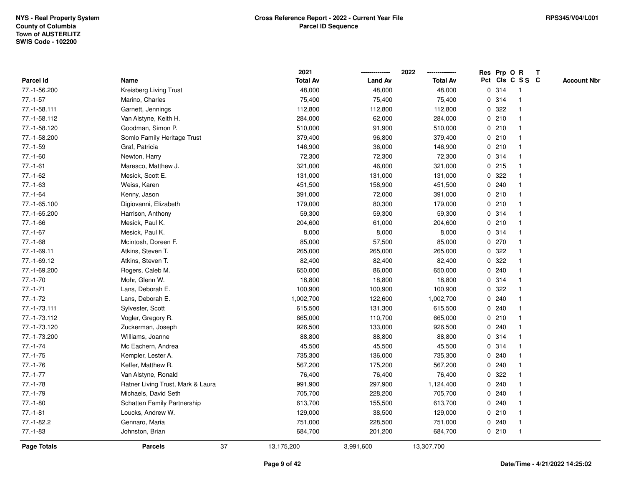|                    |                                   | 2021            |                | 2022            | Res Prp O R  |         |                 | T |                    |
|--------------------|-----------------------------------|-----------------|----------------|-----------------|--------------|---------|-----------------|---|--------------------|
| Parcel Id          | Name                              | <b>Total Av</b> | <b>Land Av</b> | <b>Total Av</b> |              |         | Pct Cls C S S C |   | <b>Account Nbr</b> |
| 77.-1-56.200       | Kreisberg Living Trust            | 48,000          | 48,000         | 48,000          | 0            | 314     | $\mathbf{1}$    |   |                    |
| $77.-1-57$         | Marino, Charles                   | 75,400          | 75,400         | 75,400          | 0            | 314     | -1              |   |                    |
| 77.-1-58.111       | Garnett, Jennings                 | 112,800         | 112,800        | 112,800         |              | 0.322   |                 |   |                    |
| 77.-1-58.112       | Van Alstyne, Keith H.             | 284,000         | 62,000         | 284,000         |              | 0210    |                 |   |                    |
| 77.-1-58.120       | Goodman, Simon P.                 | 510,000         | 91,900         | 510,000         |              | 0210    |                 |   |                    |
| 77.-1-58.200       | Somlo Family Heritage Trust       | 379,400         | 96,800         | 379,400         |              | 0210    |                 |   |                    |
| $77.-1-59$         | Graf, Patricia                    | 146,900         | 36,000         | 146,900         |              | 0210    |                 |   |                    |
| $77.-1-60$         | Newton, Harry                     | 72,300          | 72,300         | 72,300          | 0            | 314     |                 |   |                    |
| $77.-1-61$         | Maresco, Matthew J.               | 321,000         | 46,000         | 321,000         |              | $0$ 215 | -1              |   |                    |
| $77.-1-62$         | Mesick, Scott E.                  | 131,000         | 131,000        | 131,000         |              | 0 322   |                 |   |                    |
| $77.-1-63$         | Weiss, Karen                      | 451,500         | 158,900        | 451,500         |              | 0.240   |                 |   |                    |
| $77.-1-64$         | Kenny, Jason                      | 391,000         | 72,000         | 391,000         |              | 0210    |                 |   |                    |
| 77.-1-65.100       | Digiovanni, Elizabeth             | 179,000         | 80,300         | 179,000         |              | 0210    |                 |   |                    |
| 77.-1-65.200       | Harrison, Anthony                 | 59,300          | 59,300         | 59,300          |              | 0 314   |                 |   |                    |
| $77.-1-66$         | Mesick, Paul K.                   | 204,600         | 61,000         | 204,600         | $\mathbf 0$  | 210     |                 |   |                    |
| $77.-1-67$         | Mesick, Paul K.                   | 8,000           | 8,000          | 8,000           |              | 0.314   | $\mathbf{1}$    |   |                    |
| $77.-1-68$         | Mcintosh, Doreen F.               | 85,000          | 57,500         | 85,000          | $\mathbf 0$  | 270     |                 |   |                    |
| 77.-1-69.11        | Atkins, Steven T.                 | 265,000         | 265,000        | 265,000         |              | 0 322   |                 |   |                    |
| 77.-1-69.12        | Atkins, Steven T.                 | 82,400          | 82,400         | 82,400          |              | 0 322   |                 |   |                    |
| 77.-1-69.200       | Rogers, Caleb M.                  | 650,000         | 86,000         | 650,000         |              | 0.240   |                 |   |                    |
| $77.-1-70$         | Mohr, Glenn W.                    | 18,800          | 18,800         | 18,800          |              | 0 314   |                 |   |                    |
| $77.-1-71$         | Lans, Deborah E.                  | 100,900         | 100,900        | 100,900         |              | 0 322   |                 |   |                    |
| $77.-1-72$         | Lans, Deborah E.                  | 1,002,700       | 122,600        | 1,002,700       | 0            | 240     |                 |   |                    |
| 77.-1-73.111       | Sylvester, Scott                  | 615,500         | 131,300        | 615,500         | $\mathbf{0}$ | 240     |                 |   |                    |
| 77.-1-73.112       | Vogler, Gregory R.                | 665,000         | 110,700        | 665,000         |              | 0210    |                 |   |                    |
| 77.-1-73.120       | Zuckerman, Joseph                 | 926,500         | 133,000        | 926,500         |              | 0.240   |                 |   |                    |
| 77.-1-73.200       | Williams, Joanne                  | 88,800          | 88,800         | 88,800          |              | 0.314   |                 |   |                    |
| $77.-1-74$         | Mc Eachern, Andrea                | 45,500          | 45,500         | 45,500          |              | 0.314   |                 |   |                    |
| $77.-1-75$         | Kempler, Lester A.                | 735,300         | 136,000        | 735,300         |              | 0.240   |                 |   |                    |
| $77.-1-76$         | Keffer, Matthew R.                | 567,200         | 175,200        | 567,200         | 0            | 240     |                 |   |                    |
| $77.-1-77$         | Van Alstyne, Ronald               | 76,400          | 76,400         | 76,400          | 0            | 322     |                 |   |                    |
| $77.-1-78$         | Ratner Living Trust, Mark & Laura | 991,900         | 297,900        | 1,124,400       |              | 0.240   |                 |   |                    |
| $77.-1-79$         | Michaels, David Seth              | 705,700         | 228,200        | 705,700         |              | 0.240   |                 |   |                    |
| $77.-1-80$         | Schatten Family Partnership       | 613,700         | 155,500        | 613,700         |              | 0.240   |                 |   |                    |
| $77.-1-81$         | Loucks, Andrew W.                 | 129,000         | 38,500         | 129,000         |              | 0210    |                 |   |                    |
| $77.-1-82.2$       | Gennaro, Maria                    | 751,000         | 228,500        | 751,000         |              | 0.240   | -1              |   |                    |
| $77.-1-83$         | Johnston, Brian                   | 684,700         | 201,200        | 684,700         |              | 0210    | $\mathbf{1}$    |   |                    |
| <b>Page Totals</b> | 37<br><b>Parcels</b>              | 13,175,200      | 3,991,600      | 13,307,700      |              |         |                 |   |                    |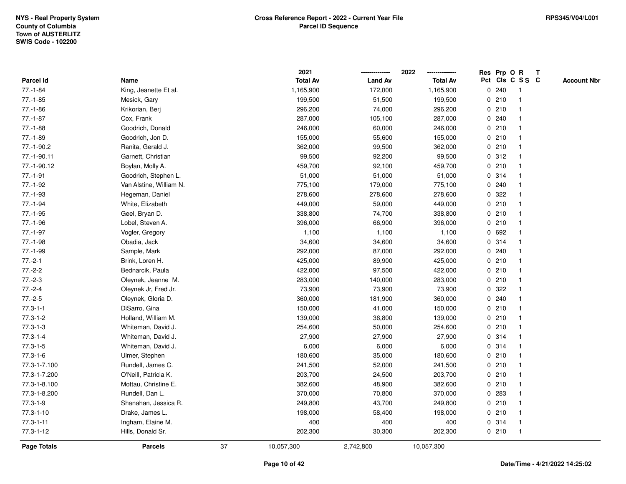|                    |                         |    | 2021            |                | 2022            |             |       | Res Prp O R             | T |                    |
|--------------------|-------------------------|----|-----------------|----------------|-----------------|-------------|-------|-------------------------|---|--------------------|
| Parcel Id          | Name                    |    | <b>Total Av</b> | <b>Land Av</b> | <b>Total Av</b> |             |       | Pct Cls C S S C         |   | <b>Account Nbr</b> |
| $77.-1-84$         | King, Jeanette Et al.   |    | 1,165,900       | 172,000        | 1,165,900       | 0           | 240   | $\mathbf{1}$            |   |                    |
| $77.-1-85$         | Mesick, Gary            |    | 199,500         | 51,500         | 199,500         | 0           | 210   | -1                      |   |                    |
| $77.-1-86$         | Krikorian, Berj         |    | 296,200         | 74,000         | 296,200         |             | 0210  | $\mathbf 1$             |   |                    |
| $77.-1-87$         | Cox, Frank              |    | 287,000         | 105,100        | 287,000         |             | 0.240 |                         |   |                    |
| $77.-1-88$         | Goodrich, Donald        |    | 246,000         | 60,000         | 246,000         |             | 0210  |                         |   |                    |
| 77.-1-89           | Goodrich, Jon D.        |    | 155,000         | 55,600         | 155,000         |             | 0210  |                         |   |                    |
| 77.-1-90.2         | Ranita, Gerald J.       |    | 362,000         | 99,500         | 362,000         |             | 0210  |                         |   |                    |
| 77.-1-90.11        | Garnett, Christian      |    | 99,500          | 92,200         | 99,500          | 0           | 312   |                         |   |                    |
| 77.-1-90.12        | Boylan, Molly A.        |    | 459,700         | 92,100         | 459,700         | 0           | 210   | -1                      |   |                    |
| $77.-1-91$         | Goodrich, Stephen L.    |    | 51,000          | 51,000         | 51,000          |             | 0 314 | $\mathbf 1$             |   |                    |
| $77.-1-92$         | Van Alstine, William N. |    | 775,100         | 179,000        | 775,100         |             | 0.240 |                         |   |                    |
| 77.-1-93           | Hegeman, Daniel         |    | 278,600         | 278,600        | 278,600         |             | 0 322 |                         |   |                    |
| $77.-1-94$         | White, Elizabeth        |    | 449,000         | 59,000         | 449,000         |             | 0210  |                         |   |                    |
| $77.-1-95$         | Geel, Bryan D.          |    | 338,800         | 74,700         | 338,800         |             | 0210  |                         |   |                    |
| 77.-1-96           | Lobel, Steven A.        |    | 396,000         | 66,900         | 396,000         | $\mathbf 0$ | 210   |                         |   |                    |
| $77.-1-97$         | Vogler, Gregory         |    | 1,100           | 1,100          | 1,100           |             | 0 692 | -1                      |   |                    |
| $77.-1-98$         | Obadia, Jack            |    | 34,600          | 34,600         | 34,600          |             | 0 314 | $\mathbf{1}$            |   |                    |
| 77.-1-99           | Sample, Mark            |    | 292,000         | 87,000         | 292,000         |             | 0.240 |                         |   |                    |
| $77.-2-1$          | Brink, Loren H.         |    | 425,000         | 89,900         | 425,000         |             | 0210  |                         |   |                    |
| $77.-2-2$          | Bednarcik, Paula        |    | 422,000         | 97,500         | 422,000         |             | 0210  |                         |   |                    |
| $77.-2-3$          | Oleynek, Jeanne M.      |    | 283,000         | 140,000        | 283,000         |             | 0210  |                         |   |                    |
| $77.-2-4$          | Oleynek Jr, Fred Jr.    |    | 73,900          | 73,900         | 73,900          | 0           | 322   |                         |   |                    |
| $77.-2-5$          | Oleynek, Gloria D.      |    | 360,000         | 181,900        | 360,000         | 0           | 240   | -1                      |   |                    |
| $77.3 - 1 - 1$     | DiSarro, Gina           |    | 150,000         | 41,000         | 150,000         | $\mathbf 0$ | 210   | $\overline{\mathbf{1}}$ |   |                    |
| $77.3 - 1 - 2$     | Holland, William M.     |    | 139,000         | 36,800         | 139,000         |             | 0210  |                         |   |                    |
| $77.3 - 1 - 3$     | Whiteman, David J.      |    | 254,600         | 50,000         | 254,600         |             | 0210  |                         |   |                    |
| $77.3 - 1 - 4$     | Whiteman, David J.      |    | 27,900          | 27,900         | 27,900          |             | 0.314 |                         |   |                    |
| $77.3 - 1 - 5$     | Whiteman, David J.      |    | 6,000           | 6,000          | 6,000           |             | 0 314 |                         |   |                    |
| $77.3 - 1 - 6$     | Ulmer, Stephen          |    | 180,600         | 35,000         | 180,600         |             | 0210  |                         |   |                    |
| 77.3-1-7.100       | Rundell, James C.       |    | 241,500         | 52,000         | 241,500         | 0           | 210   |                         |   |                    |
| 77.3-1-7.200       | O'Neill, Patricia K.    |    | 203,700         | 24,500         | 203,700         |             | 0210  | -1                      |   |                    |
| 77.3-1-8.100       | Mottau, Christine E.    |    | 382,600         | 48,900         | 382,600         |             | 0210  | $\mathbf 1$             |   |                    |
| 77.3-1-8.200       | Rundell, Dan L.         |    | 370,000         | 70,800         | 370,000         |             | 0 283 |                         |   |                    |
| $77.3 - 1 - 9$     | Shanahan, Jessica R.    |    | 249,800         | 43,700         | 249,800         |             | 0210  |                         |   |                    |
| $77.3 - 1 - 10$    | Drake, James L.         |    | 198,000         | 58,400         | 198,000         |             | 0210  |                         |   |                    |
| $77.3 - 1 - 11$    | Ingham, Elaine M.       |    | 400             | 400            | 400             |             | 0.314 | -1                      |   |                    |
| $77.3 - 1 - 12$    | Hills, Donald Sr.       |    | 202,300         | 30,300         | 202,300         |             | 0210  | $\mathbf{1}$            |   |                    |
| <b>Page Totals</b> | <b>Parcels</b>          | 37 | 10,057,300      | 2,742,800      | 10,057,300      |             |       |                         |   |                    |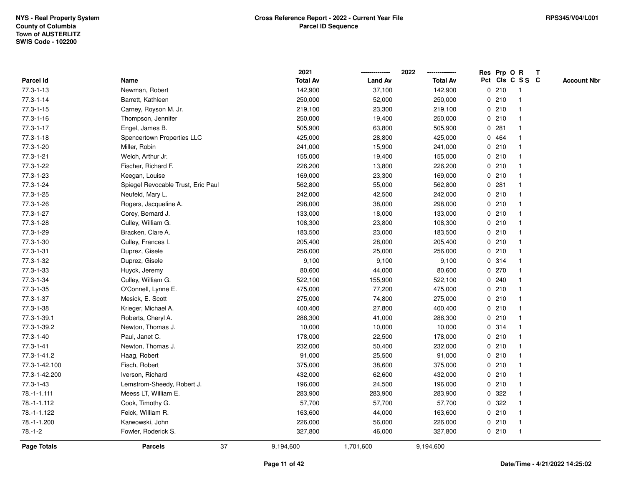|                    |                                    | 2021            |                | 2022            |             |       | Res Prp O R     | T |                    |
|--------------------|------------------------------------|-----------------|----------------|-----------------|-------------|-------|-----------------|---|--------------------|
| <b>Parcel Id</b>   | Name                               | <b>Total Av</b> | <b>Land Av</b> | <b>Total Av</b> |             |       | Pct Cls C S S C |   | <b>Account Nbr</b> |
| 77.3-1-13          | Newman, Robert                     | 142,900         | 37,100         | 142,900         | $\mathbf 0$ | 210   | -1              |   |                    |
| $77.3 - 1 - 14$    | Barrett, Kathleen                  | 250,000         | 52,000         | 250,000         | 0           | 210   | $\overline{1}$  |   |                    |
| $77.3 - 1 - 15$    | Carney, Royson M. Jr.              | 219,100         | 23,300         | 219,100         |             | 0210  | $\mathbf{1}$    |   |                    |
| $77.3 - 1 - 16$    | Thompson, Jennifer                 | 250,000         | 19,400         | 250,000         |             | 0210  |                 |   |                    |
| $77.3 - 1 - 17$    | Engel, James B.                    | 505,900         | 63,800         | 505,900         |             | 0.281 |                 |   |                    |
| $77.3 - 1 - 18$    | Spencertown Properties LLC         | 425,000         | 28,800         | 425,000         |             | 0 464 |                 |   |                    |
| 77.3-1-20          | Miller, Robin                      | 241,000         | 15,900         | 241,000         |             | 0210  |                 |   |                    |
| 77.3-1-21          | Welch, Arthur Jr.                  | 155,000         | 19,400         | 155,000         | 0           | 210   |                 |   |                    |
| 77.3-1-22          | Fischer, Richard F.                | 226,200         | 13,800         | 226,200         | 0           | 210   |                 |   |                    |
| 77.3-1-23          | Keegan, Louise                     | 169,000         | 23,300         | 169,000         |             | 0210  | -1              |   |                    |
| 77.3-1-24          | Spiegel Revocable Trust, Eric Paul | 562,800         | 55,000         | 562,800         |             | 0.281 |                 |   |                    |
| 77.3-1-25          | Neufeld, Mary L.                   | 242,000         | 42,500         | 242,000         |             | 0210  |                 |   |                    |
| 77.3-1-26          | Rogers, Jacqueline A.              | 298,000         | 38,000         | 298,000         |             | 0210  |                 |   |                    |
| 77.3-1-27          | Corey, Bernard J.                  | 133,000         | 18,000         | 133,000         |             | 0210  |                 |   |                    |
| 77.3-1-28          | Culley, William G.                 | 108,300         | 23,800         | 108,300         | 0           | 210   |                 |   |                    |
| 77.3-1-29          | Bracken, Clare A.                  | 183,500         | 23,000         | 183,500         |             | 0210  | -1              |   |                    |
| 77.3-1-30          | Culley, Frances I.                 | 205,400         | 28,000         | 205,400         |             | 0210  | -1              |   |                    |
| $77.3 - 1 - 31$    | Duprez, Gisele                     | 256,000         | 25,000         | 256,000         |             | 0210  |                 |   |                    |
| 77.3-1-32          | Duprez, Gisele                     | 9,100           | 9,100          | 9,100           |             | 0.314 |                 |   |                    |
| 77.3-1-33          | Huyck, Jeremy                      | 80,600          | 44,000         | 80,600          |             | 0270  |                 |   |                    |
| 77.3-1-34          | Culley, William G.                 | 522,100         | 155,900        | 522,100         |             | 0.240 |                 |   |                    |
| 77.3-1-35          | O'Connell, Lynne E.                | 475,000         | 77,200         | 475,000         | 0           | 210   |                 |   |                    |
| 77.3-1-37          | Mesick, E. Scott                   | 275,000         | 74,800         | 275,000         | 0           | 210   |                 |   |                    |
| 77.3-1-38          | Krieger, Michael A.                | 400,400         | 27,800         | 400,400         |             | 0210  | -1              |   |                    |
| 77.3-1-39.1        | Roberts, Cheryl A.                 | 286,300         | 41,000         | 286,300         |             | 0210  |                 |   |                    |
| 77.3-1-39.2        | Newton, Thomas J.                  | 10,000          | 10,000         | 10,000          |             | 0.314 |                 |   |                    |
| 77.3-1-40          | Paul, Janet C.                     | 178,000         | 22,500         | 178,000         |             | 0210  |                 |   |                    |
| $77.3 - 1 - 41$    | Newton, Thomas J.                  | 232,000         | 50,400         | 232,000         |             | 0210  |                 |   |                    |
| 77.3-1-41.2        | Haag, Robert                       | 91,000          | 25,500         | 91,000          | 0           | 210   |                 |   |                    |
| 77.3-1-42.100      | Fisch, Robert                      | 375,000         | 38,600         | 375,000         |             | 0210  | -1              |   |                    |
| 77.3-1-42.200      | Iverson, Richard                   | 432,000         | 62,600         | 432,000         |             | 0210  | -1              |   |                    |
| 77.3-1-43          | Lemstrom-Sheedy, Robert J.         | 196,000         | 24,500         | 196,000         |             | 0210  |                 |   |                    |
| $78. - 1 - 1.111$  | Meess LT, William E.               | 283,900         | 283,900        | 283,900         |             | 0 322 |                 |   |                    |
| 78.-1-1.112        | Cook, Timothy G.                   | 57,700          | 57,700         | 57,700          |             | 0 322 |                 |   |                    |
| 78.-1-1.122        | Feick, William R.                  | 163,600         | 44,000         | 163,600         |             | 0210  | -1              |   |                    |
| 78.-1-1.200        | Karwowski, John                    | 226,000         | 56,000         | 226,000         | 0           | 210   | -1              |   |                    |
| $78.-1-2$          | Fowler, Roderick S.                | 327,800         | 46,000         | 327,800         |             | 0210  | $\mathbf{1}$    |   |                    |
| <b>Page Totals</b> | 37<br><b>Parcels</b>               | 9,194,600       | 1,701,600      | 9,194,600       |             |       |                 |   |                    |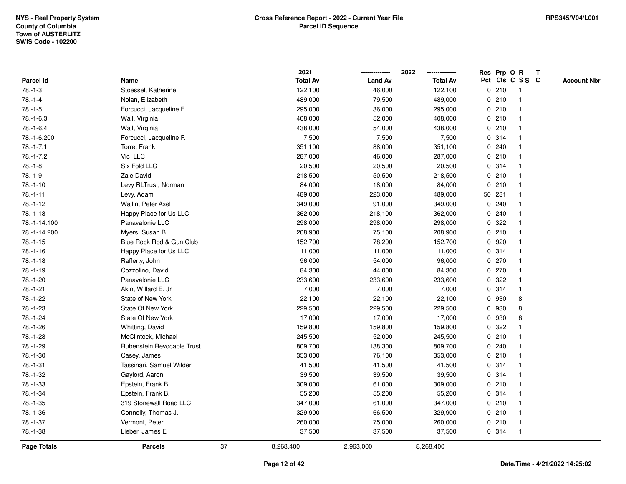|                  |                            |    | 2021            |                | 2022<br>-------------- | Res Prp O    |        | $\mathbf R$     | $\mathbf{T}$ |                    |
|------------------|----------------------------|----|-----------------|----------------|------------------------|--------------|--------|-----------------|--------------|--------------------|
| <b>Parcel Id</b> | Name                       |    | <b>Total Av</b> | <b>Land Av</b> | <b>Total Av</b>        |              |        | Pct Cls C S S C |              | <b>Account Nbr</b> |
| $78.-1-3$        | Stoessel, Katherine        |    | 122,100         | 46,000         | 122,100                |              | 0210   |                 |              |                    |
| $78.-1-4$        | Nolan, Elizabeth           |    | 489,000         | 79,500         | 489,000                |              | 0210   |                 |              |                    |
| $78.-1-5$        | Forcucci, Jacqueline F.    |    | 295,000         | 36,000         | 295,000                |              | 0210   |                 |              |                    |
| $78. - 1 - 6.3$  | Wall, Virginia             |    | 408,000         | 52,000         | 408,000                | 0            | 210    |                 |              |                    |
| $78.-1-6.4$      | Wall, Virginia             |    | 438,000         | 54,000         | 438,000                |              | 0210   |                 |              |                    |
| 78.-1-6.200      | Forcucci, Jacqueline F.    |    | 7,500           | 7,500          | 7,500                  |              | 0.314  |                 |              |                    |
| $78.-1-7.1$      | Torre, Frank               |    | 351,100         | 88,000         | 351,100                |              | 0.240  |                 |              |                    |
| $78. - 1 - 7.2$  | Vic LLC                    |    | 287,000         | 46,000         | 287,000                |              | 0210   |                 |              |                    |
| $78.-1-8$        | Six Fold LLC               |    | 20,500          | 20,500         | 20,500                 |              | 0.314  |                 |              |                    |
| $78.-1-9$        | Zale David                 |    | 218,500         | 50,500         | 218,500                |              | 0210   |                 |              |                    |
| $78.-1-10$       | Levy RLTrust, Norman       |    | 84,000          | 18,000         | 84,000                 | $\mathbf 0$  | 210    |                 |              |                    |
| $78.-1-11$       | Levy, Adam                 |    | 489,000         | 223,000        | 489,000                |              | 50 281 |                 |              |                    |
| 78.-1-12         | Wallin, Peter Axel         |    | 349,000         | 91,000         | 349,000                |              | 0.240  |                 |              |                    |
| $78.-1-13$       | Happy Place for Us LLC     |    | 362,000         | 218,100        | 362,000                |              | 0.240  |                 |              |                    |
| 78.-1-14.100     | Panavalonie LLC            |    | 298,000         | 298,000        | 298,000                | 0            | 322    |                 |              |                    |
| 78.-1-14.200     | Myers, Susan B.            |    | 208,900         | 75,100         | 208,900                |              | 0210   |                 |              |                    |
| $78.-1-15$       | Blue Rock Rod & Gun Club   |    | 152,700         | 78,200         | 152,700                | 0            | 920    |                 |              |                    |
| $78.-1-16$       | Happy Place for Us LLC     |    | 11,000          | 11,000         | 11,000                 |              | 0.314  |                 |              |                    |
| $78.-1-18$       | Rafferty, John             |    | 96,000          | 54,000         | 96,000                 |              | 0.270  |                 |              |                    |
| $78.-1-19$       | Cozzolino, David           |    | 84,300          | 44,000         | 84,300                 |              | 0270   |                 |              |                    |
| 78.-1-20         | Panavalonie LLC            |    | 233,600         | 233,600        | 233,600                |              | 0.322  |                 |              |                    |
| $78.-1-21$       | Akin, Willard E. Jr.       |    | 7,000           | 7,000          | 7,000                  |              | 0 314  |                 |              |                    |
| 78.-1-22         | State of New York          |    | 22,100          | 22,100         | 22,100                 |              | 0 930  | 8               |              |                    |
| 78.-1-23         | <b>State Of New York</b>   |    | 229,500         | 229,500        | 229,500                | $\mathbf 0$  | 930    | 8               |              |                    |
| $78.-1-24$       | State Of New York          |    | 17,000          | 17,000         | 17,000                 | 0            | 930    | 8               |              |                    |
| 78.-1-26         | Whitting, David            |    | 159,800         | 159,800        | 159,800                |              | 0.322  |                 |              |                    |
| 78.-1-28         | McClintock, Michael        |    | 245,500         | 52,000         | 245,500                |              | 0210   |                 |              |                    |
| 78.-1-29         | Rubenstein Revocable Trust |    | 809,700         | 138,300        | 809,700                |              | 0.240  |                 |              |                    |
| $78.-1-30$       | Casey, James               |    | 353,000         | 76,100         | 353,000                |              | 0210   |                 |              |                    |
| $78.-1-31$       | Tassinari, Samuel Wilder   |    | 41,500          | 41,500         | 41,500                 | 0            | 314    |                 |              |                    |
| 78.-1-32         | Gaylord, Aaron             |    | 39,500          | 39,500         | 39,500                 | $\mathbf{0}$ | 314    |                 |              |                    |
| 78.-1-33         | Epstein, Frank B.          |    | 309,000         | 61,000         | 309,000                |              | 0210   |                 |              |                    |
| 78.-1-34         | Epstein, Frank B.          |    | 55,200          | 55,200         | 55,200                 |              | 0.314  |                 |              |                    |
| $78.-1-35$       | 319 Stonewall Road LLC     |    | 347,000         | 61,000         | 347,000                |              | 0210   |                 |              |                    |
| 78.-1-36         | Connolly, Thomas J.        |    | 329,900         | 66,500         | 329,900                |              | 0210   |                 |              |                    |
| 78.-1-37         | Vermont, Peter             |    | 260,000         | 75,000         | 260,000                |              | 0210   | -1              |              |                    |
| 78.-1-38         | Lieber, James E            |    | 37,500          | 37,500         | 37,500                 |              | 0 314  |                 |              |                    |
| Page Totals      | <b>Parcels</b>             | 37 | 8,268,400       | 2,963,000      | 8,268,400              |              |        |                 |              |                    |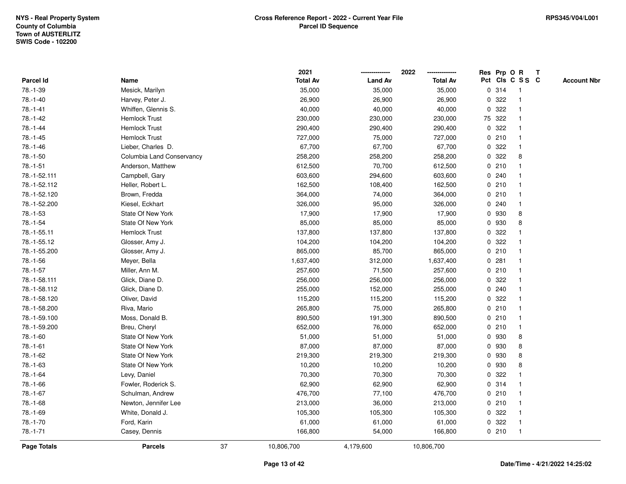|                    |                           |    | 2021            |                | 2022            |             |        | Res Prp O R     | T |                    |
|--------------------|---------------------------|----|-----------------|----------------|-----------------|-------------|--------|-----------------|---|--------------------|
| Parcel Id          | Name                      |    | <b>Total Av</b> | <b>Land Av</b> | <b>Total Av</b> |             |        | Pct Cls C S S C |   | <b>Account Nbr</b> |
| 78.-1-39           | Mesick, Marilyn           |    | 35,000          | 35,000         | 35,000          |             | 0 314  | -1              |   |                    |
| $78.-1-40$         | Harvey, Peter J.          |    | 26,900          | 26,900         | 26,900          | 0           | 322    |                 |   |                    |
| $78.-1-41$         | Whiffen, Glennis S.       |    | 40,000          | 40,000         | 40,000          |             | 0 322  | -1              |   |                    |
| 78.-1-42           | Hemlock Trust             |    | 230,000         | 230,000        | 230,000         |             | 75 322 |                 |   |                    |
| 78.-1-44           | <b>Hemlock Trust</b>      |    | 290,400         | 290,400        | 290,400         |             | 0 322  |                 |   |                    |
| $78. - 1 - 45$     | <b>Hemlock Trust</b>      |    | 727,000         | 75,000         | 727,000         |             | 0210   |                 |   |                    |
| 78.-1-46           | Lieber, Charles D.        |    | 67,700          | 67,700         | 67,700          |             | 0 322  |                 |   |                    |
| $78.-1-50$         | Columbia Land Conservancy |    | 258,200         | 258,200        | 258,200         | 0           | 322    | 8               |   |                    |
| $78.-1-51$         | Anderson, Matthew         |    | 612,500         | 70,700         | 612,500         | 0           | 210    |                 |   |                    |
| 78.-1-52.111       | Campbell, Gary            |    | 603,600         | 294,600        | 603,600         |             | 0.240  |                 |   |                    |
| 78.-1-52.112       | Heller, Robert L.         |    | 162,500         | 108,400        | 162,500         |             | 0210   |                 |   |                    |
| 78.-1-52.120       | Brown, Fredda             |    | 364,000         | 74,000         | 364,000         |             | 0210   |                 |   |                    |
| 78.-1-52.200       | Kiesel, Eckhart           |    | 326,000         | 95,000         | 326,000         |             | 0.240  |                 |   |                    |
| 78.-1-53           | State Of New York         |    | 17,900          | 17,900         | 17,900          |             | 0 930  | 8               |   |                    |
| $78.-1-54$         | State Of New York         |    | 85,000          | 85,000         | 85,000          | 0           | 930    | 8               |   |                    |
| 78.-1-55.11        | <b>Hemlock Trust</b>      |    | 137,800         | 137,800        | 137,800         | 0           | 322    |                 |   |                    |
| 78.-1-55.12        | Glosser, Amy J.           |    | 104,200         | 104,200        | 104,200         |             | 0 322  |                 |   |                    |
| 78.-1-55.200       | Glosser, Amy J.           |    | 865,000         | 85,700         | 865,000         |             | 0210   |                 |   |                    |
| 78.-1-56           | Meyer, Bella              |    | 1,637,400       | 312,000        | 1,637,400       |             | 0.281  |                 |   |                    |
| $78.-1-57$         | Miller, Ann M.            |    | 257,600         | 71,500         | 257,600         |             | 0210   |                 |   |                    |
| 78.-1-58.111       | Glick, Diane D.           |    | 256,000         | 256,000        | 256,000         |             | 0 322  |                 |   |                    |
| 78.-1-58.112       | Glick, Diane D.           |    | 255,000         | 152,000        | 255,000         | 0           | 240    |                 |   |                    |
| 78.-1-58.120       | Oliver, David             |    | 115,200         | 115,200        | 115,200         | 0           | 322    |                 |   |                    |
| 78.-1-58.200       | Riva, Mario               |    | 265,800         | 75,000         | 265,800         |             | 0210   | -1              |   |                    |
| 78.-1-59.100       | Moss, Donald B.           |    | 890,500         | 191,300        | 890,500         |             | 0210   |                 |   |                    |
| 78.-1-59.200       | Breu, Cheryl              |    | 652,000         | 76,000         | 652,000         |             | 0210   |                 |   |                    |
| 78.-1-60           | State Of New York         |    | 51,000          | 51,000         | 51,000          | 0           | 930    | 8               |   |                    |
| $78.-1-61$         | State Of New York         |    | 87,000          | 87,000         | 87,000          |             | 0 930  | 8               |   |                    |
| 78.-1-62           | State Of New York         |    | 219,300         | 219,300        | 219,300         | 0           | 930    | 8               |   |                    |
| 78.-1-63           | State Of New York         |    | 10,200          | 10,200         | 10,200          | 0           | 930    | 8               |   |                    |
| $78.-1-64$         | Levy, Daniel              |    | 70,300          | 70,300         | 70,300          | $\mathbf 0$ | 322    |                 |   |                    |
| 78.-1-66           | Fowler, Roderick S.       |    | 62,900          | 62,900         | 62,900          |             | 0.314  |                 |   |                    |
| 78.-1-67           | Schulman, Andrew          |    | 476,700         | 77,100         | 476,700         |             | 0210   |                 |   |                    |
| 78.-1-68           | Newton, Jennifer Lee      |    | 213,000         | 36,000         | 213,000         |             | 0210   |                 |   |                    |
| 78.-1-69           | White, Donald J.          |    | 105,300         | 105,300        | 105,300         |             | 0 322  |                 |   |                    |
| 78.-1-70           | Ford, Karin               |    | 61,000          | 61,000         | 61,000          | 0           | 322    | -1              |   |                    |
| $78.-1-71$         | Casey, Dennis             |    | 166,800         | 54,000         | 166,800         |             | 0210   | $\overline{1}$  |   |                    |
| <b>Page Totals</b> | <b>Parcels</b>            | 37 | 10,806,700      | 4,179,600      | 10,806,700      |             |        |                 |   |                    |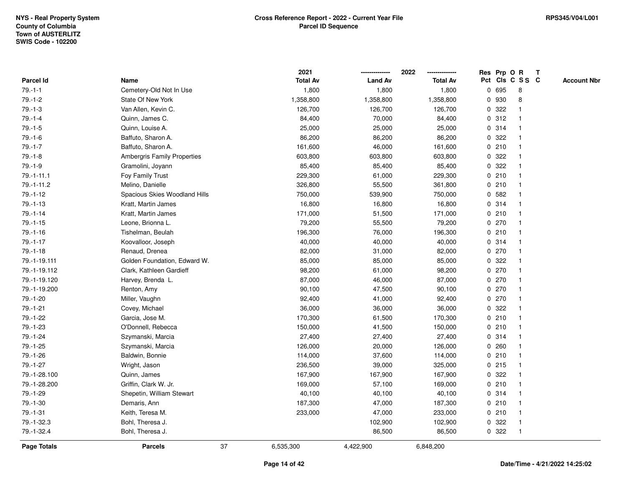|                  |                                    |    | 2021            |                | 2022            |             | Res Prp O R |                         | T |                    |
|------------------|------------------------------------|----|-----------------|----------------|-----------------|-------------|-------------|-------------------------|---|--------------------|
| <b>Parcel Id</b> | Name                               |    | <b>Total Av</b> | <b>Land Av</b> | <b>Total Av</b> |             |             | Pct Cls C S S C         |   | <b>Account Nbr</b> |
| $79.-1-1$        | Cemetery-Old Not In Use            |    | 1,800           | 1,800          | 1,800           | 0           | 695         | 8                       |   |                    |
| $79.-1-2$        | State Of New York                  |    | 1,358,800       | 1,358,800      | 1,358,800       | 0           | 930         | 8                       |   |                    |
| $79.-1-3$        | Van Allen, Kevin C.                |    | 126,700         | 126,700        | 126,700         |             | 0.322       |                         |   |                    |
| $79.-1-4$        | Quinn, James C.                    |    | 84,400          | 70,000         | 84,400          |             | 0.312       |                         |   |                    |
| $79. - 1 - 5$    | Quinn, Louise A.                   |    | 25,000          | 25,000         | 25,000          |             | 0.314       |                         |   |                    |
| $79.-1-6$        | Baffuto, Sharon A.                 |    | 86,200          | 86,200         | 86,200          |             | 0.322       |                         |   |                    |
| $79.-1-7$        | Baffuto, Sharon A.                 |    | 161,600         | 46,000         | 161,600         |             | 0210        |                         |   |                    |
| $79.-1-8$        | <b>Ambergris Family Properties</b> |    | 603,800         | 603,800        | 603,800         | 0           | 322         |                         |   |                    |
| $79.-1-9$        | Gramolini, Joyann                  |    | 85,400          | 85,400         | 85,400          | 0           | 322         |                         |   |                    |
| $79. - 1 - 11.1$ | Foy Family Trust                   |    | 229,300         | 61,000         | 229,300         |             | 0210        |                         |   |                    |
| $79.-1-11.2$     | Melino, Danielle                   |    | 326,800         | 55,500         | 361,800         |             | 0210        |                         |   |                    |
| $79. - 1 - 12$   | Spacious Skies Woodland Hills      |    | 750,000         | 539,900        | 750,000         |             | 0 582       |                         |   |                    |
| $79.-1-13$       | Kratt, Martin James                |    | 16,800          | 16,800         | 16,800          |             | 0.314       |                         |   |                    |
| $79.-1-14$       | Kratt, Martin James                |    | 171,000         | 51,500         | 171,000         |             | 0210        |                         |   |                    |
| $79.-1-15$       | Leone, Brionna L.                  |    | 79,200          | 55,500         | 79,200          | 0           | 270         |                         |   |                    |
| $79. - 1 - 16$   | Tishelman, Beulah                  |    | 196,300         | 76,000         | 196,300         | $\mathbf 0$ | 210         |                         |   |                    |
| $79.-1-17$       | Koovalloor, Joseph                 |    | 40,000          | 40,000         | 40,000          |             | 0 314       |                         |   |                    |
| $79.-1-18$       | Renaud, Drenea                     |    | 82,000          | 31,000         | 82,000          |             | 0270        |                         |   |                    |
| 79.-1-19.111     | Golden Foundation, Edward W.       |    | 85,000          | 85,000         | 85,000          |             | 0.322       |                         |   |                    |
| 79.-1-19.112     | Clark, Kathleen Gardieff           |    | 98,200          | 61,000         | 98,200          |             | 0 270       |                         |   |                    |
| 79.-1-19.120     | Harvey, Brenda L.                  |    | 87,000          | 46,000         | 87,000          |             | 0.270       |                         |   |                    |
| 79.-1-19.200     | Renton, Amy                        |    | 90,100          | 47,500         | 90,100          | 0           | 270         |                         |   |                    |
| 79.-1-20         | Miller, Vaughn                     |    | 92,400          | 41,000         | 92,400          | 0           | 270         |                         |   |                    |
| $79.-1-21$       | Covey, Michael                     |    | 36,000          | 36,000         | 36,000          | 0           | 322         |                         |   |                    |
| 79.-1-22         | Garcia, Jose M.                    |    | 170,300         | 61,500         | 170,300         |             | 0210        |                         |   |                    |
| 79.-1-23         | O'Donnell, Rebecca                 |    | 150,000         | 41,500         | 150,000         |             | 0210        |                         |   |                    |
| 79.-1-24         | Szymanski, Marcia                  |    | 27,400          | 27,400         | 27,400          |             | 0 314       |                         |   |                    |
| $79.-1-25$       | Szymanski, Marcia                  |    | 126,000         | 20,000         | 126,000         |             | 0.260       |                         |   |                    |
| 79.-1-26         | Baldwin, Bonnie                    |    | 114,000         | 37,600         | 114,000         |             | 0210        |                         |   |                    |
| 79.-1-27         | Wright, Jason                      |    | 236,500         | 39,000         | 325,000         |             | $0$ 215     | -1                      |   |                    |
| 79.-1-28.100     | Quinn, James                       |    | 167,900         | 167,900        | 167,900         | 0           | 322         |                         |   |                    |
| 79.-1-28.200     | Griffin, Clark W. Jr.              |    | 169,000         | 57,100         | 169,000         |             | 0210        |                         |   |                    |
| 79.-1-29         | Shepetin, William Stewart          |    | 40,100          | 40,100         | 40,100          |             | 0 314       |                         |   |                    |
| 79.-1-30         | Demaris, Ann                       |    | 187,300         | 47,000         | 187,300         |             | 0210        |                         |   |                    |
| $79.-1-31$       | Keith, Teresa M.                   |    | 233,000         | 47,000         | 233,000         |             | 0210        |                         |   |                    |
| 79.-1-32.3       | Bohl, Theresa J.                   |    |                 | 102,900        | 102,900         | 0           | 322         |                         |   |                    |
| 79.-1-32.4       | Bohl, Theresa J.                   |    |                 | 86,500         | 86,500          |             | 0 322       | $\overline{\mathbf{1}}$ |   |                    |
| Page Totals      | <b>Parcels</b>                     | 37 | 6,535,300       | 4,422,900      | 6,848,200       |             |             |                         |   |                    |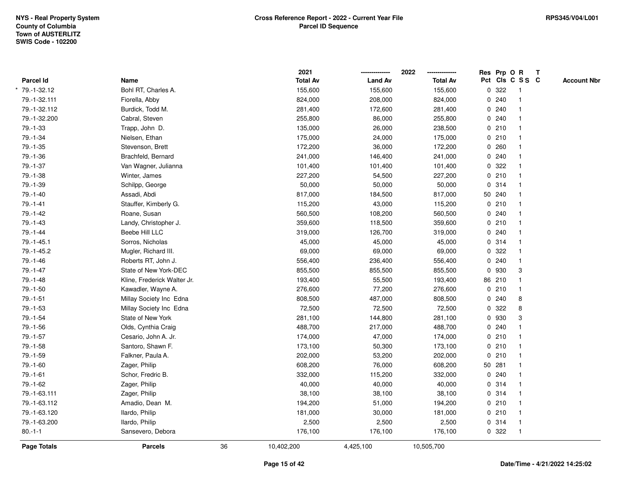|                |                             |    | 2021            |                | 2022            | Res Prp O R |                         | $\mathbf{T}$ |                    |
|----------------|-----------------------------|----|-----------------|----------------|-----------------|-------------|-------------------------|--------------|--------------------|
| Parcel Id      | Name                        |    | <b>Total Av</b> | <b>Land Av</b> | <b>Total Av</b> |             | Pct Cls C S S C         |              | <b>Account Nbr</b> |
| 79.-1-32.12    | Bohl RT, Charles A.         |    | 155,600         | 155,600        | 155,600         | 0 322       | $\overline{\mathbf{1}}$ |              |                    |
| 79.-1-32.111   | Fiorella, Abby              |    | 824,000         | 208,000        | 824,000         | 0240        | $\overline{\mathbf{1}}$ |              |                    |
| 79.-1-32.112   | Burdick, Todd M.            |    | 281,400         | 172,600        | 281,400         | 0.240       | $\mathbf{1}$            |              |                    |
| 79.-1-32.200   | Cabral, Steven              |    | 255,800         | 86,000         | 255,800         | 0.240       |                         |              |                    |
| 79.-1-33       | Trapp, John D.              |    | 135,000         | 26,000         | 238,500         | 0210        |                         |              |                    |
| 79.-1-34       | Nielsen, Ethan              |    | 175,000         | 24,000         | 175,000         | 0210        |                         |              |                    |
| $79. - 1 - 35$ | Stevenson, Brett            |    | 172,200         | 36,000         | 172,200         | 0.260       |                         |              |                    |
| 79.-1-36       | Brachfeld, Bernard          |    | 241,000         | 146,400        | 241,000         | 0.240       |                         |              |                    |
| 79.-1-37       | Van Wagner, Julianna        |    | 101,400         | 101,400        | 101,400         | 0 322       |                         |              |                    |
| 79.-1-38       | Winter, James               |    | 227,200         | 54,500         | 227,200         | 0210        |                         |              |                    |
| 79.-1-39       | Schilpp, George             |    | 50,000          | 50,000         | 50,000          | 0.314       |                         |              |                    |
| 79.-1-40       | Assadi, Abdi                |    | 817,000         | 184,500        | 817,000         | 50 240      |                         |              |                    |
| $79. - 1 - 41$ | Stauffer, Kimberly G.       |    | 115,200         | 43,000         | 115,200         | 0210        |                         |              |                    |
| 79.-1-42       | Roane, Susan                |    | 560,500         | 108,200        | 560,500         | 0.240       |                         |              |                    |
| 79.-1-43       | Landy, Christopher J.       |    | 359,600         | 118,500        | 359,600         | 0210        |                         |              |                    |
| 79.-1-44       | <b>Beebe Hill LLC</b>       |    | 319,000         | 126,700        | 319,000         | 0.240       | -1                      |              |                    |
| 79.-1-45.1     | Sorros, Nicholas            |    | 45,000          | 45,000         | 45,000          | 0 314       | $\overline{1}$          |              |                    |
| 79.-1-45.2     | Mugler, Richard III.        |    | 69,000          | 69,000         | 69,000          | 0 322       |                         |              |                    |
| 79.-1-46       | Roberts RT, John J.         |    | 556,400         | 236,400        | 556,400         | 0.240       |                         |              |                    |
| $79. - 1 - 47$ | State of New York-DEC       |    | 855,500         | 855,500        | 855,500         | 0 930       | 3                       |              |                    |
| 79.-1-48       | Kline, Frederick Walter Jr. |    | 193,400         | 55,500         | 193,400         | 86 210      |                         |              |                    |
| 79.-1-50       | Kawadler, Wayne A.          |    | 276,600         | 77,200         | 276,600         | 0210        |                         |              |                    |
| $79. - 1 - 51$ | Millay Society Inc Edna     |    | 808,500         | 487,000        | 808,500         | 0240        | 8                       |              |                    |
| 79.-1-53       | Millay Society Inc Edna     |    | 72,500          | 72,500         | 72,500          | 0 322       | 8                       |              |                    |
| 79.-1-54       | State of New York           |    | 281,100         | 144,800        | 281,100         | 0 930       | 3                       |              |                    |
| 79.-1-56       | Olds, Cynthia Craig         |    | 488,700         | 217,000        | 488,700         | 0.240       |                         |              |                    |
| 79.-1-57       | Cesario, John A. Jr.        |    | 174,000         | 47,000         | 174,000         | 0210        |                         |              |                    |
| 79.-1-58       | Santoro, Shawn F.           |    | 173,100         | 50,300         | 173,100         | 0210        |                         |              |                    |
| 79.-1-59       | Falkner, Paula A.           |    | 202,000         | 53,200         | 202,000         | 0210        |                         |              |                    |
| 79.-1-60       | Zager, Philip               |    | 608,200         | 76,000         | 608,200         | 50 281      | -1                      |              |                    |
| 79.-1-61       | Schor, Fredric B.           |    | 332,000         | 115,200        | 332,000         | 0.240       | $\overline{\mathbf{1}}$ |              |                    |
| 79.-1-62       | Zager, Philip               |    | 40,000          | 40,000         | 40,000          | 0 314       |                         |              |                    |
| 79.-1-63.111   | Zager, Philip               |    | 38,100          | 38,100         | 38,100          | 0.314       |                         |              |                    |
| 79.-1-63.112   | Amadio, Dean M.             |    | 194,200         | 51,000         | 194,200         | 0210        |                         |              |                    |
| 79.-1-63.120   | Ilardo, Philip              |    | 181,000         | 30,000         | 181,000         | 0210        |                         |              |                    |
| 79.-1-63.200   | Ilardo, Philip              |    | 2,500           | 2,500          | 2,500           | 0 314       | $\overline{1}$          |              |                    |
| $80.-1-1$      | Sansevero, Debora           |    | 176,100         | 176,100        | 176,100         | 0 322       | $\overline{1}$          |              |                    |
| Page Totals    | <b>Parcels</b>              | 36 | 10,402,200      | 4,425,100      | 10,505,700      |             |                         |              |                    |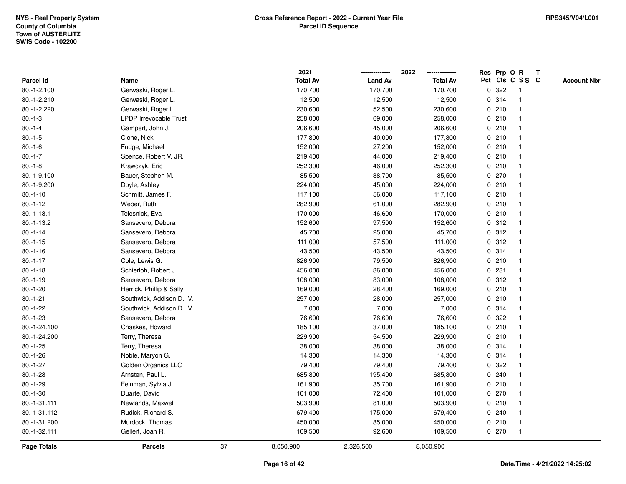|                 |                               |    | 2021            |                | 2022            | Res Prp O R |       |                         | $\mathbf{T}$ |                    |
|-----------------|-------------------------------|----|-----------------|----------------|-----------------|-------------|-------|-------------------------|--------------|--------------------|
| Parcel Id       | Name                          |    | <b>Total Av</b> | <b>Land Av</b> | <b>Total Av</b> |             |       | Pct Cls C S S C         |              | <b>Account Nbr</b> |
| 80.-1-2.100     | Gerwaski, Roger L.            |    | 170,700         | 170,700        | 170,700         | 0           | 322   | -1                      |              |                    |
| 80.-1-2.210     | Gerwaski, Roger L.            |    | 12,500          | 12,500         | 12,500          |             | 0 314 |                         |              |                    |
| 80.-1-2.220     | Gerwaski, Roger L.            |    | 230,600         | 52,500         | 230,600         |             | 0210  | -1                      |              |                    |
| $80.-1-3$       | <b>LPDP Irrevocable Trust</b> |    | 258,000         | 69,000         | 258,000         | 0           | 210   | $\mathbf{1}$            |              |                    |
| $80.-1-4$       | Gampert, John J.              |    | 206,600         | 45,000         | 206,600         |             | 0210  | $\mathbf{1}$            |              |                    |
| $80.-1-5$       | Cione, Nick                   |    | 177,800         | 40,000         | 177,800         |             | 0210  | -1                      |              |                    |
| $80.-1-6$       | Fudge, Michael                |    | 152,000         | 27,200         | 152,000         |             | 0210  |                         |              |                    |
| $80.-1-7$       | Spence, Robert V. JR.         |    | 219,400         | 44,000         | 219,400         |             | 0210  |                         |              |                    |
| $80.-1-8$       | Krawczyk, Eric                |    | 252,300         | 46,000         | 252,300         |             | 0210  |                         |              |                    |
| 80.-1-9.100     | Bauer, Stephen M.             |    | 85,500          | 38,700         | 85,500          |             | 0 270 |                         |              |                    |
| 80.-1-9.200     | Doyle, Ashley                 |    | 224,000         | 45,000         | 224,000         |             | 0210  | $\mathbf{1}$            |              |                    |
| $80.-1-10$      | Schmitt, James F.             |    | 117,100         | 56,000         | 117,100         | 0           | 210   | $\mathbf{1}$            |              |                    |
| $80.-1-12$      | Weber, Ruth                   |    | 282,900         | 61,000         | 282,900         |             | 0210  |                         |              |                    |
| $80. -1 - 13.1$ | Telesnick, Eva                |    | 170,000         | 46,600         | 170,000         |             | 0210  |                         |              |                    |
| $80.-1-13.2$    | Sansevero, Debora             |    | 152,600         | 97,500         | 152,600         |             | 0.312 |                         |              |                    |
| $80.-1-14$      | Sansevero, Debora             |    | 45,700          | 25,000         | 45,700          |             | 0.312 | -1                      |              |                    |
| $80.-1-15$      | Sansevero, Debora             |    | 111,000         | 57,500         | 111,000         | 0           | 312   | $\overline{\mathbf{1}}$ |              |                    |
| $80.-1-16$      | Sansevero, Debora             |    | 43,500          | 43,500         | 43,500          | 0           | 314   | $\overline{\mathbf{1}}$ |              |                    |
| $80.-1-17$      | Cole, Lewis G.                |    | 826,900         | 79,500         | 826,900         |             | 0210  | $\mathbf{1}$            |              |                    |
| $80.-1-18$      | Schierloh, Robert J.          |    | 456,000         | 86,000         | 456,000         |             | 0.281 |                         |              |                    |
| $80.-1-19$      | Sansevero, Debora             |    | 108,000         | 83,000         | 108,000         |             | 0.312 |                         |              |                    |
| $80.-1-20$      | Herrick, Phillip & Sally      |    | 169,000         | 28,400         | 169,000         |             | 0210  |                         |              |                    |
| $80.-1-21$      | Southwick, Addison D. IV.     |    | 257,000         | 28,000         | 257,000         |             | 0210  |                         |              |                    |
| $80.-1-22$      | Southwick, Addison D. IV.     |    | 7,000           | 7,000          | 7,000           | 0           | 314   | $\mathbf{1}$            |              |                    |
| $80.-1-23$      | Sansevero, Debora             |    | 76,600          | 76,600         | 76,600          | 0           | 322   | -1                      |              |                    |
| 80.-1-24.100    | Chaskes, Howard               |    | 185,100         | 37,000         | 185,100         |             | 0210  | -1                      |              |                    |
| 80.-1-24.200    | Terry, Theresa                |    | 229,900         | 54,500         | 229,900         |             | 0210  |                         |              |                    |
| $80.-1-25$      | Terry, Theresa                |    | 38,000          | 38,000         | 38,000          |             | 0 314 |                         |              |                    |
| $80.-1-26$      | Noble, Maryon G.              |    | 14,300          | 14,300         | 14,300          |             | 0 314 |                         |              |                    |
| $80.-1-27$      | Golden Organics LLC           |    | 79,400          | 79,400         | 79,400          | $\mathbf 0$ | 322   |                         |              |                    |
| $80.-1-28$      | Arnsten, Paul L.              |    | 685,800         | 195,400        | 685,800         | 0           | 240   | $\overline{\mathbf{1}}$ |              |                    |
| $80.-1-29$      | Feinman, Sylvia J.            |    | 161,900         | 35,700         | 161,900         |             | 0210  | $\mathbf{1}$            |              |                    |
| $80.-1-30$      | Duarte, David                 |    | 101,000         | 72,400         | 101,000         |             | 0270  |                         |              |                    |
| 80.-1-31.111    | Newlands, Maxwell             |    | 503,900         | 81,000         | 503,900         |             | 0210  |                         |              |                    |
| 80.-1-31.112    | Rudick, Richard S.            |    | 679,400         | 175,000        | 679,400         |             | 0.240 |                         |              |                    |
| 80.-1-31.200    | Murdock, Thomas               |    | 450,000         | 85,000         | 450,000         |             | 0210  | $\mathbf{1}$            |              |                    |
| 80.-1-32.111    | Gellert, Joan R.              |    | 109,500         | 92,600         | 109,500         |             | 0 270 | $\mathbf{1}$            |              |                    |
| Page Totals     | <b>Parcels</b>                | 37 | 8,050,900       | 2,326,500      | 8,050,900       |             |       |                         |              |                    |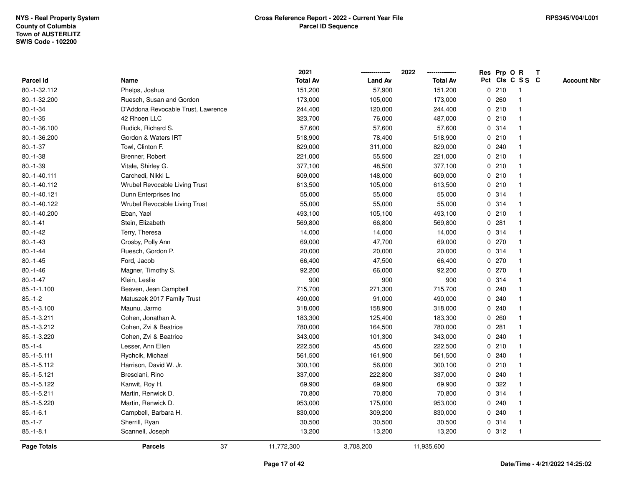|              |                                    | 2021            |                | 2022            |             |       | Res Prp O R     | Т |                    |
|--------------|------------------------------------|-----------------|----------------|-----------------|-------------|-------|-----------------|---|--------------------|
| Parcel Id    | Name                               | <b>Total Av</b> | <b>Land Av</b> | <b>Total Av</b> |             |       | Pct Cls C S S C |   | <b>Account Nbr</b> |
| 80.-1-32.112 | Phelps, Joshua                     | 151,200         | 57,900         | 151,200         |             | 0210  | $\mathbf{1}$    |   |                    |
| 80.-1-32.200 | Ruesch, Susan and Gordon           | 173,000         | 105,000        | 173,000         | 0           | 260   | -1              |   |                    |
| $80.-1-34$   | D'Addona Revocable Trust, Lawrence | 244,400         | 120,000        | 244,400         |             | 0210  | $\mathbf 1$     |   |                    |
| $80.-1-35$   | 42 Rhoen LLC                       | 323,700         | 76,000         | 487,000         |             | 0210  |                 |   |                    |
| 80.-1-36.100 | Rudick, Richard S.                 | 57,600          | 57,600         | 57,600          |             | 0.314 |                 |   |                    |
| 80.-1-36.200 | Gordon & Waters IRT                | 518,900         | 78,400         | 518,900         |             | 0210  |                 |   |                    |
| $80.-1-37$   | Towl, Clinton F.                   | 829,000         | 311,000        | 829,000         |             | 0.240 |                 |   |                    |
| $80.-1-38$   | Brenner, Robert                    | 221,000         | 55,500         | 221,000         |             | 0210  |                 |   |                    |
| $80.-1-39$   | Vitale, Shirley G.                 | 377,100         | 48,500         | 377,100         |             | 0210  | -1              |   |                    |
| 80.-1-40.111 | Carchedi, Nikki L.                 | 609,000         | 148,000        | 609,000         |             | 0210  | $\mathbf 1$     |   |                    |
| 80.-1-40.112 | Wrubel Revocable Living Trust      | 613,500         | 105,000        | 613,500         |             | 0210  |                 |   |                    |
| 80.-1-40.121 | Dunn Enterprises Inc               | 55,000          | 55,000         | 55,000          |             | 0.314 |                 |   |                    |
| 80.-1-40.122 | Wrubel Revocable Living Trust      | 55,000          | 55,000         | 55,000          |             | 0.314 |                 |   |                    |
| 80.-1-40.200 | Eban, Yael                         | 493,100         | 105,100        | 493,100         |             | 0210  |                 |   |                    |
| $80.-1-41$   | Stein, Elizabeth                   | 569,800         | 66,800         | 569,800         | 0           | 281   |                 |   |                    |
| $80.-1-42$   | Terry, Theresa                     | 14,000          | 14,000         | 14,000          |             | 0.314 | -1              |   |                    |
| $80.-1-43$   | Crosby, Polly Ann                  | 69,000          | 47,700         | 69,000          |             | 0270  |                 |   |                    |
| $80.-1-44$   | Ruesch, Gordon P.                  | 20,000          | 20,000         | 20,000          |             | 0.314 |                 |   |                    |
| $80.-1-45$   | Ford, Jacob                        | 66,400          | 47,500         | 66,400          |             | 0270  |                 |   |                    |
| $80.-1-46$   | Magner, Timothy S.                 | 92,200          | 66,000         | 92,200          |             | 0.270 |                 |   |                    |
| $80.-1-47$   | Klein, Leslie                      | 900             | 900            | 900             |             | 0.314 |                 |   |                    |
| 85.-1-1.100  | Beaven, Jean Campbell              | 715,700         | 271,300        | 715,700         |             | 0.240 |                 |   |                    |
| $85.-1-2$    | Matuszek 2017 Family Trust         | 490,000         | 91,000         | 490,000         |             | 0.240 |                 |   |                    |
| 85.-1-3.100  | Maunu, Jarmo                       | 318,000         | 158,900        | 318,000         |             | 0.240 | $\mathbf 1$     |   |                    |
| 85.-1-3.211  | Cohen, Jonathan A.                 | 183,300         | 125,400        | 183,300         |             | 0.260 |                 |   |                    |
| 85.-1-3.212  | Cohen, Zvi & Beatrice              | 780,000         | 164,500        | 780,000         |             | 0.281 |                 |   |                    |
| 85.-1-3.220  | Cohen, Zvi & Beatrice              | 343,000         | 101,300        | 343,000         |             | 0.240 |                 |   |                    |
| $85.-1-4$    | Lesser, Ann Ellen                  | 222,500         | 45,600         | 222,500         |             | 0210  |                 |   |                    |
| 85.-1-5.111  | Rychcik, Michael                   | 561,500         | 161,900        | 561,500         |             | 0.240 |                 |   |                    |
| 85.-1-5.112  | Harrison, David W. Jr.             | 300,100         | 56,000         | 300,100         | $\mathbf 0$ | 210   | -1              |   |                    |
| 85.-1-5.121  | Bresciani, Rino                    | 337,000         | 222,800        | 337,000         | 0           | 240   |                 |   |                    |
| 85.-1-5.122  | Kanwit, Roy H.                     | 69,900          | 69,900         | 69,900          |             | 0.322 |                 |   |                    |
| 85.-1-5.211  | Martin, Renwick D.                 | 70,800          | 70,800         | 70,800          |             | 0.314 |                 |   |                    |
| 85.-1-5.220  | Martin, Renwick D.                 | 953,000         | 175,000        | 953,000         |             | 0.240 |                 |   |                    |
| $85.-1-6.1$  | Campbell, Barbara H.               | 830,000         | 309,200        | 830,000         |             | 0.240 |                 |   |                    |
| $85.-1-7$    | Sherrill, Ryan                     | 30,500          | 30,500         | 30,500          |             | 0.314 | -1              |   |                    |
| $85.-1-8.1$  | Scannell, Joseph                   | 13,200          | 13,200         | 13,200          |             | 0.312 | $\mathbf{1}$    |   |                    |
| Page Totals  | 37<br><b>Parcels</b>               | 11,772,300      | 3,708,200      | 11,935,600      |             |       |                 |   |                    |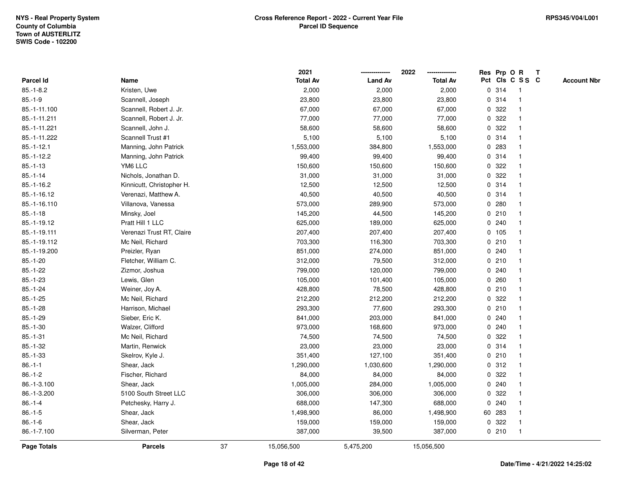|              |                           |    | 2021            |                | 2022            |             |        | Res Prp O R             | T |                    |
|--------------|---------------------------|----|-----------------|----------------|-----------------|-------------|--------|-------------------------|---|--------------------|
| Parcel Id    | Name                      |    | <b>Total Av</b> | <b>Land Av</b> | <b>Total Av</b> |             |        | Pct Cls C S S C         |   | <b>Account Nbr</b> |
| $85.-1-8.2$  | Kristen, Uwe              |    | 2,000           | 2,000          | 2,000           | 0           | 314    | $\mathbf{1}$            |   |                    |
| $85.-1-9$    | Scannell, Joseph          |    | 23,800          | 23,800         | 23,800          | 0           | 314    | $\overline{\mathbf{1}}$ |   |                    |
| 85.-1-11.100 | Scannell, Robert J. Jr.   |    | 67,000          | 67,000         | 67,000          |             | 0.322  | -1                      |   |                    |
| 85.-1-11.211 | Scannell, Robert J. Jr.   |    | 77,000          | 77,000         | 77,000          |             | 0 322  |                         |   |                    |
| 85.-1-11.221 | Scannell, John J.         |    | 58,600          | 58,600         | 58,600          |             | 0 322  |                         |   |                    |
| 85.-1-11.222 | Scannell Trust #1         |    | 5,100           | 5,100          | 5,100           |             | 0.314  |                         |   |                    |
| $85.-1-12.1$ | Manning, John Patrick     |    | 1,553,000       | 384,800        | 1,553,000       |             | 0.283  |                         |   |                    |
| $85.-1-12.2$ | Manning, John Patrick     |    | 99,400          | 99,400         | 99,400          | 0           | 314    |                         |   |                    |
| $85.-1-13$   | YM6 LLC                   |    | 150,600         | 150,600        | 150,600         | 0           | 322    |                         |   |                    |
| $85.-1-14$   | Nichols, Jonathan D.      |    | 31,000          | 31,000         | 31,000          |             | 0 322  | -1                      |   |                    |
| $85.-1-16.2$ | Kinnicutt, Christopher H. |    | 12,500          | 12,500         | 12,500          |             | 0.314  |                         |   |                    |
| 85.-1-16.12  | Verenazi, Matthew A.      |    | 40,500          | 40,500         | 40,500          |             | 0 314  |                         |   |                    |
| 85.-1-16.110 | Villanova, Vanessa        |    | 573,000         | 289,900        | 573,000         |             | 0.280  |                         |   |                    |
| $85.-1-18$   | Minsky, Joel              |    | 145,200         | 44,500         | 145,200         |             | 0210   |                         |   |                    |
| 85.-1-19.12  | Pratt Hill 1 LLC          |    | 625,000         | 189,000        | 625,000         | 0           | 240    |                         |   |                    |
| 85.-1-19.111 | Verenazi Trust RT, Claire |    | 207,400         | 207,400        | 207,400         |             | 0, 105 | $\mathbf{1}$            |   |                    |
| 85.-1-19.112 | Mc Neil, Richard          |    | 703,300         | 116,300        | 703,300         |             | 0210   | $\mathbf{1}$            |   |                    |
| 85.-1-19.200 | Preizler, Ryan            |    | 851,000         | 274,000        | 851,000         |             | 0.240  |                         |   |                    |
| $85.-1-20$   | Fletcher, William C.      |    | 312,000         | 79,500         | 312,000         |             | 0210   |                         |   |                    |
| $85.-1-22$   | Zizmor, Joshua            |    | 799,000         | 120,000        | 799,000         |             | 0.240  |                         |   |                    |
| $85.-1-23$   | Lewis, Glen               |    | 105,000         | 101,400        | 105,000         |             | 0.260  |                         |   |                    |
| $85.-1-24$   | Weiner, Joy A.            |    | 428,800         | 78,500         | 428,800         |             | 0210   |                         |   |                    |
| $85.-1-25$   | Mc Neil, Richard          |    | 212,200         | 212,200        | 212,200         | 0           | 322    |                         |   |                    |
| $85.-1-28$   | Harrison, Michael         |    | 293,300         | 77,600         | 293,300         | $\mathbf 0$ | 210    |                         |   |                    |
| $85.-1-29$   | Sieber, Eric K.           |    | 841,000         | 203,000        | 841,000         |             | 0.240  |                         |   |                    |
| $85.-1-30$   | Walzer, Clifford          |    | 973,000         | 168,600        | 973,000         |             | 0.240  |                         |   |                    |
| $85.-1-31$   | Mc Neil, Richard          |    | 74,500          | 74,500         | 74,500          | 0           | 322    |                         |   |                    |
| $85.-1-32$   | Martin, Renwick           |    | 23,000          | 23,000         | 23,000          |             | 0.314  |                         |   |                    |
| $85.-1-33$   | Skelrov, Kyle J.          |    | 351,400         | 127,100        | 351,400         |             | 0210   |                         |   |                    |
| $86.-1-1$    | Shear, Jack               |    | 1,290,000       | 1,030,600      | 1,290,000       | $\mathbf 0$ | 312    | -1                      |   |                    |
| $86.-1-2$    | Fischer, Richard          |    | 84,000          | 84,000         | 84,000          | 0           | 322    |                         |   |                    |
| 86.-1-3.100  | Shear, Jack               |    | 1,005,000       | 284,000        | 1,005,000       |             | 0.240  | -1                      |   |                    |
| 86.-1-3.200  | 5100 South Street LLC     |    | 306,000         | 306,000        | 306,000         | $\mathbf 0$ | 322    |                         |   |                    |
| $86.-1-4$    | Petchesky, Harry J.       |    | 688,000         | 147,300        | 688,000         |             | 0.240  |                         |   |                    |
| $86.-1-5$    | Shear, Jack               |    | 1,498,900       | 86,000         | 1,498,900       |             | 60 283 |                         |   |                    |
| $86 - 1 - 6$ | Shear, Jack               |    | 159,000         | 159,000        | 159,000         |             | 0 322  | -1                      |   |                    |
| 86.-1-7.100  | Silverman, Peter          |    | 387,000         | 39,500         | 387,000         |             | 0210   | $\mathbf{1}$            |   |                    |
| Page Totals  | <b>Parcels</b>            | 37 | 15,056,500      | 5,475,200      | 15,056,500      |             |        |                         |   |                    |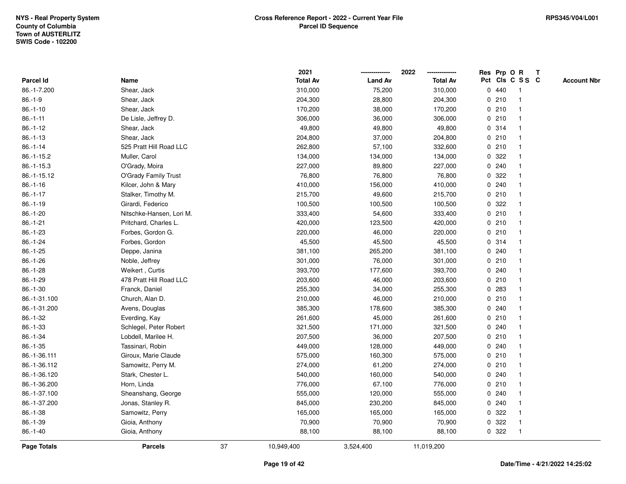|              |                          |    | 2021            |                | 2022            |              | Res Prp O R |                 | Т |                    |
|--------------|--------------------------|----|-----------------|----------------|-----------------|--------------|-------------|-----------------|---|--------------------|
| Parcel Id    | Name                     |    | <b>Total Av</b> | <b>Land Av</b> | <b>Total Av</b> |              |             | Pct Cls C S S C |   | <b>Account Nbr</b> |
| 86.-1-7.200  | Shear, Jack              |    | 310,000         | 75,200         | 310,000         |              | 0440        | -1              |   |                    |
| $86.-1-9$    | Shear, Jack              |    | 204,300         | 28,800         | 204,300         | 0            | 210         | $\mathbf 1$     |   |                    |
| $86.-1-10$   | Shear, Jack              |    | 170,200         | 38,000         | 170,200         |              | 0210        | $\mathbf 1$     |   |                    |
| $86.-1-11$   | De Lisle, Jeffrey D.     |    | 306,000         | 36,000         | 306,000         |              | 0210        |                 |   |                    |
| $86.-1-12$   | Shear, Jack              |    | 49,800          | 49,800         | 49,800          |              | 0.314       |                 |   |                    |
| $86.-1-13$   | Shear, Jack              |    | 204,800         | 37,000         | 204,800         |              | 0210        |                 |   |                    |
| $86.-1-14$   | 525 Pratt Hill Road LLC  |    | 262,800         | 57,100         | 332,600         |              | 0210        |                 |   |                    |
| 86.-1-15.2   | Muller, Carol            |    | 134,000         | 134,000        | 134,000         | 0            | 322         |                 |   |                    |
| $86.-1-15.3$ | O'Grady, Moira           |    | 227,000         | 89,800         | 227,000         | 0            | 240         |                 |   |                    |
| 86.-1-15.12  | O'Grady Family Trust     |    | 76,800          | 76,800         | 76,800          |              | 0 322       |                 |   |                    |
| $86.-1-16$   | Kilcer, John & Mary      |    | 410,000         | 156,000        | 410,000         |              | 0.240       |                 |   |                    |
| $86.-1-17$   | Stalker, Timothy M.      |    | 215,700         | 49,600         | 215,700         |              | 0210        |                 |   |                    |
| $86.-1-19$   | Girardi, Federico        |    | 100,500         | 100,500        | 100,500         | 0            | 322         |                 |   |                    |
| $86.-1-20$   | Nitschke-Hansen, Lori M. |    | 333,400         | 54,600         | 333,400         |              | 0210        |                 |   |                    |
| $86.-1-21$   | Pritchard, Charles L.    |    | 420,000         | 123,500        | 420,000         | $\mathbf 0$  | 210         |                 |   |                    |
| $86.-1-23$   | Forbes, Gordon G.        |    | 220,000         | 46,000         | 220,000         | 0            | 210         | $\overline{1}$  |   |                    |
| $86.-1-24$   | Forbes, Gordon           |    | 45,500          | 45,500         | 45,500          |              | 0.314       | $\mathbf{1}$    |   |                    |
| $86.-1-25$   | Deppe, Janina            |    | 381,100         | 265,200        | 381,100         |              | 0.240       |                 |   |                    |
| $86.-1-26$   | Noble, Jeffrey           |    | 301,000         | 76,000         | 301,000         |              | 0210        |                 |   |                    |
| 86.-1-28     | Weikert, Curtis          |    | 393,700         | 177,600        | 393,700         |              | 0.240       |                 |   |                    |
| $86.-1-29$   | 478 Pratt Hill Road LLC  |    | 203,600         | 46,000         | 203,600         |              | 0210        |                 |   |                    |
| $86.-1-30$   | Franck, Daniel           |    | 255,300         | 34,000         | 255,300         | 0            | 283         |                 |   |                    |
| 86.-1-31.100 | Church, Alan D.          |    | 210,000         | 46,000         | 210,000         | 0            | 210         | -1              |   |                    |
| 86.-1-31.200 | Avens, Douglas           |    | 385,300         | 178,600        | 385,300         | $\mathbf{0}$ | 240         |                 |   |                    |
| 86.-1-32     | Everding, Kay            |    | 261,600         | 45,000         | 261,600         |              | 0210        |                 |   |                    |
| 86.-1-33     | Schlegel, Peter Robert   |    | 321,500         | 171,000        | 321,500         |              | 0.240       |                 |   |                    |
| 86.-1-34     | Lobdell, Marilee H.      |    | 207,500         | 36,000         | 207,500         |              | 0210        |                 |   |                    |
| $86.-1-35$   | Tassinari, Robin         |    | 449,000         | 128,000        | 449,000         | 0            | 240         |                 |   |                    |
| 86.-1-36.111 | Giroux, Marie Claude     |    | 575,000         | 160,300        | 575,000         | 0            | 210         |                 |   |                    |
| 86.-1-36.112 | Samowitz, Perry M.       |    | 274,000         | 61,200         | 274,000         | 0            | 210         |                 |   |                    |
| 86.-1-36.120 | Stark, Chester L.        |    | 540,000         | 160,000        | 540,000         | 0            | 240         | $\mathbf 1$     |   |                    |
| 86.-1-36.200 | Horn, Linda              |    | 776,000         | 67,100         | 776,000         |              | 0210        |                 |   |                    |
| 86.-1-37.100 | Sheanshang, George       |    | 555,000         | 120,000        | 555,000         |              | 0.240       |                 |   |                    |
| 86.-1-37.200 | Jonas, Stanley R.        |    | 845,000         | 230,200        | 845,000         |              | 0.240       |                 |   |                    |
| 86.-1-38     | Samowitz, Perry          |    | 165,000         | 165,000        | 165,000         | 0            | 322         |                 |   |                    |
| 86.-1-39     | Gioia, Anthony           |    | 70,900          | 70,900         | 70,900          | 0            | 322         |                 |   |                    |
| $86.-1-40$   | Gioia, Anthony           |    | 88,100          | 88,100         | 88,100          | 0            | 322         | $\mathbf{1}$    |   |                    |
| Page Totals  | <b>Parcels</b>           | 37 | 10,949,400      | 3,524,400      | 11,019,200      |              |             |                 |   |                    |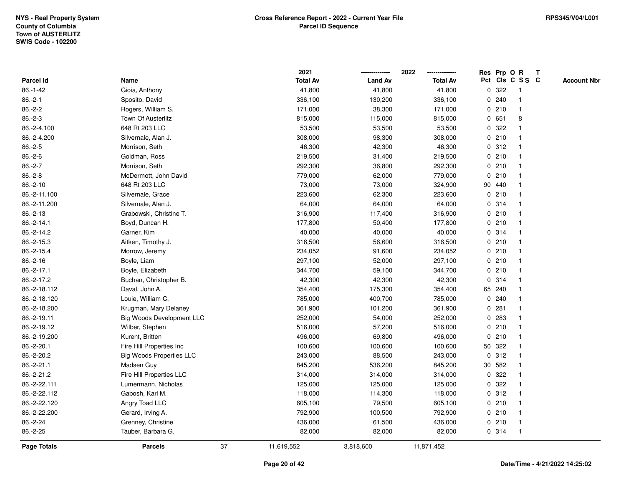|                    |                                  |    | 2021            |                | 2022            |              |        | Res Prp O R     | T |                    |
|--------------------|----------------------------------|----|-----------------|----------------|-----------------|--------------|--------|-----------------|---|--------------------|
| Parcel Id          | Name                             |    | <b>Total Av</b> | <b>Land Av</b> | <b>Total Av</b> |              |        | Pct Cls C S S C |   | <b>Account Nbr</b> |
| $86.-1-42$         | Gioia, Anthony                   |    | 41,800          | 41,800         | 41,800          | $\mathbf 0$  | 322    | -1              |   |                    |
| $86.-2-1$          | Sposito, David                   |    | 336,100         | 130,200        | 336,100         | 0            | 240    | -1              |   |                    |
| $86.-2-2$          | Rogers, William S.               |    | 171,000         | 38,300         | 171,000         |              | 0210   | $\mathbf{1}$    |   |                    |
| $86.-2-3$          | Town Of Austerlitz               |    | 815,000         | 115,000        | 815,000         |              | 0 651  | 8               |   |                    |
| 86.-2-4.100        | 648 Rt 203 LLC                   |    | 53,500          | 53,500         | 53,500          |              | 0 322  |                 |   |                    |
| 86.-2-4.200        | Silvernale, Alan J.              |    | 308,000         | 98,300         | 308,000         |              | 0210   |                 |   |                    |
| $86.-2-5$          | Morrison, Seth                   |    | 46,300          | 42,300         | 46,300          |              | 0.312  |                 |   |                    |
| $86.-2-6$          | Goldman, Ross                    |    | 219,500         | 31,400         | 219,500         | $\mathbf 0$  | 210    |                 |   |                    |
| $86.-2-7$          | Morrison, Seth                   |    | 292,300         | 36,800         | 292,300         |              | 0210   | $\mathbf 1$     |   |                    |
| $86.-2-8$          | McDermott, John David            |    | 779,000         | 62,000         | 779,000         |              | 0210   | 1               |   |                    |
| $86.-2-10$         | 648 Rt 203 LLC                   |    | 73,000          | 73,000         | 324,900         |              | 90 440 |                 |   |                    |
| 86.-2-11.100       | Silvernale, Grace                |    | 223,600         | 62,300         | 223,600         |              | 0210   |                 |   |                    |
| 86.-2-11.200       | Silvernale, Alan J.              |    | 64,000          | 64,000         | 64,000          |              | 0.314  |                 |   |                    |
| $86.-2-13$         | Grabowski, Christine T.          |    | 316,900         | 117,400        | 316,900         |              | 0210   |                 |   |                    |
| 86.-2-14.1         | Boyd, Duncan H.                  |    | 177,800         | 50,400         | 177,800         | $\mathbf 0$  | 210    |                 |   |                    |
| 86.-2-14.2         | Garner, Kim                      |    | 40,000          | 40,000         | 40,000          |              | 0.314  | $\mathbf{1}$    |   |                    |
| 86.-2-15.3         | Aitken, Timothy J.               |    | 316,500         | 56,600         | 316,500         |              | 0210   | $\mathbf{1}$    |   |                    |
| 86.-2-15.4         | Morrow, Jeremy                   |    | 234,052         | 91,600         | 234,052         |              | 0210   |                 |   |                    |
| $86.-2-16$         | Boyle, Liam                      |    | 297,100         | 52,000         | 297,100         |              | 0210   |                 |   |                    |
| 86.-2-17.1         | Boyle, Elizabeth                 |    | 344,700         | 59,100         | 344,700         |              | 0210   |                 |   |                    |
| 86.-2-17.2         | Buchan, Christopher B.           |    | 42,300          | 42,300         | 42,300          |              | 0 314  |                 |   |                    |
| 86.-2-18.112       | Daval, John A.                   |    | 354,400         | 175,300        | 354,400         |              | 65 240 |                 |   |                    |
| 86.-2-18.120       | Louie, William C.                |    | 785,000         | 400,700        | 785,000         |              | 0.240  |                 |   |                    |
| 86.-2-18.200       | Krugman, Mary Delaney            |    | 361,900         | 101,200        | 361,900         | $\mathbf 0$  | 281    |                 |   |                    |
| 86.-2-19.11        | <b>Big Woods Development LLC</b> |    | 252,000         | 54,000         | 252,000         |              | 0 283  |                 |   |                    |
| 86.-2-19.12        | Wilber, Stephen                  |    | 516,000         | 57,200         | 516,000         |              | 0210   |                 |   |                    |
| 86.-2-19.200       | Kurent, Britten                  |    | 496,000         | 69,800         | 496,000         |              | 0210   |                 |   |                    |
| 86.-2-20.1         | Fire Hill Properties Inc         |    | 100,600         | 100,600        | 100,600         |              | 50 322 |                 |   |                    |
| 86.-2-20.2         | <b>Big Woods Properties LLC</b>  |    | 243,000         | 88,500         | 243,000         | $\mathbf{0}$ | 312    |                 |   |                    |
| 86.-2-21.1         | Madsen Guy                       |    | 845,200         | 536,200        | 845,200         |              | 30 582 |                 |   |                    |
| 86.-2-21.2         | Fire Hill Properties LLC         |    | 314,000         | 314,000        | 314,000         | 0            | 322    | 1               |   |                    |
| 86.-2-22.111       | Lumermann, Nicholas              |    | 125,000         | 125,000        | 125,000         |              | 0.322  |                 |   |                    |
| 86.-2-22.112       | Gabosh, Karl M.                  |    | 118,000         | 114,300        | 118,000         |              | 0.312  |                 |   |                    |
| 86.-2-22.120       | Angry Toad LLC                   |    | 605,100         | 79,500         | 605,100         |              | 0210   |                 |   |                    |
| 86.-2-22.200       | Gerard, Irving A.                |    | 792,900         | 100,500        | 792,900         |              | 0210   |                 |   |                    |
| 86.-2-24           | Grenney, Christine               |    | 436,000         | 61,500         | 436,000         |              | 0210   |                 |   |                    |
| 86.-2-25           | Tauber, Barbara G.               |    | 82,000          | 82,000         | 82,000          |              | 0 314  | $\overline{1}$  |   |                    |
| <b>Page Totals</b> | <b>Parcels</b>                   | 37 | 11,619,552      | 3,818,600      | 11,871,452      |              |        |                 |   |                    |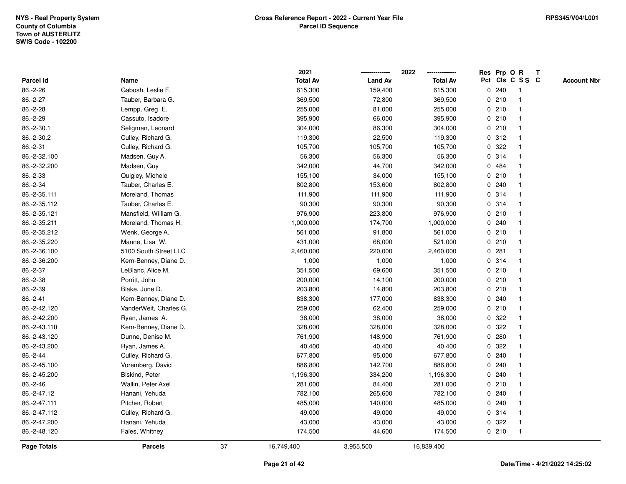|                    |                        |    | 2021            |                | 2022            |             |       | Res Prp O R     | Т |                    |
|--------------------|------------------------|----|-----------------|----------------|-----------------|-------------|-------|-----------------|---|--------------------|
| Parcel Id          | Name                   |    | <b>Total Av</b> | <b>Land Av</b> | <b>Total Av</b> |             |       | Pct Cls C S S C |   | <b>Account Nbr</b> |
| 86.-2-26           | Gabosh, Leslie F.      |    | 615,300         | 159,400        | 615,300         |             | 0.240 | -1              |   |                    |
| 86.-2-27           | Tauber, Barbara G.     |    | 369,500         | 72,800         | 369,500         |             | 0210  | $\mathbf 1$     |   |                    |
| 86.-2-28           | Lempp, Greg E.         |    | 255,000         | 81,000         | 255,000         |             | 0210  | $\mathbf 1$     |   |                    |
| 86.-2-29           | Cassuto, Isadore       |    | 395,900         | 66,000         | 395,900         |             | 0210  |                 |   |                    |
| 86.-2-30.1         | Seligman, Leonard      |    | 304,000         | 86,300         | 304,000         |             | 0210  |                 |   |                    |
| 86.-2-30.2         | Culley, Richard G.     |    | 119,300         | 22,500         | 119,300         |             | 0.312 |                 |   |                    |
| 86.-2-31           | Culley, Richard G.     |    | 105,700         | 105,700        | 105,700         |             | 0 322 |                 |   |                    |
| 86.-2-32.100       | Madsen, Guy A.         |    | 56,300          | 56,300         | 56,300          | $\mathbf 0$ | 314   |                 |   |                    |
| 86.-2-32.200       | Madsen, Guy            |    | 342,000         | 44,700         | 342,000         |             | 0 484 | -1              |   |                    |
| 86.-2-33           | Quigley, Michele       |    | 155,100         | 34,000         | 155,100         |             | 0210  | $\mathbf 1$     |   |                    |
| 86.-2-34           | Tauber, Charles E.     |    | 802,800         | 153,600        | 802,800         |             | 0.240 | -1              |   |                    |
| 86.-2-35.111       | Moreland, Thomas       |    | 111,900         | 111,900        | 111,900         |             | 0.314 |                 |   |                    |
| 86.-2-35.112       | Tauber, Charles E.     |    | 90,300          | 90,300         | 90,300          |             | 0.314 |                 |   |                    |
| 86.-2-35.121       | Mansfield, William G.  |    | 976,900         | 223,800        | 976,900         |             | 0210  |                 |   |                    |
| 86.-2-35.211       | Moreland, Thomas H.    |    | 1,000,000       | 174,700        | 1,000,000       |             | 0.240 |                 |   |                    |
| 86.-2-35.212       | Wenk, George A.        |    | 561,000         | 91,800         | 561,000         |             | 0210  | $\mathbf{1}$    |   |                    |
| 86.-2-35.220       | Manne, Lisa W.         |    | 431,000         | 68,000         | 521,000         |             | 0210  | $\mathbf{1}$    |   |                    |
| 86.-2-36.100       | 5100 South Street LLC  |    | 2,460,000       | 220,000        | 2,460,000       |             | 0.281 |                 |   |                    |
| 86.-2-36.200       | Kern-Benney, Diane D.  |    | 1,000           | 1,000          | 1,000           |             | 0.314 |                 |   |                    |
| 86.-2-37           | LeBlanc, Alice M.      |    | 351,500         | 69,600         | 351,500         |             | 0210  |                 |   |                    |
| 86.-2-38           | Porritt, John          |    | 200,000         | 14,100         | 200,000         |             | 0210  |                 |   |                    |
| 86.-2-39           | Blake, June D.         |    | 203,800         | 14,800         | 203,800         |             | 0210  |                 |   |                    |
| $86.-2-41$         | Kern-Benney, Diane D.  |    | 838,300         | 177,000        | 838,300         |             | 0.240 | -1              |   |                    |
| 86.-2-42.120       | VanderWeit, Charles G. |    | 259,000         | 62,400         | 259,000         |             | 0210  | $\mathbf 1$     |   |                    |
| 86.-2-42.200       | Ryan, James A.         |    | 38,000          | 38,000         | 38,000          |             | 0.322 | -1              |   |                    |
| 86.-2-43.110       | Kern-Benney, Diane D.  |    | 328,000         | 328,000        | 328,000         |             | 0.322 |                 |   |                    |
| 86.-2-43.120       | Dunne, Denise M.       |    | 761,900         | 148,900        | 761,900         |             | 0.280 |                 |   |                    |
| 86.-2-43.200       | Ryan, James A.         |    | 40,400          | 40,400         | 40,400          | 0           | 322   |                 |   |                    |
| 86.-2-44           | Culley, Richard G.     |    | 677,800         | 95,000         | 677,800         |             | 0.240 |                 |   |                    |
| 86.-2-45.100       | Voremberg, David       |    | 886,800         | 142,700        | 886,800         | $\mathbf 0$ | 240   | -1              |   |                    |
| 86.-2-45.200       | <b>Biskind, Peter</b>  |    | 1,196,300       | 334,200        | 1,196,300       | 0           | 240   | -1              |   |                    |
| 86.-2-46           | Wallin, Peter Axel     |    | 281,000         | 84,400         | 281,000         |             | 0210  | -1              |   |                    |
| 86.-2-47.12        | Hanani, Yehuda         |    | 782,100         | 265,600        | 782,100         |             | 0.240 |                 |   |                    |
| 86.-2-47.111       | Pitcher, Robert        |    | 485,000         | 140,000        | 485,000         |             | 0.240 |                 |   |                    |
| 86.-2-47.112       | Culley, Richard G.     |    | 49,000          | 49,000         | 49,000          |             | 0.314 | -1              |   |                    |
| 86.-2-47.200       | Hanani, Yehuda         |    | 43,000          | 43,000         | 43,000          | 0           | 322   | -1              |   |                    |
| 86.-2-48.120       | Fales, Whitney         |    | 174,500         | 44,600         | 174,500         |             | 0210  | $\mathbf{1}$    |   |                    |
| <b>Page Totals</b> | <b>Parcels</b>         | 37 | 16,749,400      | 3,955,500      | 16,839,400      |             |       |                 |   |                    |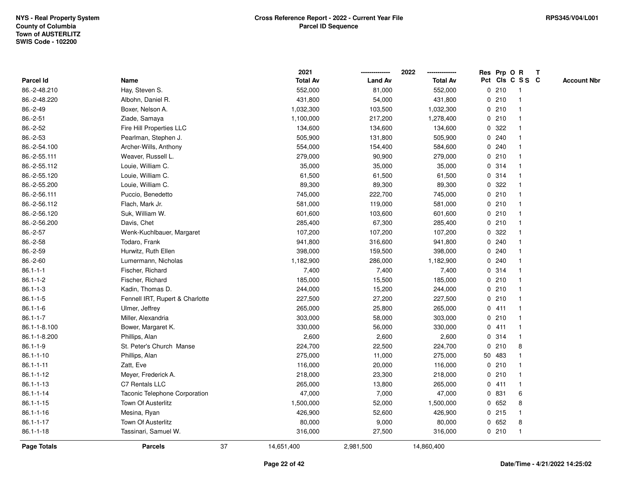|                    |                                 |    | 2021            |                | 2022            |              |         | Res Prp O R     | T |                    |
|--------------------|---------------------------------|----|-----------------|----------------|-----------------|--------------|---------|-----------------|---|--------------------|
| Parcel Id          | Name                            |    | <b>Total Av</b> | <b>Land Av</b> | <b>Total Av</b> |              |         | Pct Cls C S S C |   | <b>Account Nbr</b> |
| 86.-2-48.210       | Hay, Steven S.                  |    | 552,000         | 81,000         | 552,000         |              | 0210    | -1              |   |                    |
| 86.-2-48.220       | Albohn, Daniel R.               |    | 431,800         | 54,000         | 431,800         | 0            | 210     | $\mathbf 1$     |   |                    |
| 86.-2-49           | Boxer, Nelson A.                |    | 1,032,300       | 103,500        | 1,032,300       |              | 0210    | $\mathbf 1$     |   |                    |
| $86.-2-51$         | Ziade, Samaya                   |    | 1,100,000       | 217,200        | 1,278,400       |              | 0210    |                 |   |                    |
| 86.-2-52           | Fire Hill Properties LLC        |    | 134,600         | 134,600        | 134,600         |              | 0 322   |                 |   |                    |
| 86.-2-53           | Pearlman, Stephen J.            |    | 505,900         | 131,800        | 505,900         |              | 0.240   |                 |   |                    |
| 86.-2-54.100       | Archer-Wills, Anthony           |    | 554,000         | 154,400        | 584,600         |              | 0.240   |                 |   |                    |
| 86.-2-55.111       | Weaver, Russell L.              |    | 279,000         | 90,900         | 279,000         | 0            | 210     |                 |   |                    |
| 86.-2-55.112       | Louie, William C.               |    | 35,000          | 35,000         | 35,000          |              | 0 314   | -1              |   |                    |
| 86.-2-55.120       | Louie, William C.               |    | 61,500          | 61,500         | 61,500          |              | 0.314   | $\mathbf 1$     |   |                    |
| 86.-2-55.200       | Louie, William C.               |    | 89,300          | 89,300         | 89,300          |              | 0.322   |                 |   |                    |
| 86.-2-56.111       | Puccio, Benedetto               |    | 745,000         | 222,700        | 745,000         |              | 0210    |                 |   |                    |
| 86.-2-56.112       | Flach, Mark Jr.                 |    | 581,000         | 119,000        | 581,000         |              | 0210    |                 |   |                    |
| 86.-2-56.120       | Suk, William W.                 |    | 601,600         | 103,600        | 601,600         |              | 0210    |                 |   |                    |
| 86.-2-56.200       | Davis, Chet                     |    | 285,400         | 67,300         | 285,400         | 0            | 210     |                 |   |                    |
| 86.-2-57           | Wenk-Kuchlbauer, Margaret       |    | 107,200         | 107,200        | 107,200         | $\mathbf{0}$ | 322     |                 |   |                    |
| 86.-2-58           | Todaro, Frank                   |    | 941,800         | 316,600        | 941,800         | $\mathbf 0$  | 240     |                 |   |                    |
| 86.-2-59           | Hurwitz, Ruth Ellen             |    | 398,000         | 159,500        | 398,000         |              | 0.240   |                 |   |                    |
| 86.-2-60           | Lumermann, Nicholas             |    | 1,182,900       | 286,000        | 1,182,900       |              | 0.240   |                 |   |                    |
| $86.1 - 1 - 1$     | Fischer, Richard                |    | 7,400           | 7,400          | 7,400           |              | 0.314   |                 |   |                    |
| $86.1 - 1 - 2$     | Fischer, Richard                |    | 185,000         | 15,500         | 185,000         |              | 0210    |                 |   |                    |
| $86.1 - 1 - 3$     | Kadin, Thomas D.                |    | 244,000         | 15,200         | 244,000         |              | 0210    |                 |   |                    |
| $86.1 - 1 - 5$     | Fennell IRT, Rupert & Charlotte |    | 227,500         | 27,200         | 227,500         |              | 0210    | -1              |   |                    |
| $86.1 - 1 - 6$     | Ulmer, Jeffrey                  |    | 265,000         | 25,800         | 265,000         | $\mathbf{0}$ | 411     | -1              |   |                    |
| $86.1 - 1 - 7$     | Miller, Alexandria              |    | 303,000         | 58,000         | 303,000         |              | 0210    |                 |   |                    |
| 86.1-1-8.100       | Bower, Margaret K.              |    | 330,000         | 56,000         | 330,000         |              | 0411    |                 |   |                    |
| 86.1-1-8.200       | Phillips, Alan                  |    | 2,600           | 2,600          | 2,600           |              | 0.314   |                 |   |                    |
| $86.1 - 1 - 9$     | St. Peter's Church Manse        |    | 224,700         | 22,500         | 224,700         | $\mathbf 0$  | 210     | 8               |   |                    |
| $86.1 - 1 - 10$    | Phillips, Alan                  |    | 275,000         | 11,000         | 275,000         |              | 50 483  |                 |   |                    |
| $86.1 - 1 - 11$    | Zatt, Eve                       |    | 116,000         | 20,000         | 116,000         | 0            | 210     |                 |   |                    |
| 86.1-1-12          | Meyer, Frederick A.             |    | 218,000         | 23,300         | 218,000         | 0            | 210     | -1              |   |                    |
| $86.1 - 1 - 13$    | C7 Rentals LLC                  |    | 265,000         | 13,800         | 265,000         |              | 0411    | $\mathbf{1}$    |   |                    |
| $86.1 - 1 - 14$    | Taconic Telephone Corporation   |    | 47,000          | 7,000          | 47,000          |              | 0 831   | 6               |   |                    |
| $86.1 - 1 - 15$    | <b>Town Of Austerlitz</b>       |    | 1,500,000       | 52,000         | 1,500,000       |              | 0 652   | 8               |   |                    |
| 86.1-1-16          | Mesina, Ryan                    |    | 426,900         | 52,600         | 426,900         |              | $0$ 215 |                 |   |                    |
| $86.1 - 1 - 17$    | <b>Town Of Austerlitz</b>       |    | 80,000          | 9,000          | 80,000          | 0            | 652     | 8               |   |                    |
| $86.1 - 1 - 18$    | Tassinari, Samuel W.            |    | 316,000         | 27,500         | 316,000         |              | 0210    | $\overline{1}$  |   |                    |
| <b>Page Totals</b> | <b>Parcels</b>                  | 37 | 14,651,400      | 2,981,500      | 14,860,400      |              |         |                 |   |                    |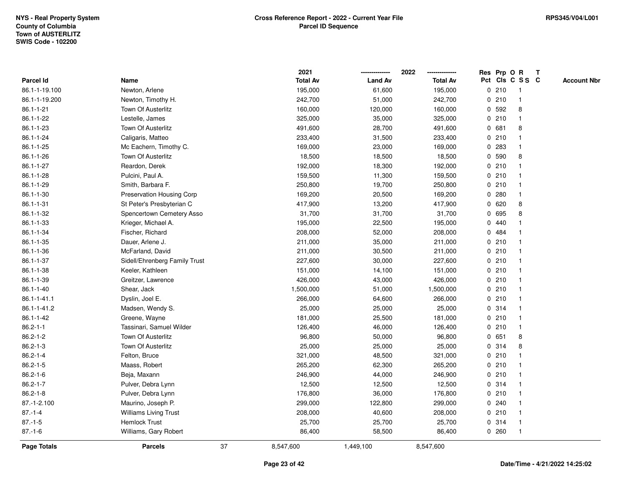|                 |                               |    | 2021            |                | 2022            |              |       | Res Prp O R     | $\mathbf{T}$ |                    |
|-----------------|-------------------------------|----|-----------------|----------------|-----------------|--------------|-------|-----------------|--------------|--------------------|
| Parcel Id       | Name                          |    | <b>Total Av</b> | <b>Land Av</b> | <b>Total Av</b> |              |       | Pct Cls C S S C |              | <b>Account Nbr</b> |
| 86.1-1-19.100   | Newton, Arlene                |    | 195,000         | 61,600         | 195,000         |              | 0210  | -1              |              |                    |
| 86.1-1-19.200   | Newton, Timothy H.            |    | 242,700         | 51,000         | 242,700         |              | 0210  |                 |              |                    |
| $86.1 - 1 - 21$ | Town Of Austerlitz            |    | 160,000         | 120,000        | 160,000         | $\mathbf 0$  | 592   | 8               |              |                    |
| 86.1-1-22       | Lestelle, James               |    | 325,000         | 35,000         | 325,000         | 0            | 210   | $\mathbf{1}$    |              |                    |
| 86.1-1-23       | Town Of Austerlitz            |    | 491,600         | 28,700         | 491,600         |              | 0 681 | 8               |              |                    |
| 86.1-1-24       | Caligaris, Matteo             |    | 233,400         | 31,500         | 233,400         |              | 0210  | -1              |              |                    |
| 86.1-1-25       | Mc Eachern, Timothy C.        |    | 169,000         | 23,000         | 169,000         |              | 0.283 |                 |              |                    |
| 86.1-1-26       | Town Of Austerlitz            |    | 18,500          | 18,500         | 18,500          |              | 0 590 | 8               |              |                    |
| 86.1-1-27       | Reardon, Derek                |    | 192,000         | 18,300         | 192,000         |              | 0210  |                 |              |                    |
| 86.1-1-28       | Pulcini, Paul A.              |    | 159,500         | 11,300         | 159,500         |              | 0210  |                 |              |                    |
| 86.1-1-29       | Smith, Barbara F.             |    | 250,800         | 19,700         | 250,800         |              | 0210  | -1              |              |                    |
| 86.1-1-30       | Preservation Housing Corp     |    | 169,200         | 20,500         | 169,200         | $\mathbf 0$  | 280   | $\mathbf{1}$    |              |                    |
| $86.1 - 1 - 31$ | St Peter's Presbyterian C     |    | 417,900         | 13,200         | 417,900         |              | 0620  | 8               |              |                    |
| 86.1-1-32       | Spencertown Cemetery Asso     |    | 31,700          | 31,700         | 31,700          |              | 0 695 | 8               |              |                    |
| 86.1-1-33       | Krieger, Michael A.           |    | 195,000         | 22,500         | 195,000         | $\mathbf{0}$ | 440   |                 |              |                    |
| 86.1-1-34       | Fischer, Richard              |    | 208,000         | 52,000         | 208,000         | 0            | 484   |                 |              |                    |
| 86.1-1-35       | Dauer, Arlene J.              |    | 211,000         | 35,000         | 211,000         | 0            | 210   |                 |              |                    |
| 86.1-1-36       | McFarland, David              |    | 211,000         | 30,500         | 211,000         |              | 0210  | -1              |              |                    |
| 86.1-1-37       | Sidell/Ehrenberg Family Trust |    | 227,600         | 30,000         | 227,600         |              | 0210  | $\mathbf{1}$    |              |                    |
| 86.1-1-38       | Keeler, Kathleen              |    | 151,000         | 14,100         | 151,000         |              | 0210  |                 |              |                    |
| 86.1-1-39       | Greitzer, Lawrence            |    | 426,000         | 43,000         | 426,000         |              | 0210  |                 |              |                    |
| $86.1 - 1 - 40$ | Shear, Jack                   |    | 1,500,000       | 51,000         | 1,500,000       |              | 0210  |                 |              |                    |
| 86.1-1-41.1     | Dyslin, Joel E.               |    | 266,000         | 64,600         | 266,000         |              | 0210  | -1              |              |                    |
| 86.1-1-41.2     | Madsen, Wendy S.              |    | 25,000          | 25,000         | 25,000          |              | 0.314 | $\mathbf{1}$    |              |                    |
| 86.1-1-42       | Greene, Wayne                 |    | 181,000         | 25,500         | 181,000         |              | 0210  | -1              |              |                    |
| $86.2 - 1 - 1$  | Tassinari, Samuel Wilder      |    | 126,400         | 46,000         | 126,400         |              | 0210  | $\mathbf 1$     |              |                    |
| $86.2 - 1 - 2$  | Town Of Austerlitz            |    | 96,800          | 50,000         | 96,800          |              | 0 651 | 8               |              |                    |
| $86.2 - 1 - 3$  | Town Of Austerlitz            |    | 25,000          | 25,000         | 25,000          |              | 0.314 | 8               |              |                    |
| $86.2 - 1 - 4$  | Felton, Bruce                 |    | 321,000         | 48,500         | 321,000         |              | 0210  |                 |              |                    |
| $86.2 - 1 - 5$  | Maass, Robert                 |    | 265,200         | 62,300         | 265,200         |              | 0210  |                 |              |                    |
| $86.2 - 1 - 6$  | Beja, Maxann                  |    | 246,900         | 44,000         | 246,900         |              | 0210  | -1              |              |                    |
| $86.2 - 1 - 7$  | Pulver, Debra Lynn            |    | 12,500          | 12,500         | 12,500          |              | 0.314 | $\mathbf 1$     |              |                    |
| $86.2 - 1 - 8$  | Pulver, Debra Lynn            |    | 176,800         | 36,000         | 176,800         |              | 0210  |                 |              |                    |
| 87.-1-2.100     | Maurino, Joseph P.            |    | 299,000         | 122,800        | 299,000         |              | 0.240 |                 |              |                    |
| $87 - 1 - 4$    | <b>Williams Living Trust</b>  |    | 208,000         | 40,600         | 208,000         |              | 0210  |                 |              |                    |
| $87.-1-5$       | <b>Hemlock Trust</b>          |    | 25,700          | 25,700         | 25,700          |              | 0.314 | $\mathbf{1}$    |              |                    |
| $87.-1-6$       | Williams, Gary Robert         |    | 86,400          | 58,500         | 86,400          |              | 0.260 | -1              |              |                    |
| Page Totals     | <b>Parcels</b>                | 37 | 8,547,600       | 1,449,100      | 8,547,600       |              |       |                 |              |                    |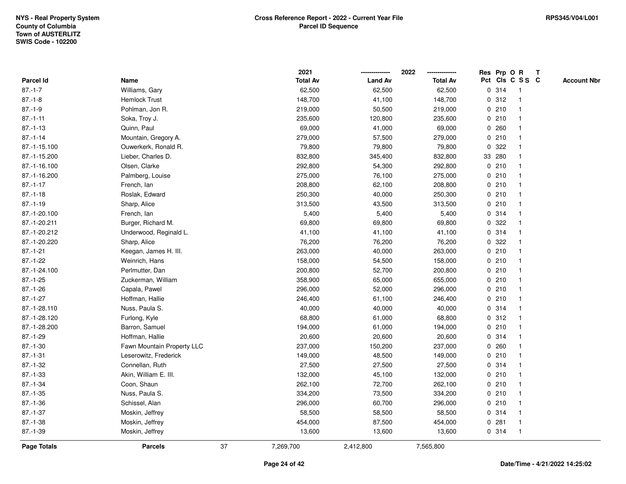|               |                            |    | 2021            |                | 2022            |             |        | Res Prp O R     | T |                    |
|---------------|----------------------------|----|-----------------|----------------|-----------------|-------------|--------|-----------------|---|--------------------|
| Parcel Id     | Name                       |    | <b>Total Av</b> | <b>Land Av</b> | <b>Total Av</b> |             |        | Pct Cls C S S C |   | <b>Account Nbr</b> |
| $87.-1-7$     | Williams, Gary             |    | 62,500          | 62,500         | 62,500          | 0           | 314    | $\mathbf{1}$    |   |                    |
| $87.-1-8$     | <b>Hemlock Trust</b>       |    | 148,700         | 41,100         | 148,700         | 0           | 312    | -1              |   |                    |
| $87.-1-9$     | Pohlman, Jon R.            |    | 219,000         | 50,500         | 219,000         |             | 0210   | $\mathbf 1$     |   |                    |
| $87.-1-11$    | Soka, Troy J.              |    | 235,600         | 120,800        | 235,600         |             | 0210   |                 |   |                    |
| $87 - 1 - 13$ | Quinn, Paul                |    | 69,000          | 41,000         | 69,000          |             | 0.260  |                 |   |                    |
| $87.-1-14$    | Mountain, Gregory A.       |    | 279,000         | 57,500         | 279,000         |             | 0210   |                 |   |                    |
| 87.-1-15.100  | Ouwerkerk, Ronald R.       |    | 79,800          | 79,800         | 79,800          | 0           | 322    |                 |   |                    |
| 87.-1-15.200  | Lieber, Charles D.         |    | 832,800         | 345,400        | 832,800         |             | 33 280 |                 |   |                    |
| 87.-1-16.100  | Olsen, Clarke              |    | 292,800         | 54,300         | 292,800         | 0           | 210    | -1              |   |                    |
| 87.-1-16.200  | Palmberg, Louise           |    | 275,000         | 76,100         | 275,000         |             | 0210   | $\mathbf{1}$    |   |                    |
| $87.-1-17$    | French, Ian                |    | 208,800         | 62,100         | 208,800         |             | 0210   |                 |   |                    |
| $87.-1-18$    | Roslak, Edward             |    | 250,300         | 40,000         | 250,300         |             | 0210   |                 |   |                    |
| $87.-1-19$    | Sharp, Alice               |    | 313,500         | 43,500         | 313,500         |             | 0210   |                 |   |                    |
| 87.-1-20.100  | French, Ian                |    | 5,400           | 5,400          | 5,400           |             | 0 314  |                 |   |                    |
| 87.-1-20.211  | Burger, Richard M.         |    | 69,800          | 69,800         | 69,800          | 0           | 322    |                 |   |                    |
| 87.-1-20.212  | Underwood, Reginald L.     |    | 41,100          | 41,100         | 41,100          |             | 0.314  | $\mathbf{1}$    |   |                    |
| 87.-1-20.220  | Sharp, Alice               |    | 76,200          | 76,200         | 76,200          | $\mathbf 0$ | 322    |                 |   |                    |
| $87.-1-21$    | Keegan, James H. III.      |    | 263,000         | 40,000         | 263,000         |             | 0210   |                 |   |                    |
| $87.-1-22$    | Weinrich, Hans             |    | 158,000         | 54,500         | 158,000         |             | 0210   |                 |   |                    |
| 87.-1-24.100  | Perlmutter, Dan            |    | 200,800         | 52,700         | 200,800         |             | 0210   |                 |   |                    |
| $87 - 1 - 25$ | Zuckerman, William         |    | 358,900         | 65,000         | 655,000         |             | 0210   |                 |   |                    |
| $87 - 1 - 26$ | Capala, Pawel              |    | 296,000         | 52,000         | 296,000         |             | 0210   |                 |   |                    |
| $87.-1-27$    | Hoffman, Hallie            |    | 246,400         | 61,100         | 246,400         | 0           | 210    | $\mathbf{1}$    |   |                    |
| 87.-1-28.110  | Nuss, Paula S.             |    | 40,000          | 40,000         | 40,000          |             | 0 314  | $\mathbf{1}$    |   |                    |
| 87.-1-28.120  | Furlong, Kyle              |    | 68,800          | 61,000         | 68,800          |             | 0.312  |                 |   |                    |
| 87.-1-28.200  | Barron, Samuel             |    | 194,000         | 61,000         | 194,000         |             | 0210   |                 |   |                    |
| $87.-1-29$    | Hoffman, Hallie            |    | 20,600          | 20,600         | 20,600          |             | 0.314  |                 |   |                    |
| $87.-1-30$    | Fawn Mountain Property LLC |    | 237,000         | 150,200        | 237,000         |             | 0.260  |                 |   |                    |
| $87 - 1 - 31$ | Leserowitz, Frederick      |    | 149,000         | 48,500         | 149,000         |             | 0210   |                 |   |                    |
| $87 - 1 - 32$ | Connellan, Ruth            |    | 27,500          | 27,500         | 27,500          |             | 0.314  |                 |   |                    |
| $87.-1-33$    | Akin, William E. III.      |    | 132,000         | 45,100         | 132,000         |             | 0210   | -1              |   |                    |
| $87.-1-34$    | Coon, Shaun                |    | 262,100         | 72,700         | 262,100         |             | 0210   | $\mathbf 1$     |   |                    |
| $87.-1-35$    | Nuss, Paula S.             |    | 334,200         | 73,500         | 334,200         |             | 0210   |                 |   |                    |
| $87.-1-36$    | Schissel, Alan             |    | 296,000         | 60,700         | 296,000         |             | 0210   |                 |   |                    |
| $87.-1-37$    | Moskin, Jeffrey            |    | 58,500          | 58,500         | 58,500          |             | 0 314  | -1              |   |                    |
| $87.-1-38$    | Moskin, Jeffrey            |    | 454,000         | 87,500         | 454,000         | 0           | 281    | -1              |   |                    |
| $87.-1-39$    | Moskin, Jeffrey            |    | 13,600          | 13,600         | 13,600          |             | 0 314  | $\mathbf{1}$    |   |                    |
| Page Totals   | <b>Parcels</b>             | 37 | 7,269,700       | 2,412,800      | 7,565,800       |             |        |                 |   |                    |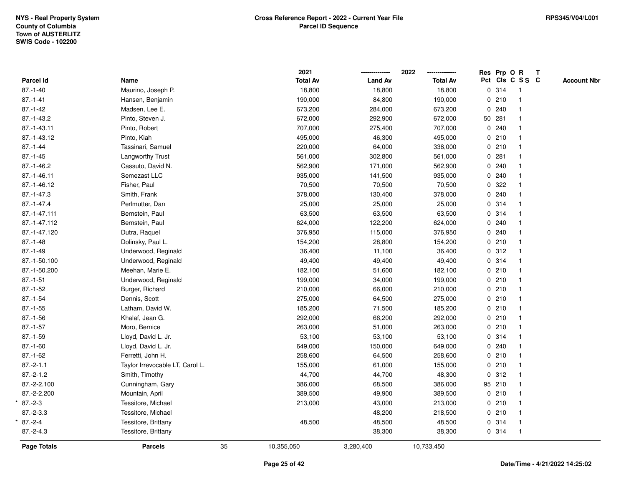|                 |                                 |    | 2021            |                | 2022            | Res Prp O R     |                         | $\mathbf{T}$ |                    |
|-----------------|---------------------------------|----|-----------------|----------------|-----------------|-----------------|-------------------------|--------------|--------------------|
| Parcel Id       | Name                            |    | <b>Total Av</b> | <b>Land Av</b> | <b>Total Av</b> | Pct Cls C S S C |                         |              | <b>Account Nbr</b> |
| $87.-1-40$      | Maurino, Joseph P.              |    | 18,800          | 18,800         | 18,800          | 0.314           | $\overline{1}$          |              |                    |
| $87 - 1 - 41$   | Hansen, Benjamin                |    | 190,000         | 84,800         | 190,000         | 0210            | $\mathbf{1}$            |              |                    |
| $87 - 1 - 42$   | Madsen, Lee E.                  |    | 673,200         | 284,000        | 673,200         | 0.240           | $\mathbf{1}$            |              |                    |
| 87.-1-43.2      | Pinto, Steven J.                |    | 672,000         | 292,900        | 672,000         | 50 281          |                         |              |                    |
| 87.-1-43.11     | Pinto, Robert                   |    | 707,000         | 275,400        | 707,000         | 0.240           |                         |              |                    |
| 87.-1-43.12     | Pinto, Kiah                     |    | 495,000         | 46,300         | 495,000         | 0210            |                         |              |                    |
| $87 - 1 - 44$   | Tassinari, Samuel               |    | 220,000         | 64,000         | 338,000         | 0210            |                         |              |                    |
| $87 - 1 - 45$   | Langworthy Trust                |    | 561,000         | 302,800        | 561,000         | 0.281           | $\mathbf{1}$            |              |                    |
| $87.-1-46.2$    | Cassuto, David N.               |    | 562,900         | 171,000        | 562,900         | 0.240           |                         |              |                    |
| 87.-1-46.11     | Semezast LLC                    |    | 935,000         | 141,500        | 935,000         | 0.240           | $\mathbf{1}$            |              |                    |
| 87.-1-46.12     | Fisher, Paul                    |    | 70,500          | 70,500         | 70,500          | 0.322           |                         |              |                    |
| $87 - 1 - 47.3$ | Smith, Frank                    |    | 378,000         | 130,400        | 378,000         | 0.240           |                         |              |                    |
| $87 - 1 - 47.4$ | Perlmutter, Dan                 |    | 25,000          | 25,000         | 25,000          | 0.314           |                         |              |                    |
| 87.-1-47.111    | Bernstein, Paul                 |    | 63,500          | 63,500         | 63,500          | 0.314           |                         |              |                    |
| 87.-1-47.112    | Bernstein, Paul                 |    | 624,000         | 122,200        | 624,000         | 0.240           | 1                       |              |                    |
| 87.-1-47.120    | Dutra, Raquel                   |    | 376,950         | 115,000        | 376,950         | 0.240           | $\mathbf{1}$            |              |                    |
| $87.-1-48$      | Dolinsky, Paul L.               |    | 154,200         | 28,800         | 154,200         | 0210            | $\mathbf{1}$            |              |                    |
| $87.-1-49$      | Underwood, Reginald             |    | 36,400          | 11,100         | 36,400          | 0.312           |                         |              |                    |
| 87.-1-50.100    | Underwood, Reginald             |    | 49,400          | 49,400         | 49,400          | 0.314           |                         |              |                    |
| 87.-1-50.200    | Meehan, Marie E.                |    | 182,100         | 51,600         | 182,100         | 0210            |                         |              |                    |
| $87.-1-51$      | Underwood, Reginald             |    | 199,000         | 34,000         | 199,000         | 0210            |                         |              |                    |
| $87 - 1 - 52$   | Burger, Richard                 |    | 210,000         | 66,000         | 210,000         | 0 210           | $\mathbf{1}$            |              |                    |
| $87.-1-54$      | Dennis, Scott                   |    | 275,000         | 64,500         | 275,000         | 0210            |                         |              |                    |
| $87.-1-55$      | Latham, David W.                |    | 185,200         | 71,500         | 185,200         | 0210            |                         |              |                    |
| $87 - 1 - 56$   | Khalaf, Jean G.                 |    | 292,000         | 66,200         | 292,000         | 0210            |                         |              |                    |
| $87.-1-57$      | Moro, Bernice                   |    | 263,000         | 51,000         | 263,000         | 0210            |                         |              |                    |
| $87.-1-59$      | Lloyd, David L. Jr.             |    | 53,100          | 53,100         | 53,100          | 0.314           |                         |              |                    |
| $87.-1-60$      | Lloyd, David L. Jr.             |    | 649,000         | 150,000        | 649,000         | 0.240           |                         |              |                    |
| $87 - 1 - 62$   | Ferretti, John H.               |    | 258,600         | 64,500         | 258,600         | 0210            | -1                      |              |                    |
| $87.-2-1.1$     | Taylor Irrevocable LT, Carol L. |    | 155,000         | 61,000         | 155,000         | 0210            | $\mathbf{1}$            |              |                    |
| $87.-2-1.2$     | Smith, Timothy                  |    | 44,700          | 44,700         | 48,300          | 0.312           | $\mathbf{1}$            |              |                    |
| 87.-2-2.100     | Cunningham, Gary                |    | 386,000         | 68,500         | 386,000         | 95 210          |                         |              |                    |
| 87.-2-2.200     | Mountain, April                 |    | 389,500         | 49,900         | 389,500         | 0210            |                         |              |                    |
| $87.-2-3$       | Tessitore, Michael              |    | 213,000         | 43,000         | 213,000         | 0210            |                         |              |                    |
| $87.-2-3.3$     | Tessitore, Michael              |    |                 | 48,200         | 218,500         | 0210            | $\overline{\mathbf{1}}$ |              |                    |
| $87.-2-4$       | Tessitore, Brittany             |    | 48,500          | 48,500         | 48,500          | 0.314           | $\mathbf{1}$            |              |                    |
| $87.-2-4.3$     | Tessitore, Brittany             |    |                 | 38,300         | 38,300          | 0.314           | $\overline{1}$          |              |                    |
| Page Totals     | <b>Parcels</b>                  | 35 | 10,355,050      | 3,280,400      | 10,733,450      |                 |                         |              |                    |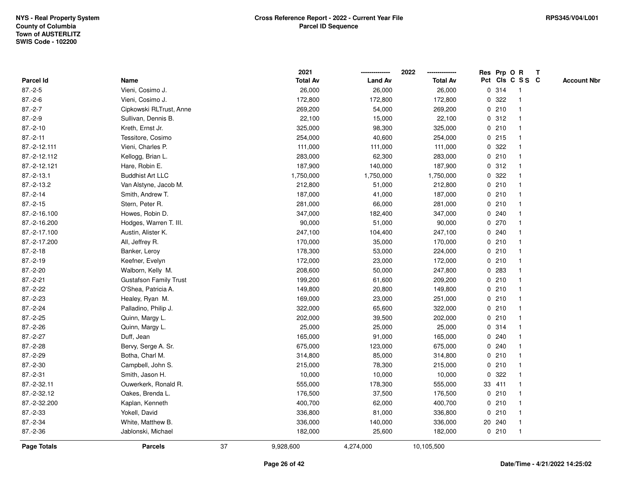|              |                               |    | 2021            |                | 2022            |              | Res Prp O R |                         | T |                    |
|--------------|-------------------------------|----|-----------------|----------------|-----------------|--------------|-------------|-------------------------|---|--------------------|
| Parcel Id    | Name                          |    | <b>Total Av</b> | <b>Land Av</b> | <b>Total Av</b> |              |             | Pct Cls C S S C         |   | <b>Account Nbr</b> |
| $87.-2-5$    | Vieni, Cosimo J.              |    | 26,000          | 26,000         | 26,000          |              | 0.314       | $\mathbf{1}$            |   |                    |
| $87.-2-6$    | Vieni, Cosimo J.              |    | 172,800         | 172,800        | 172,800         | $\mathbf{0}$ | 322         |                         |   |                    |
| $87.-2-7$    | Cipkowski RLTrust, Anne       |    | 269,200         | 54,000         | 269,200         |              | 0210        | -1                      |   |                    |
| $87.-2-9$    | Sullivan, Dennis B.           |    | 22,100          | 15,000         | 22,100          |              | 0.312       |                         |   |                    |
| $87.-2-10$   | Kreth, Ernst Jr.              |    | 325,000         | 98,300         | 325,000         |              | 0210        |                         |   |                    |
| $87.-2-11$   | Tessitore, Cosimo             |    | 254,000         | 40,600         | 254,000         |              | 0.215       |                         |   |                    |
| 87.-2-12.111 | Vieni, Charles P.             |    | 111,000         | 111,000        | 111,000         |              | 0 322       |                         |   |                    |
| 87.-2-12.112 | Kellogg, Brian L.             |    | 283,000         | 62,300         | 283,000         | $\mathbf 0$  | 210         | $\overline{\mathbf{1}}$ |   |                    |
| 87.-2-12.121 | Hare, Robin E.                |    | 187,900         | 140,000        | 187,900         |              | 0.312       |                         |   |                    |
| $87.-2-13.1$ | <b>Buddhist Art LLC</b>       |    | 1,750,000       | 1,750,000      | 1,750,000       |              | 0 322       | -1                      |   |                    |
| 87.-2-13.2   | Van Alstyne, Jacob M.         |    | 212,800         | 51,000         | 212,800         |              | 0210        |                         |   |                    |
| $87.-2-14$   | Smith, Andrew T.              |    | 187,000         | 41,000         | 187,000         |              | 0210        |                         |   |                    |
| $87.-2-15$   | Stern, Peter R.               |    | 281,000         | 66,000         | 281,000         |              | 0210        |                         |   |                    |
| 87.-2-16.100 | Howes, Robin D.               |    | 347,000         | 182,400        | 347,000         |              | 0.240       |                         |   |                    |
| 87.-2-16.200 | Hodges, Warren T. III.        |    | 90,000          | 51,000         | 90,000          | 0            | 270         |                         |   |                    |
| 87.-2-17.100 | Austin, Alister K.            |    | 247,100         | 104,400        | 247,100         | 0            | 240         |                         |   |                    |
| 87.-2-17.200 | All, Jeffrey R.               |    | 170,000         | 35,000         | 170,000         |              | 0210        |                         |   |                    |
| $87.-2-18$   | Banker, Leroy                 |    | 178,300         | 53,000         | 224,000         |              | 0210        |                         |   |                    |
| $87.-2-19$   | Keefner, Evelyn               |    | 172,000         | 23,000         | 172,000         |              | 0210        |                         |   |                    |
| 87.-2-20     | Walborn, Kelly M.             |    | 208,600         | 50,000         | 247,800         |              | 0 283       |                         |   |                    |
| $87.-2-21$   | <b>Gustafson Family Trust</b> |    | 199,200         | 61,600         | 209,200         |              | 0210        |                         |   |                    |
| 87.-2-22     | O'Shea, Patricia A.           |    | 149,800         | 20,800         | 149,800         |              | 0210        | $\mathbf{1}$            |   |                    |
| $87.-2-23$   | Healey, Ryan M.               |    | 169,000         | 23,000         | 251,000         | $\mathbf 0$  | 210         |                         |   |                    |
| $87.-2-24$   | Palladino, Philip J.          |    | 322,000         | 65,600         | 322,000         |              | 0210        |                         |   |                    |
| $87.-2-25$   | Quinn, Margy L.               |    | 202,000         | 39,500         | 202,000         |              | 0210        |                         |   |                    |
| $87.-2-26$   | Quinn, Margy L.               |    | 25,000          | 25,000         | 25,000          |              | 0.314       |                         |   |                    |
| $87.-2-27$   | Duff, Jean                    |    | 165,000         | 91,000         | 165,000         |              | 0.240       |                         |   |                    |
| 87.-2-28     | Bervy, Serge A. Sr.           |    | 675,000         | 123,000        | 675,000         |              | 0.240       |                         |   |                    |
| 87.-2-29     | Botha, Charl M.               |    | 314,800         | 85,000         | 314,800         | 0            | 210         | -1                      |   |                    |
| 87.-2-30     | Campbell, John S.             |    | 215,000         | 78,300         | 215,000         | $\mathbf 0$  | 210         | $\overline{\mathbf{1}}$ |   |                    |
| $87.-2-31$   | Smith, Jason H.               |    | 10,000          | 10,000         | 10,000          |              | 0.322       |                         |   |                    |
| 87.-2-32.11  | Ouwerkerk, Ronald R.          |    | 555,000         | 178,300        | 555,000         |              | 33 411      |                         |   |                    |
| 87.-2-32.12  | Oakes, Brenda L.              |    | 176,500         | 37,500         | 176,500         |              | 0210        |                         |   |                    |
| 87.-2-32.200 | Kaplan, Kenneth               |    | 400,700         | 62,000         | 400,700         |              | 0210        | -1                      |   |                    |
| 87.-2-33     | Yokell, David                 |    | 336,800         | 81,000         | 336,800         | $\mathbf 0$  | 210         |                         |   |                    |
| 87.-2-34     | White, Matthew B.             |    | 336,000         | 140,000        | 336,000         |              | 20 240      | $\mathbf{1}$            |   |                    |
| 87.-2-36     | Jablonski, Michael            |    | 182,000         | 25,600         | 182,000         |              | 0210        | $\mathbf{1}$            |   |                    |
| Page Totals  | <b>Parcels</b>                | 37 | 9,928,600       | 4,274,000      | 10,105,500      |              |             |                         |   |                    |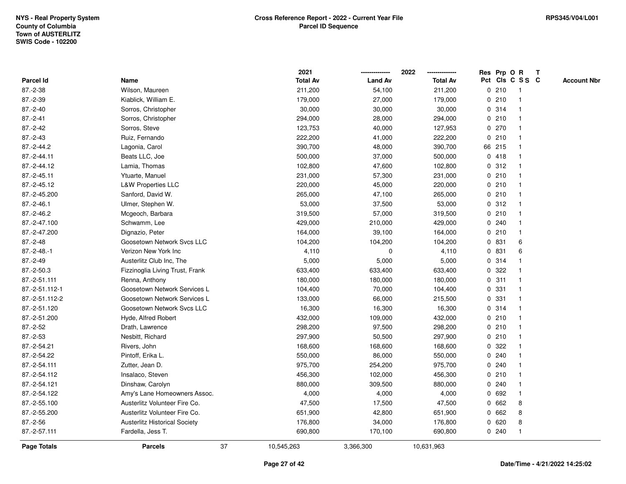|                |                                      | 2021             |                | 2022            |              |        | Res Prp O R     | T |                    |
|----------------|--------------------------------------|------------------|----------------|-----------------|--------------|--------|-----------------|---|--------------------|
| Parcel Id      | Name                                 | <b>Total Av</b>  | <b>Land Av</b> | <b>Total Av</b> |              |        | Pct Cls C S S C |   | <b>Account Nbr</b> |
| 87.-2-38       | Wilson, Maureen                      | 211,200          | 54,100         | 211,200         |              | 0210   | -1              |   |                    |
| 87.-2-39       | Kiablick, William E.                 | 179,000          | 27,000         | 179,000         | 0            | 210    | $\overline{1}$  |   |                    |
| $87.-2-40$     | Sorros, Christopher                  | 30,000           | 30,000         | 30,000          |              | 0 314  | $\mathbf{1}$    |   |                    |
| $87.-2-41$     | Sorros, Christopher                  | 294,000          | 28,000         | 294,000         |              | 0210   |                 |   |                    |
| $87.-2-42$     | Sorros, Steve                        | 123,753          | 40,000         | 127,953         |              | 0270   |                 |   |                    |
| $87.-2-43$     | Ruiz, Fernando                       | 222,200          | 41,000         | 222,200         |              | 0210   |                 |   |                    |
| 87.-2-44.2     | Lagonia, Carol                       | 390,700          | 48,000         | 390,700         |              | 66 215 |                 |   |                    |
| 87.-2-44.11    | Beats LLC, Joe                       | 500,000          | 37,000         | 500,000         |              | 0418   |                 |   |                    |
| 87.-2-44.12    | Lamia, Thomas                        | 102,800          | 47,600         | 102,800         | $\mathbf{0}$ | 312    | -1              |   |                    |
| 87.-2-45.11    | Ytuarte, Manuel                      | 231,000          | 57,300         | 231,000         |              | 0210   | 1               |   |                    |
| 87.-2-45.12    | <b>L&amp;W Properties LLC</b>        | 220,000          | 45,000         | 220,000         |              | 0210   |                 |   |                    |
| 87.-2-45.200   | Sanford, David W.                    | 265,000          | 47,100         | 265,000         |              | 0210   |                 |   |                    |
| $87.-2-46.1$   | Ulmer, Stephen W.                    | 53,000           | 37,500         | 53,000          |              | 0.312  |                 |   |                    |
| 87.-2-46.2     | Mcgeoch, Barbara                     | 319,500          | 57,000         | 319,500         |              | 0210   |                 |   |                    |
| 87.-2-47.100   | Schwamm, Lee                         | 429,000          | 210,000        | 429,000         | 0            | 240    |                 |   |                    |
| 87.-2-47.200   | Dignazio, Peter                      | 164,000          | 39,100         | 164,000         |              | 0210   | $\mathbf{1}$    |   |                    |
| $87.-2-48$     | Goosetown Network Sycs LLC           | 104,200          | 104,200        | 104,200         |              | 0 831  | 6               |   |                    |
| $87.-2-48.-1$  | Verizon New York Inc                 | 4,110            | 0              | 4,110           |              | 0 831  | 6               |   |                    |
| $87.-2-49$     | Austerlitz Club Inc, The             | 5,000            | 5,000          | 5,000           |              | 0 314  |                 |   |                    |
| 87.-2-50.3     | Fizzinoglia Living Trust, Frank      | 633,400          | 633,400        | 633,400         |              | 0.322  |                 |   |                    |
| 87.-2-51.111   | Renna, Anthony                       | 180,000          | 180,000        | 180,000         |              | 0.311  |                 |   |                    |
| 87.-2-51.112-1 | Goosetown Network Services L         | 104,400          | 70,000         | 104,400         | 0            | 331    |                 |   |                    |
| 87.-2-51.112-2 | Goosetown Network Services L         | 133,000          | 66,000         | 215,500         | 0            | 331    | -1              |   |                    |
| 87.-2-51.120   | Goosetown Network Sycs LLC           | 16,300           | 16,300         | 16,300          |              | 0.314  | 1               |   |                    |
| 87.-2-51.200   | Hyde, Alfred Robert                  | 432,000          | 109,000        | 432,000         |              | 0210   |                 |   |                    |
| 87.-2-52       | Drath, Lawrence                      | 298,200          | 97,500         | 298,200         |              | 0210   |                 |   |                    |
| $87.-2-53$     | Nesbitt, Richard                     | 297,900          | 50,500         | 297,900         |              | 0210   |                 |   |                    |
| 87.-2-54.21    | Rivers, John                         | 168,600          | 168,600        | 168,600         | 0            | 322    |                 |   |                    |
| 87.-2-54.22    | Pintoff, Erika L.                    | 550,000          | 86,000         | 550,000         | 0            | 240    |                 |   |                    |
| 87.-2-54.111   | Zutter, Jean D.                      | 975,700          | 254,200        | 975,700         | 0            | 240    |                 |   |                    |
| 87.-2-54.112   | Insalaco, Steven                     | 456,300          | 102,000        | 456,300         |              | 0210   | 1               |   |                    |
| 87.-2-54.121   | Dinshaw, Carolyn                     | 880,000          | 309,500        | 880,000         |              | 0.240  |                 |   |                    |
| 87.-2-54.122   | Amy's Lane Homeowners Assoc.         | 4,000            | 4,000          | 4,000           |              | 0 692  |                 |   |                    |
| 87.-2-55.100   | Austerlitz Volunteer Fire Co.        | 47,500           | 17,500         | 47,500          |              | 0 662  | 8               |   |                    |
| 87.-2-55.200   | Austerlitz Volunteer Fire Co.        | 651,900          | 42,800         | 651,900         |              | 0662   | 8               |   |                    |
| $87.-2-56$     | <b>Austerlitz Historical Society</b> | 176,800          | 34,000         | 176,800         | 0            | 620    | 8               |   |                    |
| 87.-2-57.111   | Fardella, Jess T.                    | 690,800          | 170,100        | 690,800         |              | 0.240  | $\mathbf{1}$    |   |                    |
| Page Totals    | <b>Parcels</b>                       | 37<br>10,545,263 | 3,366,300      | 10,631,963      |              |        |                 |   |                    |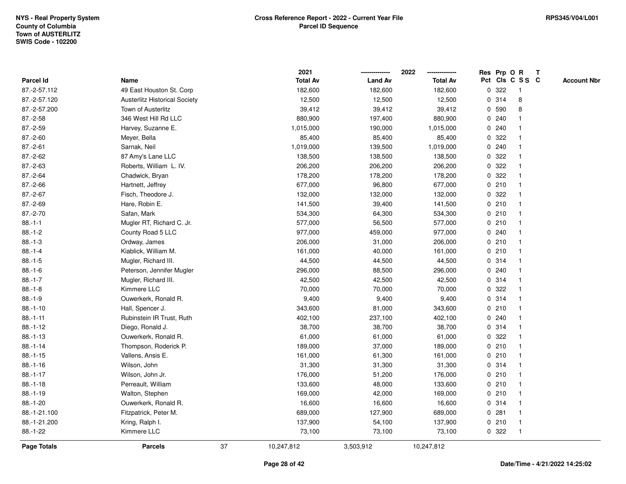|              |                                      |    | 2021            |                | 2022            |   |       | Res Prp O R     | T |                    |
|--------------|--------------------------------------|----|-----------------|----------------|-----------------|---|-------|-----------------|---|--------------------|
| Parcel Id    | Name                                 |    | <b>Total Av</b> | <b>Land Av</b> | <b>Total Av</b> |   |       | Pct Cls C S S C |   | <b>Account Nbr</b> |
| 87.-2-57.112 | 49 East Houston St. Corp             |    | 182,600         | 182,600        | 182,600         | 0 | 322   | $\mathbf{1}$    |   |                    |
| 87.-2-57.120 | <b>Austerlitz Historical Society</b> |    | 12,500          | 12,500         | 12,500          | 0 | 314   | 8               |   |                    |
| 87.-2-57.200 | Town of Austerlitz                   |    | 39,412          | 39,412         | 39,412          |   | 0 590 | 8               |   |                    |
| $87.-2-58$   | 346 West Hill Rd LLC                 |    | 880,900         | 197,400        | 880,900         |   | 0.240 |                 |   |                    |
| 87.-2-59     | Harvey, Suzanne E.                   |    | 1,015,000       | 190,000        | 1,015,000       |   | 0.240 |                 |   |                    |
| $87.-2-60$   | Meyer, Bella                         |    | 85,400          | 85,400         | 85,400          |   | 0.322 |                 |   |                    |
| $87.-2-61$   | Sarnak, Neil                         |    | 1,019,000       | 139,500        | 1,019,000       |   | 0.240 |                 |   |                    |
| 87.-2-62     | 87 Amy's Lane LLC                    |    | 138,500         | 138,500        | 138,500         | 0 | 322   |                 |   |                    |
| 87.-2-63     | Roberts, William L. IV.              |    | 206,200         | 206,200        | 206,200         | 0 | 322   |                 |   |                    |
| $87.-2-64$   | Chadwick, Bryan                      |    | 178,200         | 178,200        | 178,200         |   | 0 322 |                 |   |                    |
| 87.-2-66     | Hartnett, Jeffrey                    |    | 677,000         | 96,800         | 677,000         |   | 0210  |                 |   |                    |
| 87.-2-67     | Fisch, Theodore J.                   |    | 132,000         | 132,000        | 132,000         |   | 0.322 |                 |   |                    |
| 87.-2-69     | Hare, Robin E.                       |    | 141,500         | 39,400         | 141,500         |   | 0210  |                 |   |                    |
| $87.-2-70$   | Safan, Mark                          |    | 534,300         | 64,300         | 534,300         |   | 0210  |                 |   |                    |
| $88.-1-1$    | Mugler RT, Richard C. Jr.            |    | 577,000         | 56,500         | 577,000         | 0 | 210   | -1              |   |                    |
| $88.-1-2$    | County Road 5 LLC                    |    | 977,000         | 459,000        | 977,000         | 0 | 240   |                 |   |                    |
| $88.-1-3$    | Ordway, James                        |    | 206,000         | 31,000         | 206,000         |   | 0210  |                 |   |                    |
| $88.-1-4$    | Kiablick, William M.                 |    | 161,000         | 40,000         | 161,000         |   | 0210  |                 |   |                    |
| $88.-1-5$    | Mugler, Richard III.                 |    | 44,500          | 44,500         | 44,500          |   | 0 314 |                 |   |                    |
| $88.-1-6$    | Peterson, Jennifer Mugler            |    | 296,000         | 88,500         | 296,000         |   | 0.240 |                 |   |                    |
| $88.-1-7$    | Mugler, Richard III.                 |    | 42,500          | 42,500         | 42,500          |   | 0.314 |                 |   |                    |
| $88.-1-8$    | Kimmere LLC                          |    | 70,000          | 70,000         | 70,000          | 0 | 322   |                 |   |                    |
| $88.-1-9$    | Ouwerkerk, Ronald R.                 |    | 9,400           | 9,400          | 9,400           |   | 0.314 |                 |   |                    |
| $88.-1-10$   | Hall, Spencer J.                     |    | 343,600         | 81,000         | 343,600         |   | 0210  |                 |   |                    |
| $88.-1-11$   | Rubinstein IR Trust, Ruth            |    | 402,100         | 237,100        | 402,100         |   | 0.240 |                 |   |                    |
| $88.-1-12$   | Diego, Ronald J.                     |    | 38,700          | 38,700         | 38,700          |   | 0 314 |                 |   |                    |
| $88.-1-13$   | Ouwerkerk, Ronald R.                 |    | 61,000          | 61,000         | 61,000          |   | 0.322 |                 |   |                    |
| $88.-1-14$   | Thompson, Roderick P.                |    | 189,000         | 37,000         | 189,000         |   | 0210  |                 |   |                    |
| $88.-1-15$   | Vallens, Ansis E.                    |    | 161,000         | 61,300         | 161,000         | 0 | 210   | $\mathbf{1}$    |   |                    |
| $88.-1-16$   | Wilson, John                         |    | 31,300          | 31,300         | 31,300          |   | 0.314 |                 |   |                    |
| $88.-1-17$   | Wilson, John Jr.                     |    | 176,000         | 51,200         | 176,000         |   | 0210  | $\mathbf 1$     |   |                    |
| $88.-1-18$   | Perreault, William                   |    | 133,600         | 48,000         | 133,600         |   | 0210  |                 |   |                    |
| $88.-1-19$   | Walton, Stephen                      |    | 169,000         | 42,000         | 169,000         |   | 0210  |                 |   |                    |
| 88.-1-20     | Ouwerkerk, Ronald R.                 |    | 16,600          | 16,600         | 16,600          |   | 0 314 |                 |   |                    |
| 88.-1-21.100 | Fitzpatrick, Peter M.                |    | 689,000         | 127,900        | 689,000         |   | 0.281 | $\mathbf{1}$    |   |                    |
| 88.-1-21.200 | Kring, Ralph I.                      |    | 137,900         | 54,100         | 137,900         | 0 | 210   | $\mathbf{1}$    |   |                    |
| 88.-1-22     | Kimmere LLC                          |    | 73,100          | 73,100         | 73,100          |   | 0.322 | $\overline{1}$  |   |                    |
| Page Totals  | <b>Parcels</b>                       | 37 | 10,247,812      | 3,503,912      | 10,247,812      |   |       |                 |   |                    |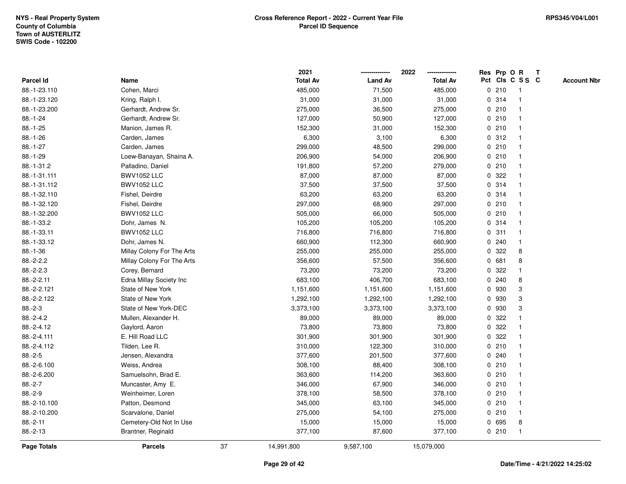|                    |                            |    | 2021            |                | 2022            |             |       | Res Prp O R     | T |                    |
|--------------------|----------------------------|----|-----------------|----------------|-----------------|-------------|-------|-----------------|---|--------------------|
| Parcel Id          | Name                       |    | <b>Total Av</b> | <b>Land Av</b> | <b>Total Av</b> |             |       | Pct Cls C S S C |   | <b>Account Nbr</b> |
| 88.-1-23.110       | Cohen, Marci               |    | 485,000         | 71,500         | 485,000         | 0           | 210   | -1              |   |                    |
| 88.-1-23.120       | Kring, Ralph I.            |    | 31,000          | 31,000         | 31,000          | 0           | 314   | -1              |   |                    |
| 88.-1-23.200       | Gerhardt, Andrew Sr.       |    | 275,000         | 36,500         | 275,000         |             | 0210  | -1              |   |                    |
| 88.-1-24           | Gerhardt, Andrew Sr.       |    | 127,000         | 50,900         | 127,000         |             | 0210  |                 |   |                    |
| 88.-1-25           | Manion, James R.           |    | 152,300         | 31,000         | 152,300         |             | 0210  |                 |   |                    |
| 88.-1-26           | Carden, James              |    | 6,300           | 3,100          | 6,300           |             | 0.312 |                 |   |                    |
| $88.-1-27$         | Carden, James              |    | 299,000         | 48,500         | 299,000         |             | 0210  |                 |   |                    |
| 88.-1-29           | Loew-Banayan, Shaina A.    |    | 206,900         | 54,000         | 206,900         | 0           | 210   | $\overline{1}$  |   |                    |
| 88.-1-31.2         | Palladino, Daniel          |    | 191,800         | 57,200         | 279,000         |             | 0210  | -1              |   |                    |
| 88.-1-31.111       | <b>BWV1052 LLC</b>         |    | 87,000          | 87,000         | 87,000          |             | 0 322 |                 |   |                    |
| 88.-1-31.112       | <b>BWV1052 LLC</b>         |    | 37,500          | 37,500         | 37,500          |             | 0.314 |                 |   |                    |
| 88.-1-32.110       | Fishel, Deirdre            |    | 63,200          | 63,200         | 63,200          |             | 0.314 |                 |   |                    |
| 88.-1-32.120       | Fishel, Deirdre            |    | 297,000         | 68,900         | 297,000         |             | 0210  |                 |   |                    |
| 88.-1-32.200       | <b>BWV1052 LLC</b>         |    | 505,000         | 66,000         | 505,000         |             | 0210  |                 |   |                    |
| 88.-1-33.2         | Dohr, James N.             |    | 105,200         | 105,200        | 105,200         | 0           | 314   |                 |   |                    |
| 88.-1-33.11        | <b>BWV1052 LLC</b>         |    | 716,800         | 716,800        | 716,800         | 0           | 311   | $\overline{1}$  |   |                    |
| 88.-1-33.12        | Dohr, James N.             |    | 660,900         | 112,300        | 660,900         | 0           | 240   | $\mathbf{1}$    |   |                    |
| $88.-1-36$         | Millay Colony For The Arts |    | 255,000         | 255,000        | 255,000         |             | 0.322 | 8               |   |                    |
| $88.-2-2.2$        | Millay Colony For The Arts |    | 356,600         | 57,500         | 356,600         |             | 0 681 | 8               |   |                    |
| $88.-2-2.3$        | Corey, Bernard             |    | 73,200          | 73,200         | 73,200          | 0           | 322   |                 |   |                    |
| 88.-2-2.11         | Edna Millay Society Inc    |    | 683,100         | 406,700        | 683,100         |             | 0.240 | 8               |   |                    |
| 88.-2-2.121        | State of New York          |    | 1,151,600       | 1,151,600      | 1,151,600       | 0           | 930   | 3               |   |                    |
| 88.-2-2.122        | State of New York          |    | 1,292,100       | 1,292,100      | 1,292,100       | 0           | 930   | 3               |   |                    |
| $88.-2-3$          | State of New York-DEC      |    | 3,373,100       | 3,373,100      | 3,373,100       | $\mathbf 0$ | 930   | 3               |   |                    |
| 88.-2-4.2          | Mullen, Alexander H.       |    | 89,000          | 89,000         | 89,000          |             | 0 322 |                 |   |                    |
| 88.-2-4.12         | Gaylord, Aaron             |    | 73,800          | 73,800         | 73,800          |             | 0 322 |                 |   |                    |
| 88.-2-4.111        | E. Hill Road LLC           |    | 301,900         | 301,900        | 301,900         | 0           | 322   |                 |   |                    |
| 88.-2-4.112        | Tilden, Lee R.             |    | 310,000         | 122,300        | 310,000         | 0           | 210   |                 |   |                    |
| $88.-2-5$          | Jensen, Alexandra          |    | 377,600         | 201,500        | 377,600         |             | 0.240 |                 |   |                    |
| 88.-2-6.100        | Weiss, Andrea              |    | 308,100         | 88,400         | 308,100         | 0           | 210   |                 |   |                    |
| 88.-2-6.200        | Samuelsohn, Brad E.        |    | 363,600         | 114,200        | 363,600         |             | 0210  | -1              |   |                    |
| $88.-2-7$          | Muncaster, Amy E.          |    | 346,000         | 67,900         | 346,000         |             | 0210  | -1              |   |                    |
| $88.-2-9$          | Weinheimer, Loren          |    | 378,100         | 58,500         | 378,100         |             | 0210  |                 |   |                    |
| 88.-2-10.100       | Patton, Desmond            |    | 345,000         | 63,100         | 345,000         |             | 0210  |                 |   |                    |
| 88.-2-10.200       | Scarvalone, Daniel         |    | 275,000         | 54,100         | 275,000         |             | 0210  | -1              |   |                    |
| 88.-2-11           | Cemetery-Old Not In Use    |    | 15,000          | 15,000         | 15,000          | 0           | 695   | 8               |   |                    |
| 88.-2-13           | Brantner, Reginald         |    | 377,100         | 87,600         | 377,100         |             | 0210  | $\mathbf{1}$    |   |                    |
| <b>Page Totals</b> | <b>Parcels</b>             | 37 | 14,991,800      | 9,587,100      | 15,079,000      |             |       |                 |   |                    |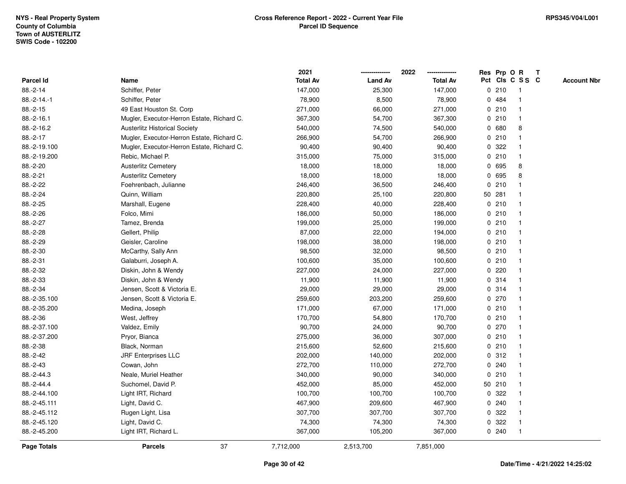|                  |                                            | 2021            |                | 2022            |             |        | Res Prp O R     | T |                    |
|------------------|--------------------------------------------|-----------------|----------------|-----------------|-------------|--------|-----------------|---|--------------------|
| <b>Parcel Id</b> | Name                                       | <b>Total Av</b> | <b>Land Av</b> | <b>Total Av</b> |             |        | Pct Cls C S S C |   | <b>Account Nbr</b> |
| 88.-2-14         | Schiffer, Peter                            | 147,000         | 25,300         | 147,000         |             | 0210   | $\mathbf{1}$    |   |                    |
| $88.-2-14.-1$    | Schiffer, Peter                            | 78,900          | 8,500          | 78,900          | $\mathbf 0$ | 484    | $\mathbf 1$     |   |                    |
| $88.-2-15$       | 49 East Houston St. Corp                   | 271,000         | 66,000         | 271,000         |             | 0210   | $\mathbf{1}$    |   |                    |
| $88.-2-16.1$     | Mugler, Executor-Herron Estate, Richard C. | 367,300         | 54,700         | 367,300         |             | 0210   | $\mathbf{1}$    |   |                    |
| 88.-2-16.2       | <b>Austerlitz Historical Society</b>       | 540,000         | 74,500         | 540,000         |             | 0680   | 8               |   |                    |
| 88.-2-17         | Mugler, Executor-Herron Estate, Richard C. | 266,900         | 54,700         | 266,900         |             | 0210   |                 |   |                    |
| 88.-2-19.100     | Mugler, Executor-Herron Estate, Richard C. | 90,400          | 90,400         | 90,400          |             | 0.322  | $\mathbf 1$     |   |                    |
| 88.-2-19.200     | Rebic, Michael P.                          | 315,000         | 75,000         | 315,000         |             | 0210   | $\mathbf{1}$    |   |                    |
| 88.-2-20         | <b>Austerlitz Cemetery</b>                 | 18,000          | 18,000         | 18,000          | 0           | 695    | 8               |   |                    |
| 88.-2-21         | <b>Austerlitz Cemetery</b>                 | 18,000          | 18,000         | 18,000          | $\mathbf 0$ | 695    | 8               |   |                    |
| 88.-2-22         | Foehrenbach, Julianne                      | 246,400         | 36,500         | 246,400         |             | 0210   |                 |   |                    |
| 88.-2-24         | Quinn, William                             | 220,800         | 25,100         | 220,800         |             | 50 281 |                 |   |                    |
| 88.-2-25         | Marshall, Eugene                           | 228,400         | 40,000         | 228,400         |             | 0210   |                 |   |                    |
| 88.-2-26         | Folco, Mimi                                | 186,000         | 50,000         | 186,000         |             | 0210   |                 |   |                    |
| 88.-2-27         | Tamez, Brenda                              | 199,000         | 25,000         | 199,000         |             | 0210   | $\mathbf{1}$    |   |                    |
| 88.-2-28         | Gellert, Philip                            | 87,000          | 22,000         | 194,000         |             | 0210   | $\mathbf{1}$    |   |                    |
| 88.-2-29         | Geisler, Caroline                          | 198,000         | 38,000         | 198,000         |             | 0210   | $\mathbf{1}$    |   |                    |
| 88.-2-30         | McCarthy, Sally Ann                        | 98,500          | 32,000         | 98,500          |             | 0210   | 1               |   |                    |
| 88.-2-31         | Galaburri, Joseph A.                       | 100,600         | 35,000         | 100,600         |             | 0210   |                 |   |                    |
| 88.-2-32         | Diskin, John & Wendy                       | 227,000         | 24,000         | 227,000         |             | 0.220  |                 |   |                    |
| 88.-2-33         | Diskin, John & Wendy                       | 11,900          | 11,900         | 11,900          |             | 0.314  |                 |   |                    |
| 88.-2-34         | Jensen, Scott & Victoria E.                | 29,000          | 29,000         | 29,000          |             | 0 314  | 1               |   |                    |
| 88.-2-35.100     | Jensen, Scott & Victoria E.                | 259,600         | 203,200        | 259,600         | 0           | 270    | -1              |   |                    |
| 88.-2-35.200     | Medina, Joseph                             | 171,000         | 67,000         | 171,000         |             | 0210   | $\mathbf{1}$    |   |                    |
| 88.-2-36         | West, Jeffrey                              | 170,700         | 54,800         | 170,700         |             | 0210   | $\mathbf 1$     |   |                    |
| 88.-2-37.100     | Valdez, Emily                              | 90,700          | 24,000         | 90,700          |             | 0270   |                 |   |                    |
| 88.-2-37.200     | Pryor, Bianca                              | 275,000         | 36,000         | 307,000         |             | 0210   |                 |   |                    |
| 88.-2-38         | Black, Norman                              | 215,600         | 52,600         | 215,600         |             | 0210   |                 |   |                    |
| 88.-2-42         | <b>JRF Enterprises LLC</b>                 | 202,000         | 140,000        | 202,000         | 0           | 312    |                 |   |                    |
| 88.-2-43         | Cowan, John                                | 272,700         | 110,000        | 272,700         | 0           | 240    | 1               |   |                    |
| 88.-2-44.3       | Neale, Muriel Heather                      | 340,000         | 90,000         | 340,000         | $\mathbf 0$ | 210    | $\mathbf{1}$    |   |                    |
| 88.-2-44.4       | Suchomel, David P.                         | 452,000         | 85,000         | 452,000         |             | 50 210 | $\mathbf{1}$    |   |                    |
| 88.-2-44.100     | Light IRT, Richard                         | 100,700         | 100,700        | 100,700         |             | 0.322  |                 |   |                    |
| 88.-2-45.111     | Light, David C.                            | 467,900         | 209,600        | 467,900         |             | 0.240  |                 |   |                    |
| 88.-2-45.112     | Rugen Light, Lisa                          | 307,700         | 307,700        | 307,700         | 0           | 322    |                 |   |                    |
| 88.-2-45.120     | Light, David C.                            | 74,300          | 74,300         | 74,300          | 0           | 322    | $\mathbf 1$     |   |                    |
| 88.-2-45.200     | Light IRT, Richard L.                      | 367,000         | 105,200        | 367,000         |             | 0.240  | $\mathbf{1}$    |   |                    |
| Page Totals      | 37<br><b>Parcels</b>                       | 7,712,000       | 2,513,700      | 7,851,000       |             |        |                 |   |                    |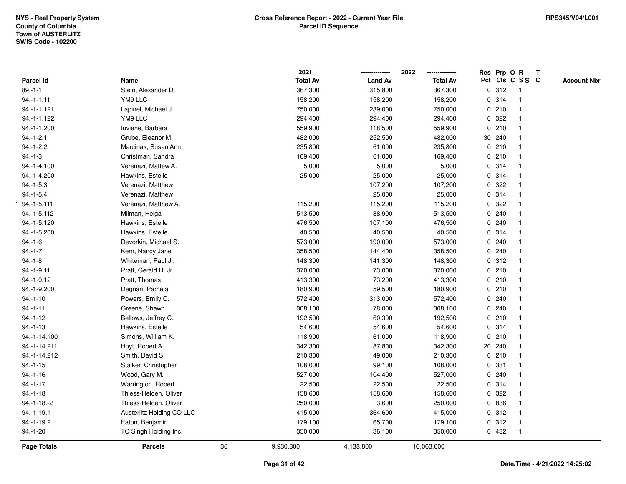|               |                           |    | 2021            |                | 2022            | Res Prp O R |                         | Т |                    |
|---------------|---------------------------|----|-----------------|----------------|-----------------|-------------|-------------------------|---|--------------------|
| Parcel Id     | Name                      |    | <b>Total Av</b> | <b>Land Av</b> | <b>Total Av</b> |             | Pct Cls C S S C         |   | <b>Account Nbr</b> |
| $89.-1-1$     | Stein, Alexander D.       |    | 367,300         | 315,800        | 367,300         | 0.312       | $\overline{1}$          |   |                    |
| $94.-1-1.11$  | YM9 LLC                   |    | 158,200         | 158,200        | 158,200         | 0.314       | $\overline{\mathbf{1}}$ |   |                    |
| 94.-1-1.121   | Lapinel, Michael J.       |    | 750,000         | 239,000        | 750,000         | 0210        | $\mathbf{1}$            |   |                    |
| 94.-1-1.122   | YM9 LLC                   |    | 294,400         | 294,400        | 294,400         | 0.322       |                         |   |                    |
| 94.-1-1.200   | Iuviene, Barbara          |    | 559,900         | 118,500        | 559,900         | 0210        |                         |   |                    |
| $94.-1-2.1$   | Grube, Eleanor M.         |    | 482,000         | 252,500        | 482,000         | 30 240      |                         |   |                    |
| $94.-1-2.2$   | Marcinak, Susan Ann       |    | 235,800         | 61,000         | 235,800         | 0210        |                         |   |                    |
| $94.-1-3$     | Christman, Sandra         |    | 169,400         | 61,000         | 169,400         | 0210        | $\overline{\mathbf{1}}$ |   |                    |
| 94.-1-4.100   | Verenazi, Mattew A.       |    | 5,000           | 5,000          | 5,000           | 0.314       | $\overline{\mathbf{1}}$ |   |                    |
| 94.-1-4.200   | Hawkins, Estelle          |    | 25,000          | 25,000         | 25,000          | 0.314       | $\mathbf{1}$            |   |                    |
| $94.-1-5.3$   | Verenazi, Matthew         |    |                 | 107,200        | 107,200         | 0.322       |                         |   |                    |
| $94.-1-5.4$   | Verenazi, Matthew         |    |                 | 25,000         | 25,000          | 0.314       |                         |   |                    |
| $94.-1-5.111$ | Verenazi, Matthew A.      |    | 115,200         | 115,200        | 115,200         | 0.322       |                         |   |                    |
| 94.-1-5.112   | Milman, Helga             |    | 513,500         | 88,900         | 513,500         | 0.240       |                         |   |                    |
| 94.-1-5.120   | Hawkins, Estelle          |    | 476,500         | 107,100        | 476,500         | 0.240       |                         |   |                    |
| 94.-1-5.200   | Hawkins, Estelle          |    | 40,500          | 40,500         | 40,500          | 0.314       | $\mathbf{1}$            |   |                    |
| $94.-1-6$     | Devorkin, Michael S.      |    | 573,000         | 190,000        | 573,000         | 0.240       |                         |   |                    |
| $94.-1-7$     | Kern, Nancy Jane          |    | 358,500         | 144,400        | 358,500         | 0.240       |                         |   |                    |
| $94.-1-8$     | Whiteman, Paul Jr.        |    | 148,300         | 141,300        | 148,300         | 0.312       |                         |   |                    |
| 94.-1-9.11    | Pratt, Gerald H. Jr.      |    | 370,000         | 73,000         | 370,000         | 0210        |                         |   |                    |
| 94.-1-9.12    | Pratt, Thomas             |    | 413,300         | 73,200         | 413,300         | 0210        |                         |   |                    |
| 94.-1-9.200   | Degnan, Pamela            |    | 180,900         | 59,500         | 180,900         | 0210        |                         |   |                    |
| $94.-1-10$    | Powers, Emily C.          |    | 572,400         | 313,000        | 572,400         | 0.240       |                         |   |                    |
| $94.-1-11$    | Greene, Shawn             |    | 308,100         | 78,000         | 308,100         | 0.240       | $\overline{\mathbf{1}}$ |   |                    |
| $94.-1-12$    | Bellows, Jeffrey C.       |    | 192,500         | 60,300         | 192,500         | 0210        |                         |   |                    |
| $94.-1-13$    | Hawkins, Estelle          |    | 54,600          | 54,600         | 54,600          | 0.314       |                         |   |                    |
| 94.-1-14.100  | Simons, William K.        |    | 118,900         | 61,000         | 118,900         | 0210        |                         |   |                    |
| 94.-1-14.211  | Hoyt, Robert A.           |    | 342,300         | 87,800         | 342,300         | 20 240      |                         |   |                    |
| 94.-1-14.212  | Smith, David S.           |    | 210,300         | 49,000         | 210,300         | 0210        |                         |   |                    |
| $94.-1-15$    | Stalker, Christopher      |    | 108,000         | 99,100         | 108,000         | 0 331       | -1                      |   |                    |
| $94.-1-16$    | Wood, Gary M.             |    | 527,000         | 104,400        | 527,000         | 0.240       |                         |   |                    |
| $94.-1-17$    | Warrington, Robert        |    | 22,500          | 22,500         | 22,500          | 0.314       | $\mathbf{1}$            |   |                    |
| $94.-1-18$    | Thiess-Helden, Oliver     |    | 158,600         | 158,600        | 158,600         | 0.322       |                         |   |                    |
| $94.-1-18.-2$ | Thiess-Helden, Oliver     |    | 250,000         | 3,600          | 250,000         | 0 836       |                         |   |                    |
| $94.-1-19.1$  | Austerlitz Holding CO LLC |    | 415,000         | 364,600        | 415,000         | 0.312       |                         |   |                    |
| 94.-1-19.2    | Eaton, Benjamin           |    | 179,100         | 65,700         | 179,100         | 0.312       | $\overline{\mathbf{1}}$ |   |                    |
| $94.-1-20$    | TC Singh Holding Inc.     |    | 350,000         | 36,100         | 350,000         | 0 432       | $\mathbf{1}$            |   |                    |
| Page Totals   | <b>Parcels</b>            | 36 | 9,930,800       | 4,138,800      | 10,063,000      |             |                         |   |                    |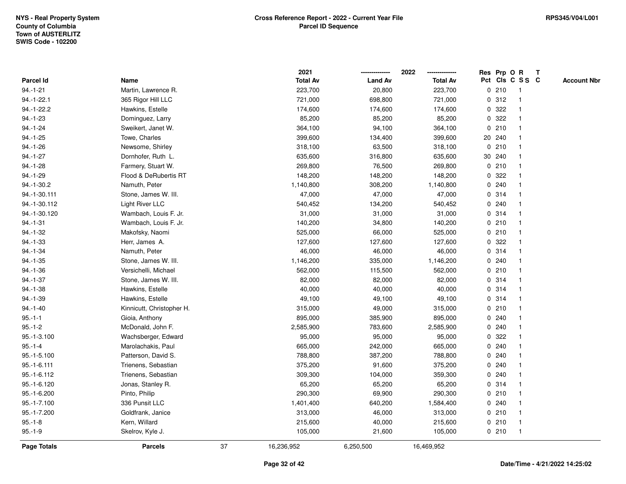|              |                           |    | 2021            |                | 2022            |             |        | Res Prp O R     | $\mathbf{T}$ |                    |
|--------------|---------------------------|----|-----------------|----------------|-----------------|-------------|--------|-----------------|--------------|--------------------|
| Parcel Id    | Name                      |    | <b>Total Av</b> | <b>Land Av</b> | <b>Total Av</b> |             |        | Pct Cls C S S C |              | <b>Account Nbr</b> |
| $94.-1-21$   | Martin, Lawrence R.       |    | 223,700         | 20,800         | 223,700         |             | 0210   |                 |              |                    |
| $94.-1-22.1$ | 365 Rigor Hill LLC        |    | 721,000         | 698,800        | 721,000         |             | 0.312  |                 |              |                    |
| 94.-1-22.2   | Hawkins, Estelle          |    | 174,600         | 174,600        | 174,600         | 0           | 322    |                 |              |                    |
| $94.-1-23$   | Dominguez, Larry          |    | 85,200          | 85,200         | 85,200          | 0           | 322    | $\mathbf{1}$    |              |                    |
| $94.-1-24$   | Sweikert, Janet W.        |    | 364,100         | 94,100         | 364,100         |             | 0210   | $\mathbf 1$     |              |                    |
| $94.-1-25$   | Towe, Charles             |    | 399,600         | 134,400        | 399,600         |             | 20 240 |                 |              |                    |
| $94.-1-26$   | Newsome, Shirley          |    | 318,100         | 63,500         | 318,100         |             | 0210   |                 |              |                    |
| $94.-1-27$   | Dornhofer, Ruth L.        |    | 635,600         | 316,800        | 635,600         |             | 30 240 |                 |              |                    |
| $94.-1-28$   | Farmery, Stuart W.        |    | 269,800         | 76,500         | 269,800         |             | 0210   |                 |              |                    |
| $94.-1-29$   | Flood & DeRubertis RT     |    | 148,200         | 148,200        | 148,200         | 0           | 322    |                 |              |                    |
| $94.-1-30.2$ | Namuth, Peter             |    | 1,140,800       | 308,200        | 1,140,800       | $\mathbf 0$ | 240    | -1              |              |                    |
| 94.-1-30.111 | Stone, James W. III.      |    | 47,000          | 47,000         | 47,000          |             | 0.314  | $\mathbf 1$     |              |                    |
| 94.-1-30.112 | Light River LLC           |    | 540,452         | 134,200        | 540,452         |             | 0.240  |                 |              |                    |
| 94.-1-30.120 | Wambach, Louis F. Jr.     |    | 31,000          | 31,000         | 31,000          |             | 0.314  |                 |              |                    |
| $94.-1-31$   | Wambach, Louis F. Jr.     |    | 140,200         | 34,800         | 140,200         |             | 0210   |                 |              |                    |
| $94.-1-32$   | Makofsky, Naomi           |    | 525,000         | 66,000         | 525,000         |             | 0210   |                 |              |                    |
| $94.-1-33$   | Herr, James A.            |    | 127,600         | 127,600        | 127,600         | 0           | 322    |                 |              |                    |
| $94.-1-34$   | Namuth, Peter             |    | 46,000          | 46,000         | 46,000          | 0           | 314    | -1              |              |                    |
| $94.-1-35$   | Stone, James W. III.      |    | 1,146,200       | 335,000        | 1,146,200       |             | 0.240  |                 |              |                    |
| $94.-1-36$   | Versichelli, Michael      |    | 562,000         | 115,500        | 562,000         |             | 0210   |                 |              |                    |
| $94.-1-37$   | Stone, James W. III.      |    | 82,000          | 82,000         | 82,000          |             | 0.314  |                 |              |                    |
| $94.-1-38$   | Hawkins, Estelle          |    | 40,000          | 40,000         | 40,000          |             | 0.314  |                 |              |                    |
| $94.-1-39$   | Hawkins, Estelle          |    | 49,100          | 49,100         | 49,100          | $\mathbf 0$ | 314    |                 |              |                    |
| $94.-1-40$   | Kinnicutt, Christopher H. |    | 315,000         | 49,000         | 315,000         |             | 0210   | -1              |              |                    |
| $95.-1-1$    | Gioia, Anthony            |    | 895,000         | 385,900        | 895,000         |             | 0.240  | $\mathbf 1$     |              |                    |
| $95.-1-2$    | McDonald, John F.         |    | 2,585,900       | 783,600        | 2,585,900       |             | 0.240  |                 |              |                    |
| 95.-1-3.100  | Wachsberger, Edward       |    | 95,000          | 95,000         | 95,000          |             | 0.322  |                 |              |                    |
| $95.-1-4$    | Marolachakis, Paul        |    | 665,000         | 242,000        | 665,000         | 0           | 240    |                 |              |                    |
| 95.-1-5.100  | Patterson, David S.       |    | 788,800         | 387,200        | 788,800         |             | 0.240  |                 |              |                    |
| 95.-1-6.111  | Trienens, Sebastian       |    | 375,200         | 91,600         | 375,200         | 0           | 240    |                 |              |                    |
| 95.-1-6.112  | Trienens, Sebastian       |    | 309,300         | 104,000        | 359,300         | 0           | 240    |                 |              |                    |
| 95.-1-6.120  | Jonas, Stanley R.         |    | 65,200          | 65,200         | 65,200          |             | 0.314  |                 |              |                    |
| 95.-1-6.200  | Pinto, Philip             |    | 290,300         | 69,900         | 290,300         |             | 0210   |                 |              |                    |
| 95.-1-7.100  | 336 Punsit LLC            |    | 1,401,400       | 640,200        | 1,584,400       |             | 0.240  |                 |              |                    |
| 95.-1-7.200  | Goldfrank, Janice         |    | 313,000         | 46,000         | 313,000         |             | 0210   |                 |              |                    |
| $95.-1-8$    | Kern, Willard             |    | 215,600         | 40,000         | 215,600         |             | 0210   | $\mathbf 1$     |              |                    |
| $95.-1-9$    | Skelrov, Kyle J.          |    | 105,000         | 21,600         | 105,000         |             | 0210   | -1              |              |                    |
| Page Totals  | <b>Parcels</b>            | 37 | 16,236,952      | 6,250,500      | 16,469,952      |             |        |                 |              |                    |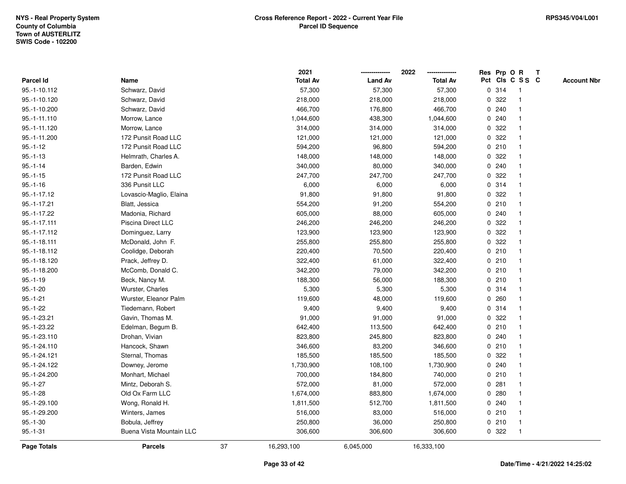|              |                          |    | 2021            |                | 2022            |              | Res Prp O R |                 | Т |                    |
|--------------|--------------------------|----|-----------------|----------------|-----------------|--------------|-------------|-----------------|---|--------------------|
| Parcel Id    | Name                     |    | <b>Total Av</b> | <b>Land Av</b> | <b>Total Av</b> |              |             | Pct Cls C S S C |   | <b>Account Nbr</b> |
| 95.-1-10.112 | Schwarz, David           |    | 57,300          | 57,300         | 57,300          |              | 0.314       | $\mathbf{1}$    |   |                    |
| 95.-1-10.120 | Schwarz, David           |    | 218,000         | 218,000        | 218,000         | 0            | 322         | $\mathbf{1}$    |   |                    |
| 95.-1-10.200 | Schwarz, David           |    | 466,700         | 176,800        | 466,700         |              | 0.240       | $\mathbf{1}$    |   |                    |
| 95.-1-11.110 | Morrow, Lance            |    | 1,044,600       | 438,300        | 1,044,600       |              | 0.240       | -1              |   |                    |
| 95.-1-11.120 | Morrow, Lance            |    | 314,000         | 314,000        | 314,000         |              | 0.322       |                 |   |                    |
| 95.-1-11.200 | 172 Punsit Road LLC      |    | 121,000         | 121,000        | 121,000         |              | 0.322       | $\mathbf 1$     |   |                    |
| $95.-1-12$   | 172 Punsit Road LLC      |    | 594,200         | 96,800         | 594,200         |              | 0210        | $\mathbf 1$     |   |                    |
| $95.-1-13$   | Helmrath, Charles A.     |    | 148,000         | 148,000        | 148,000         | $\mathbf{0}$ | 322         | $\mathbf{1}$    |   |                    |
| $95.-1-14$   | Barden, Edwin            |    | 340,000         | 80,000         | 340,000         |              | 0.240       | $\mathbf{1}$    |   |                    |
| $95.-1-15$   | 172 Punsit Road LLC      |    | 247,700         | 247,700        | 247,700         |              | 0.322       | $\mathbf{1}$    |   |                    |
| $95.-1-16$   | 336 Punsit LLC           |    | 6,000           | 6,000          | 6,000           |              | 0.314       | $\mathbf 1$     |   |                    |
| 95.-1-17.12  | Lovascio-Maglio, Elaina  |    | 91,800          | 91,800         | 91,800          |              | 0.322       |                 |   |                    |
| 95.-1-17.21  | Blatt, Jessica           |    | 554,200         | 91,200         | 554,200         |              | 0210        | $\mathbf 1$     |   |                    |
| 95.-1-17.22  | Madonia, Richard         |    | 605,000         | 88,000         | 605,000         |              | 0.240       | $\mathbf{1}$    |   |                    |
| 95.-1-17.111 | Piscina Direct LLC       |    | 246,200         | 246,200        | 246,200         | 0            | 322         | $\mathbf{1}$    |   |                    |
| 95.-1-17.112 | Dominguez, Larry         |    | 123,900         | 123,900        | 123,900         | 0            | 322         | $\mathbf{1}$    |   |                    |
| 95.-1-18.111 | McDonald, John F.        |    | 255,800         | 255,800        | 255,800         |              | 0.322       | $\mathbf 1$     |   |                    |
| 95.-1-18.112 | Coolidge, Deborah        |    | 220,400         | 70,500         | 220,400         |              | 0210        | -1              |   |                    |
| 95.-1-18.120 | Prack, Jeffrey D.        |    | 322,400         | 61,000         | 322,400         |              | 0210        |                 |   |                    |
| 95.-1-18.200 | McComb, Donald C.        |    | 342,200         | 79,000         | 342,200         |              | 0210        | $\mathbf{1}$    |   |                    |
| $95.-1-19$   | Beck, Nancy M.           |    | 188,300         | 56,000         | 188,300         |              | 0210        | $\mathbf{1}$    |   |                    |
| $95.-1-20$   | Wurster, Charles         |    | 5,300           | 5,300          | 5,300           |              | 0.314       | $\mathbf{1}$    |   |                    |
| $95.-1-21$   | Wurster, Eleanor Palm    |    | 119,600         | 48,000         | 119,600         |              | 0.260       | $\mathbf{1}$    |   |                    |
| $95.-1-22$   | Tiedemann, Robert        |    | 9,400           | 9,400          | 9,400           |              | 0.314       | $\mathbf{1}$    |   |                    |
| 95.-1-23.21  | Gavin, Thomas M.         |    | 91,000          | 91,000         | 91,000          |              | 0.322       | -1              |   |                    |
| 95.-1-23.22  | Edelman, Begum B.        |    | 642,400         | 113,500        | 642,400         |              | 0210        |                 |   |                    |
| 95.-1-23.110 | Drohan, Vivian           |    | 823,800         | 245,800        | 823,800         |              | 0.240       | $\mathbf{1}$    |   |                    |
| 95.-1-24.110 | Hancock, Shawn           |    | 346,600         | 83,200         | 346,600         |              | 0210        | $\mathbf{1}$    |   |                    |
| 95.-1-24.121 | Sternal, Thomas          |    | 185,500         | 185,500        | 185,500         | 0            | 322         | $\mathbf{1}$    |   |                    |
| 95.-1-24.122 | Downey, Jerome           |    | 1,730,900       | 108,100        | 1,730,900       |              | 0.240       | $\mathbf{1}$    |   |                    |
| 95.-1-24.200 | Monhart, Michael         |    | 700,000         | 184,800        | 740,000         |              | 0210        | $\mathbf{1}$    |   |                    |
| $95.-1-27$   | Mintz, Deborah S.        |    | 572,000         | 81,000         | 572,000         |              | 0.281       |                 |   |                    |
| $95.-1-28$   | Old Ox Farm LLC          |    | 1,674,000       | 883,800        | 1,674,000       |              | 0.280       |                 |   |                    |
| 95.-1-29.100 | Wong, Ronald H.          |    | 1,811,500       | 512,700        | 1,811,500       |              | 0.240       | $\mathbf 1$     |   |                    |
| 95.-1-29.200 | Winters, James           |    | 516,000         | 83,000         | 516,000         |              | 0210        | $\mathbf{1}$    |   |                    |
| $95.-1-30$   | Bobula, Jeffrey          |    | 250,800         | 36,000         | 250,800         |              | 0210        | $\mathbf{1}$    |   |                    |
| $95.-1-31$   | Buena Vista Mountain LLC |    | 306,600         | 306,600        | 306,600         |              | 0.322       | $\mathbf{1}$    |   |                    |
| Page Totals  | <b>Parcels</b>           | 37 | 16,293,100      | 6,045,000      | 16,333,100      |              |             |                 |   |                    |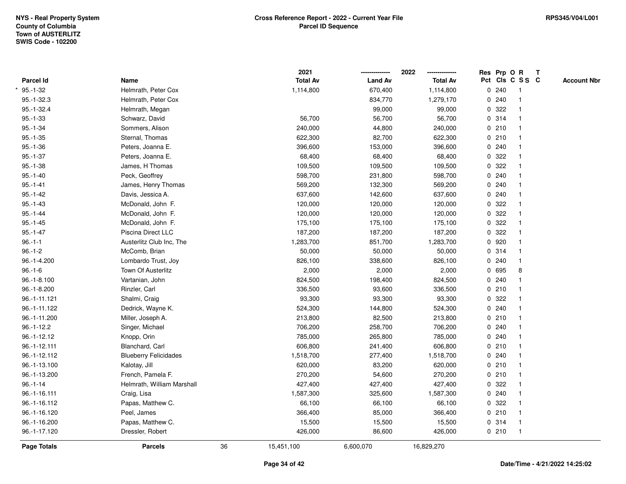|                  |                              |    | 2021            |                | 2022            |   | Res Prp O R |                         | T |                    |
|------------------|------------------------------|----|-----------------|----------------|-----------------|---|-------------|-------------------------|---|--------------------|
| <b>Parcel Id</b> | Name                         |    | <b>Total Av</b> | <b>Land Av</b> | <b>Total Av</b> |   |             | Pct Cls C S S C         |   | <b>Account Nbr</b> |
| $95.-1-32$       | Helmrath, Peter Cox          |    | 1,114,800       | 670,400        | 1,114,800       |   | 0.240       | $\overline{1}$          |   |                    |
| 95.-1-32.3       | Helmrath, Peter Cox          |    |                 | 834,770        | 1,279,170       | 0 | 240         | $\overline{\mathbf{1}}$ |   |                    |
| $95. - 1 - 32.4$ | Helmrath, Megan              |    |                 | 99,000         | 99,000          |   | 0.322       | $\mathbf{1}$            |   |                    |
| $95.-1-33$       | Schwarz, David               |    | 56,700          | 56,700         | 56,700          |   | 0.314       |                         |   |                    |
| $95.-1-34$       | Sommers, Alison              |    | 240,000         | 44,800         | 240,000         |   | 0210        |                         |   |                    |
| $95.-1-35$       | Sternal, Thomas              |    | 622,300         | 82,700         | 622,300         |   | 0210        |                         |   |                    |
| $95.-1-36$       | Peters, Joanna E.            |    | 396,600         | 153,000        | 396,600         |   | 0.240       | -1                      |   |                    |
| $95.-1-37$       | Peters, Joanna E.            |    | 68,400          | 68,400         | 68,400          | 0 | 322         | $\mathbf{1}$            |   |                    |
| $95.-1-38$       | James, H Thomas              |    | 109,500         | 109,500        | 109,500         |   | 0 322       | -1                      |   |                    |
| $95.-1-40$       | Peck, Geoffrey               |    | 598,700         | 231,800        | 598,700         |   | 0.240       | $\mathbf{1}$            |   |                    |
| $95. - 1 - 41$   | James, Henry Thomas          |    | 569,200         | 132,300        | 569,200         |   | 0.240       |                         |   |                    |
| $95.-1-42$       | Davis, Jessica A.            |    | 637,600         | 142,600        | 637,600         |   | 0.240       |                         |   |                    |
| $95.-1-43$       | McDonald, John F.            |    | 120,000         | 120,000        | 120,000         |   | 0.322       |                         |   |                    |
| $95.-1-44$       | McDonald, John F.            |    | 120,000         | 120,000        | 120,000         |   | 0 322       |                         |   |                    |
| $95.-1-45$       | McDonald, John F.            |    | 175,100         | 175,100        | 175,100         | 0 | 322         | 1                       |   |                    |
| $95.-1-47$       | Piscina Direct LLC           |    | 187,200         | 187,200        | 187,200         | 0 | 322         | $\mathbf{1}$            |   |                    |
| $96.-1-1$        | Austerlitz Club Inc, The     |    | 1,283,700       | 851,700        | 1,283,700       |   | 0920        | $\mathbf{1}$            |   |                    |
| $96.-1-2$        | McComb, Brian                |    | 50,000          | 50,000         | 50,000          |   | 0.314       |                         |   |                    |
| 96.-1-4.200      | Lombardo Trust, Joy          |    | 826,100         | 338,600        | 826,100         |   | 0.240       |                         |   |                    |
| $96.-1-6$        | <b>Town Of Austerlitz</b>    |    | 2,000           | 2,000          | 2,000           |   | 0 695       | 8                       |   |                    |
| 96.-1-8.100      | Vartanian, John              |    | 824,500         | 198,400        | 824,500         |   | 0.240       |                         |   |                    |
| 96.-1-8.200      | Rinzler, Carl                |    | 336,500         | 93,600         | 336,500         |   | 0210        |                         |   |                    |
| 96.-1-11.121     | Shalmi, Craig                |    | 93,300          | 93,300         | 93,300          | 0 | 322         |                         |   |                    |
| 96.-1-11.122     | Dedrick, Wayne K.            |    | 524,300         | 144,800        | 524,300         |   | 0.240       | $\mathbf{1}$            |   |                    |
| 96.-1-11.200     | Miller, Joseph A.            |    | 213,800         | 82,500         | 213,800         |   | 0210        |                         |   |                    |
| $96.-1-12.2$     | Singer, Michael              |    | 706,200         | 258,700        | 706,200         |   | 0.240       |                         |   |                    |
| 96.-1-12.12      | Knopp, Orin                  |    | 785,000         | 265,800        | 785,000         |   | 0.240       |                         |   |                    |
| 96.-1-12.111     | Blanchard, Carl              |    | 606,800         | 241,400        | 606,800         |   | 0210        |                         |   |                    |
| 96.-1-12.112     | <b>Blueberry Felicidades</b> |    | 1,518,700       | 277,400        | 1,518,700       |   | 0.240       | 1                       |   |                    |
| 96.-1-13.100     | Kalotay, Jill                |    | 620,000         | 83,200         | 620,000         | 0 | 210         | $\overline{1}$          |   |                    |
| 96.-1-13.200     | French, Pamela F.            |    | 270,200         | 54,600         | 270,200         |   | 0210        | $\mathbf{1}$            |   |                    |
| $96.-1-14$       | Helmrath, William Marshall   |    | 427,400         | 427,400        | 427,400         |   | 0.322       |                         |   |                    |
| 96.-1-16.111     | Craig, Lisa                  |    | 1,587,300       | 325,600        | 1,587,300       |   | 0.240       |                         |   |                    |
| 96.-1-16.112     | Papas, Matthew C.            |    | 66,100          | 66,100         | 66,100          |   | 0 322       |                         |   |                    |
| 96.-1-16.120     | Peel, James                  |    | 366,400         | 85,000         | 366,400         |   | 0210        |                         |   |                    |
| 96.-1-16.200     | Papas, Matthew C.            |    | 15,500          | 15,500         | 15,500          |   | 0.314       | $\overline{1}$          |   |                    |
| 96.-1-17.120     | Dressler, Robert             |    | 426,000         | 86,600         | 426,000         |   | 0210        | $\overline{1}$          |   |                    |
| Page Totals      | <b>Parcels</b>               | 36 | 15,451,100      | 6,600,070      | 16,829,270      |   |             |                         |   |                    |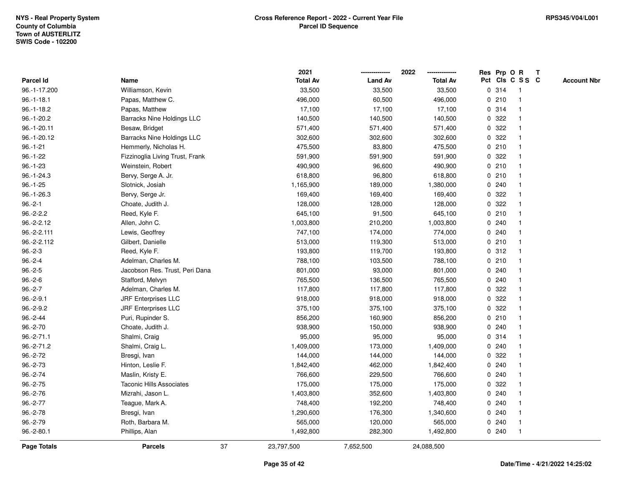|                |                                   |    | 2021            |                | 2022            |             |       | Res Prp O R             | $\mathbf{T}$ |                    |
|----------------|-----------------------------------|----|-----------------|----------------|-----------------|-------------|-------|-------------------------|--------------|--------------------|
| Parcel Id      | Name                              |    | <b>Total Av</b> | <b>Land Av</b> | <b>Total Av</b> |             |       | Pct Cls C S S C         |              | <b>Account Nbr</b> |
| 96.-1-17.200   | Williamson, Kevin                 |    | 33,500          | 33,500         | 33,500          |             | 0 314 |                         |              |                    |
| $96.-1-18.1$   | Papas, Matthew C.                 |    | 496,000         | 60,500         | 496,000         |             | 0210  |                         |              |                    |
| $96.-1-18.2$   | Papas, Matthew                    |    | 17,100          | 17,100         | 17,100          |             | 0.314 | -1                      |              |                    |
| $96.-1-20.2$   | <b>Barracks Nine Holdings LLC</b> |    | 140,500         | 140,500        | 140,500         | 0           | 322   |                         |              |                    |
| 96.-1-20.11    | Besaw, Bridget                    |    | 571,400         | 571,400        | 571,400         | 0           | 322   | $\overline{\mathbf{1}}$ |              |                    |
| 96.-1-20.12    | <b>Barracks Nine Holdings LLC</b> |    | 302,600         | 302,600        | 302,600         |             | 0.322 |                         |              |                    |
| $96. - 1 - 21$ | Hemmerly, Nicholas H.             |    | 475,500         | 83,800         | 475,500         |             | 0210  |                         |              |                    |
| $96.-1-22$     | Fizzinoglia Living Trust, Frank   |    | 591,900         | 591,900        | 591,900         |             | 0.322 |                         |              |                    |
| $96.-1-23$     | Weinstein, Robert                 |    | 490,900         | 96,600         | 490,900         |             | 0210  |                         |              |                    |
| $96.-1-24.3$   | Bervy, Serge A. Jr.               |    | 618,800         | 96,800         | 618,800         |             | 0210  |                         |              |                    |
| $96.-1-25$     | Slotnick, Josiah                  |    | 1,165,900       | 189,000        | 1,380,000       |             | 0.240 | -1                      |              |                    |
| 96.-1-26.3     | Bervy, Serge Jr.                  |    | 169,400         | 169,400        | 169,400         | $\mathbf 0$ | 322   |                         |              |                    |
| $96.-2-1$      | Choate, Judith J.                 |    | 128,000         | 128,000        | 128,000         |             | 0.322 |                         |              |                    |
| $96.-2-2.2$    | Reed, Kyle F.                     |    | 645,100         | 91,500         | 645,100         |             | 0210  |                         |              |                    |
| 96.-2-2.12     | Allen, John C.                    |    | 1,003,800       | 210,200        | 1,003,800       |             | 0.240 |                         |              |                    |
| 96.-2-2.111    | Lewis, Geoffrey                   |    | 747,100         | 174,000        | 774,000         |             | 0.240 |                         |              |                    |
| 96.-2-2.112    | Gilbert, Danielle                 |    | 513,000         | 119,300        | 513,000         | $\mathbf 0$ | 210   | $\overline{\mathbf{1}}$ |              |                    |
| $96.-2-3$      | Reed, Kyle F.                     |    | 193,800         | 119,700        | 193,800         |             | 0.312 | -1                      |              |                    |
| $96.-2-4$      | Adelman, Charles M.               |    | 788,100         | 103,500        | 788,100         |             | 0210  | -1                      |              |                    |
| $96.-2-5$      | Jacobson Res. Trust, Peri Dana    |    | 801,000         | 93,000         | 801,000         |             | 0.240 |                         |              |                    |
| $96.-2-6$      | Stafford, Melvyn                  |    | 765,500         | 136,500        | 765,500         |             | 0.240 |                         |              |                    |
| $96.-2-7$      | Adelman, Charles M.               |    | 117,800         | 117,800        | 117,800         |             | 0 322 |                         |              |                    |
| $96.-2-9.1$    | <b>JRF Enterprises LLC</b>        |    | 918,000         | 918,000        | 918,000         | 0           | 322   |                         |              |                    |
| $96.-2-9.2$    | <b>JRF Enterprises LLC</b>        |    | 375,100         | 375,100        | 375,100         | 0           | 322   | $\mathbf{1}$            |              |                    |
| $96.-2-44$     | Puri, Rupinder S.                 |    | 856,200         | 160,900        | 856,200         |             | 0210  | -1                      |              |                    |
| $96.-2-70$     | Choate, Judith J.                 |    | 938,900         | 150,000        | 938,900         |             | 0.240 | $\mathbf 1$             |              |                    |
| $96.-2-71.1$   | Shalmi, Craig                     |    | 95,000          | 95,000         | 95,000          |             | 0.314 |                         |              |                    |
| 96.-2-71.2     | Shalmi, Craig L.                  |    | 1,409,000       | 173,000        | 1,409,000       |             | 0.240 |                         |              |                    |
| 96.-2-72       | Bresgi, Ivan                      |    | 144,000         | 144,000        | 144,000         |             | 0 322 |                         |              |                    |
| 96.-2-73       | Hinton, Leslie F.                 |    | 1,842,400       | 462,000        | 1,842,400       |             | 0.240 |                         |              |                    |
| 96.-2-74       | Maslin, Kristy E.                 |    | 766,600         | 229,500        | 766,600         | 0           | 240   |                         |              |                    |
| $96.-2-75$     | <b>Taconic Hills Associates</b>   |    | 175,000         | 175,000        | 175,000         |             | 0 322 |                         |              |                    |
| $96.-2-76$     | Mizrahi, Jason L.                 |    | 1,403,800       | 352,600        | 1,403,800       |             | 0.240 |                         |              |                    |
| $96.-2-77$     | Teague, Mark A.                   |    | 748,400         | 192,200        | 748,400         |             | 0.240 |                         |              |                    |
| $96.-2-78$     | Bresgi, Ivan                      |    | 1,290,600       | 176,300        | 1,340,600       |             | 0.240 |                         |              |                    |
| 96.-2-79       | Roth, Barbara M.                  |    | 565,000         | 120,000        | 565,000         |             | 0.240 | -1                      |              |                    |
| $96.-2-80.1$   | Phillips, Alan                    |    | 1,492,800       | 282,300        | 1,492,800       |             | 0.240 | -1                      |              |                    |
| Page Totals    | <b>Parcels</b>                    | 37 | 23,797,500      | 7,652,500      | 24,088,500      |             |       |                         |              |                    |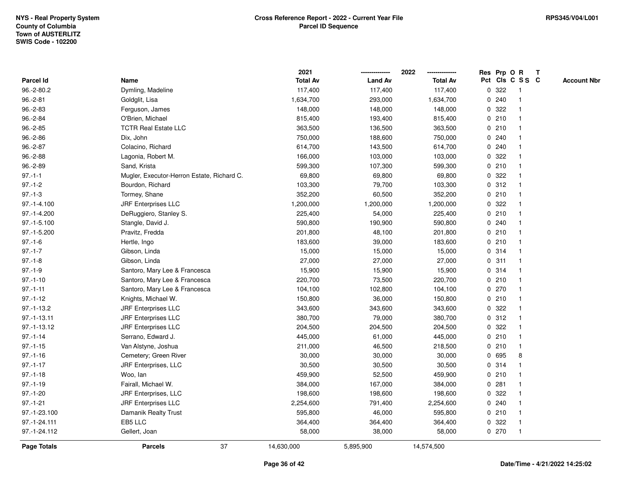|                    |                                            | 2021            |                | 2022            |              |       | Res Prp O R             | T |                    |
|--------------------|--------------------------------------------|-----------------|----------------|-----------------|--------------|-------|-------------------------|---|--------------------|
| <b>Parcel Id</b>   | Name                                       | <b>Total Av</b> | <b>Land Av</b> | <b>Total Av</b> |              |       | Pct Cls C S S C         |   | <b>Account Nbr</b> |
| 96.-2-80.2         | Dymling, Madeline                          | 117,400         | 117,400        | 117,400         | 0            | 322   | -1                      |   |                    |
| $96.-2-81$         | Goldglit, Lisa                             | 1,634,700       | 293,000        | 1,634,700       |              | 0.240 | $\overline{1}$          |   |                    |
| $96.-2-83$         | Ferguson, James                            | 148,000         | 148,000        | 148,000         |              | 0.322 |                         |   |                    |
| $96.-2-84$         | O'Brien, Michael                           | 815,400         | 193,400        | 815,400         |              | 0210  |                         |   |                    |
| $96.-2-85$         | <b>TCTR Real Estate LLC</b>                | 363,500         | 136,500        | 363,500         |              | 0210  |                         |   |                    |
| $96.-2-86$         | Dix, John                                  | 750,000         | 188,600        | 750,000         |              | 0.240 |                         |   |                    |
| $96.-2-87$         | Colacino, Richard                          | 614,700         | 143,500        | 614,700         |              | 0.240 |                         |   |                    |
| $96.-2-88$         | Lagonia, Robert M.                         | 166,000         | 103,000        | 103,000         | 0            | 322   |                         |   |                    |
| 96.-2-89           | Sand, Krista                               | 599,300         | 107,300        | 599,300         |              | 0210  | -1                      |   |                    |
| $97.-1-1$          | Mugler, Executor-Herron Estate, Richard C. | 69,800          | 69,800         | 69,800          |              | 0 322 | -1                      |   |                    |
| $97.-1-2$          | Bourdon, Richard                           | 103,300         | 79,700         | 103,300         |              | 0.312 |                         |   |                    |
| $97.-1-3$          | Tormey, Shane                              | 352,200         | 60,500         | 352,200         |              | 0210  |                         |   |                    |
| $97.-1-4.100$      | <b>JRF Enterprises LLC</b>                 | 1,200,000       | 1,200,000      | 1,200,000       |              | 0 322 |                         |   |                    |
| 97.-1-4.200        | DeRuggiero, Stanley S.                     | 225,400         | 54,000         | 225,400         |              | 0210  |                         |   |                    |
| 97.-1-5.100        | Stangle, David J.                          | 590,800         | 190,900        | 590,800         |              | 0.240 |                         |   |                    |
| 97.-1-5.200        | Pravitz, Fredda                            | 201,800         | 48,100         | 201,800         |              | 0210  | $\overline{\mathbf{1}}$ |   |                    |
| $97.-1-6$          | Hertle, Ingo                               | 183,600         | 39,000         | 183,600         |              | 0210  | 1                       |   |                    |
| $97.-1-7$          | Gibson, Linda                              | 15,000          | 15,000         | 15,000          |              | 0.314 |                         |   |                    |
| $97.-1-8$          | Gibson, Linda                              | 27,000          | 27,000         | 27,000          |              | 0.311 |                         |   |                    |
| $97 - 1 - 9$       | Santoro, Mary Lee & Francesca              | 15,900          | 15,900         | 15,900          |              | 0.314 |                         |   |                    |
| $97.-1-10$         | Santoro, Mary Lee & Francesca              | 220,700         | 73,500         | 220,700         |              | 0210  |                         |   |                    |
| $97.-1-11$         | Santoro, Mary Lee & Francesca              | 104,100         | 102,800        | 104,100         |              | 0270  | -1                      |   |                    |
| $97.-1-12$         | Knights, Michael W.                        | 150,800         | 36,000         | 150,800         |              | 0210  | 1                       |   |                    |
| $97.-1-13.2$       | <b>JRF Enterprises LLC</b>                 | 343,600         | 343,600        | 343,600         | $\mathbf{0}$ | 322   |                         |   |                    |
| 97.-1-13.11        | <b>JRF Enterprises LLC</b>                 | 380,700         | 79,000         | 380,700         |              | 0.312 |                         |   |                    |
| 97.-1-13.12        | <b>JRF Enterprises LLC</b>                 | 204,500         | 204,500        | 204,500         |              | 0.322 |                         |   |                    |
| $97 - 1 - 14$      | Serrano, Edward J.                         | 445,000         | 61,000         | 445,000         |              | 0210  |                         |   |                    |
| $97.-1-15$         | Van Alstyne, Joshua                        | 211,000         | 46,500         | 218,500         |              | 0210  | $\mathbf{1}$            |   |                    |
| $97.-1-16$         | Cemetery; Green River                      | 30,000          | 30,000         | 30,000          |              | 0 695 | 8                       |   |                    |
| $97.-1-17$         | JRF Enterprises, LLC                       | 30,500          | 30,500         | 30,500          |              | 0.314 | 1                       |   |                    |
| $97.-1-18$         | Woo, lan                                   | 459,900         | 52,500         | 459,900         |              | 0210  | 1                       |   |                    |
| $97.-1-19$         | Fairall, Michael W.                        | 384,000         | 167,000        | 384,000         |              | 0.281 |                         |   |                    |
| $97.-1-20$         | JRF Enterprises, LLC                       | 198,600         | 198,600        | 198,600         |              | 0.322 |                         |   |                    |
| $97.-1-21$         | <b>JRF Enterprises LLC</b>                 | 2,254,600       | 791,400        | 2,254,600       |              | 0.240 |                         |   |                    |
| 97.-1-23.100       | Damanik Realty Trust                       | 595,800         | 46,000         | 595,800         |              | 0210  |                         |   |                    |
| 97.-1-24.111       | EB5 LLC                                    | 364,400         | 364,400        | 364,400         | 0            | 322   | -1                      |   |                    |
| 97.-1-24.112       | Gellert, Joan                              | 58,000          | 38,000         | 58,000          |              | 0270  | $\overline{1}$          |   |                    |
| <b>Page Totals</b> | 37<br><b>Parcels</b>                       | 14,630,000      | 5,895,900      | 14,574,500      |              |       |                         |   |                    |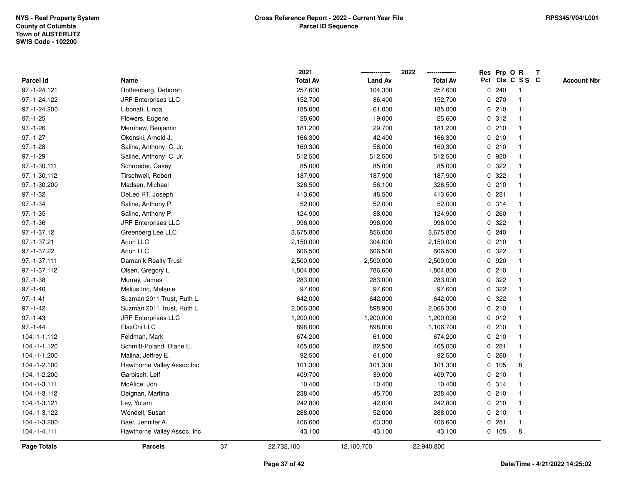|                |                             |    | 2021            |                | 2022            |             |       | Res Prp O R     | $\mathbf{T}$ |                    |
|----------------|-----------------------------|----|-----------------|----------------|-----------------|-------------|-------|-----------------|--------------|--------------------|
| Parcel Id      | Name                        |    | <b>Total Av</b> | <b>Land Av</b> | <b>Total Av</b> |             |       | Pct Cls C S S C |              | <b>Account Nbr</b> |
| 97.-1-24.121   | Rothenberg, Deborah         |    | 257,600         | 104,300        | 257,600         |             | 0.240 |                 |              |                    |
| 97.-1-24.122   | <b>JRF Enterprises LLC</b>  |    | 152,700         | 86,400         | 152,700         |             | 0270  |                 |              |                    |
| 97.-1-24.200   | Libonati, Linda             |    | 185,000         | 61,000         | 185,000         |             | 0210  | -1              |              |                    |
| $97.-1-25$     | Flowers, Eugene             |    | 25,600          | 19,000         | 25,600          |             | 0.312 | $\mathbf{1}$    |              |                    |
| $97.-1-26$     | Merrihew, Benjamin          |    | 181,200         | 29,700         | 181,200         |             | 0210  | -1              |              |                    |
| $97.-1-27$     | Okonski, Arnold J.          |    | 166,300         | 42,400         | 166,300         |             | 0210  | -1              |              |                    |
| $97.-1-28$     | Saline, Anthony C. Jr.      |    | 169,300         | 58,000         | 169,300         |             | 0210  |                 |              |                    |
| $97.-1-29$     | Saline, Anthony C. Jr.      |    | 512,500         | 512,500        | 512,500         |             | 0 920 |                 |              |                    |
| 97.-1-30.111   | Schroeder, Casey            |    | 85,000          | 85,000         | 85,000          |             | 0.322 |                 |              |                    |
| 97.-1-30.112   | Tirschwell, Robert          |    | 187,900         | 187,900        | 187,900         | 0           | 322   |                 |              |                    |
| 97.-1-30.200   | Madsen, Michael             |    | 326,500         | 56,100         | 326,500         |             | 0210  | $\mathbf{1}$    |              |                    |
| $97.-1-32$     | DeLeo RT, Joseph            |    | 413,600         | 48,500         | 413,600         | $\mathbf 0$ | 281   | -1              |              |                    |
| $97.-1-34$     | Saline, Anthony P.          |    | 52,000          | 52,000         | 52,000          |             | 0.314 | -1              |              |                    |
| $97. - 1 - 35$ | Saline, Anthony P.          |    | 124,900         | 88,000         | 124,900         |             | 0.260 |                 |              |                    |
| $97.-1-36$     | <b>JRF Enterprises LLC</b>  |    | 996,000         | 996,000        | 996,000         | 0           | 322   |                 |              |                    |
| 97.-1-37.12    | Greenberg Lee LLC           |    | 3,675,800       | 856,000        | 3,675,800       |             | 0.240 |                 |              |                    |
| 97.-1-37.21    | Arion LLC                   |    | 2,150,000       | 304,000        | 2,150,000       | $\mathbf 0$ | 210   |                 |              |                    |
| 97.-1-37.22    | Arion LLC                   |    | 606,500         | 606,500        | 606,500         | 0           | 322   |                 |              |                    |
| 97.-1-37.111   | Damanik Realty Trust        |    | 2,500,000       | 2,500,000      | 2,500,000       |             | 0.920 | -1              |              |                    |
| 97.-1-37.112   | Olsen, Gregory L.           |    | 1,804,800       | 786,600        | 1,804,800       |             | 0210  |                 |              |                    |
| $97.-1-38$     | Murray, James               |    | 283,000         | 283,000        | 283,000         |             | 0.322 |                 |              |                    |
| $97.-1-40$     | Melius Inc, Melanie         |    | 97,600          | 97,600         | 97,600          |             | 0 322 |                 |              |                    |
| $97.-1-41$     | Suzman 2011 Trust, Ruth L.  |    | 642,000         | 642,000        | 642,000         |             | 0.322 |                 |              |                    |
| $97.-1-42$     | Suzman 2011 Trust, Ruth L.  |    | 2,066,300       | 898,900        | 2,066,300       |             | 0210  | $\mathbf{1}$    |              |                    |
| $97.-1-43$     | <b>JRF Enterprises LLC</b>  |    | 1,200,000       | 1,200,000      | 1,200,000       |             | 0.912 | -1              |              |                    |
| $97 - 1 - 44$  | FlaxChi LLC                 |    | 898,000         | 898,000        | 1,106,700       |             | 0210  | $\mathbf 1$     |              |                    |
| 104.-1-1.112   | Feldman, Mark               |    | 674,200         | 61,000         | 674,200         |             | 0210  |                 |              |                    |
| 104.-1-1.120   | Schmitt-Poland, Diane E.    |    | 465,000         | 82,500         | 465,000         |             | 0.281 |                 |              |                    |
| 104.-1-1.200   | Malina, Jeffrey E.          |    | 92,500          | 61,000         | 92,500          |             | 0.260 | $\mathbf{1}$    |              |                    |
| 104.-1-2.100   | Hawthorne Valley Assoc Inc  |    | 101,300         | 101,300        | 101,300         |             | 0 105 | 8               |              |                    |
| 104.-1-2.200   | Garbisch, Leif              |    | 409,700         | 39,000         | 409,700         |             | 0210  | -1              |              |                    |
| 104.-1-3.111   | McAlice, Jon                |    | 10,400          | 10,400         | 10,400          |             | 0.314 | $\mathbf 1$     |              |                    |
| 104.-1-3.112   | Deignan, Martina            |    | 238,400         | 45,700         | 238,400         |             | 0210  |                 |              |                    |
| 104.-1-3.121   | Lev, Yotam                  |    | 242,800         | 42,000         | 242,800         |             | 0210  |                 |              |                    |
| 104.-1-3.122   | Wendell, Susan              |    | 288,000         | 52,000         | 288,000         |             | 0210  |                 |              |                    |
| 104.-1-3.200   | Baer, Jennifer A.           |    | 406,600         | 63,300         | 406,600         |             | 0.281 | $\mathbf{1}$    |              |                    |
| 104.-1-4.111   | Hawthorne Valley Assoc. Inc |    | 43,100          | 43,100         | 43,100          |             | 0 105 | 8               |              |                    |
| Page Totals    | <b>Parcels</b>              | 37 | 22,732,100      | 12,100,700     | 22,940,800      |             |       |                 |              |                    |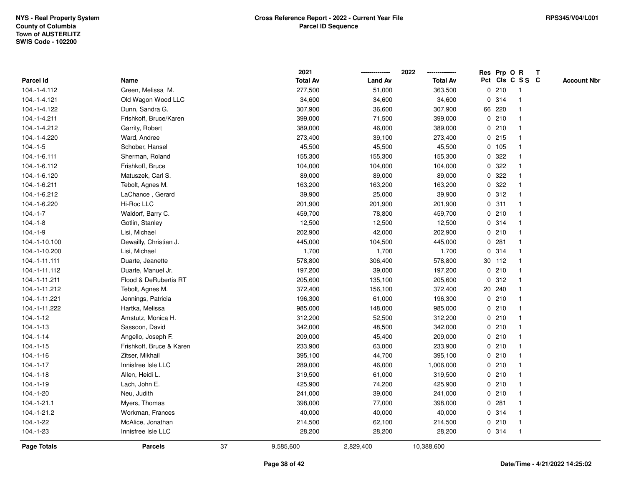|               |                          |    | 2021            |                | 2022            |             |         | Res Prp O R     | T |                    |
|---------------|--------------------------|----|-----------------|----------------|-----------------|-------------|---------|-----------------|---|--------------------|
| Parcel Id     | Name                     |    | <b>Total Av</b> | <b>Land Av</b> | <b>Total Av</b> |             |         | Pct Cls C S S C |   | <b>Account Nbr</b> |
| 104.-1-4.112  | Green, Melissa M.        |    | 277,500         | 51,000         | 363,500         | 0           | 210     | $\mathbf{1}$    |   |                    |
| 104.-1-4.121  | Old Wagon Wood LLC       |    | 34,600          | 34,600         | 34,600          | $\mathbf 0$ | 314     | $\mathbf{1}$    |   |                    |
| 104.-1-4.122  | Dunn, Sandra G.          |    | 307,900         | 36,600         | 307,900         |             | 66 220  | $\mathbf 1$     |   |                    |
| 104.-1-4.211  | Frishkoff, Bruce/Karen   |    | 399,000         | 71,500         | 399,000         |             | 0210    |                 |   |                    |
| 104.-1-4.212  | Garrity, Robert          |    | 389,000         | 46,000         | 389,000         |             | 0210    |                 |   |                    |
| 104.-1-4.220  | Ward, Andree             |    | 273,400         | 39,100         | 273,400         |             | 0.215   |                 |   |                    |
| $104.-1-5$    | Schober, Hansel          |    | 45,500          | 45,500         | 45,500          |             | $0$ 105 |                 |   |                    |
| 104.-1-6.111  | Sherman, Roland          |    | 155,300         | 155,300        | 155,300         | 0           | 322     |                 |   |                    |
| 104.-1-6.112  | Frishkoff, Bruce         |    | 104,000         | 104,000        | 104,000         | 0           | 322     |                 |   |                    |
| 104.-1-6.120  | Matuszek, Carl S.        |    | 89,000          | 89,000         | 89,000          |             | 0 322   |                 |   |                    |
| 104.-1-6.211  | Tebolt, Agnes M.         |    | 163,200         | 163,200        | 163,200         |             | 0.322   |                 |   |                    |
| 104.-1-6.212  | LaChance, Gerard         |    | 39,900          | 25,000         | 39,900          |             | 0.312   |                 |   |                    |
| 104.-1-6.220  | Hi-Roc LLC               |    | 201,900         | 201,900        | 201,900         |             | 0.311   |                 |   |                    |
| $104.-1-7$    | Waldorf, Barry C.        |    | 459,700         | 78,800         | 459,700         |             | 0210    |                 |   |                    |
| $104.-1-8$    | Gotlin, Stanley          |    | 12,500          | 12,500         | 12,500          | 0           | 314     |                 |   |                    |
| $104.-1-9$    | Lisi, Michael            |    | 202,900         | 42,000         | 202,900         | 0           | 210     | $\overline{1}$  |   |                    |
| 104.-1-10.100 | Dewailly, Christian J.   |    | 445,000         | 104,500        | 445,000         | 0           | 281     | $\mathbf{1}$    |   |                    |
| 104.-1-10.200 | Lisi, Michael            |    | 1,700           | 1,700          | 1,700           |             | 0.314   |                 |   |                    |
| 104.-1-11.111 | Duarte, Jeanette         |    | 578,800         | 306,400        | 578,800         |             | 30 112  |                 |   |                    |
| 104.-1-11.112 | Duarte, Manuel Jr.       |    | 197,200         | 39,000         | 197,200         |             | 0210    |                 |   |                    |
| 104.-1-11.211 | Flood & DeRubertis RT    |    | 205,600         | 135,100        | 205,600         |             | 0.312   |                 |   |                    |
| 104.-1-11.212 | Tebolt, Agnes M.         |    | 372,400         | 156,100        | 372,400         |             | 20 240  |                 |   |                    |
| 104.-1-11.221 | Jennings, Patricia       |    | 196,300         | 61,000         | 196,300         |             | 0210    | $\mathbf{1}$    |   |                    |
| 104.-1-11.222 | Hartka, Melissa          |    | 985,000         | 148,000        | 985,000         | 0           | 210     |                 |   |                    |
| $104.-1-12$   | Amstutz, Monica H.       |    | 312,200         | 52,500         | 312,200         |             | 0210    |                 |   |                    |
| $104.-1-13$   | Sassoon, David           |    | 342,000         | 48,500         | 342,000         |             | 0210    |                 |   |                    |
| $104.-1-14$   | Angello, Joseph F.       |    | 209,000         | 45,400         | 209,000         |             | 0210    |                 |   |                    |
| $104.-1-15$   | Frishkoff, Bruce & Karen |    | 233,900         | 63,000         | 233,900         |             | 0210    |                 |   |                    |
| $104.-1-16$   | Zitser, Mikhail          |    | 395,100         | 44,700         | 395,100         |             | 0210    |                 |   |                    |
| $104.-1-17$   | Innisfree Isle LLC       |    | 289,000         | 46,000         | 1,006,000       |             | 0210    |                 |   |                    |
| $104.-1-18$   | Allen, Heidi L.          |    | 319,500         | 61,000         | 319,500         |             | 0210    |                 |   |                    |
| $104.-1-19$   | Lach, John E.            |    | 425,900         | 74,200         | 425,900         |             | 0210    |                 |   |                    |
| $104.-1-20$   | Neu, Judith              |    | 241,000         | 39,000         | 241,000         |             | 0210    |                 |   |                    |
| $104.-1-21.1$ | Myers, Thomas            |    | 398,000         | 77,000         | 398,000         |             | 0.281   |                 |   |                    |
| 104.-1-21.2   | Workman, Frances         |    | 40,000          | 40,000         | 40,000          |             | 0 314   |                 |   |                    |
| 104.-1-22     | McAlice, Jonathan        |    | 214,500         | 62,100         | 214,500         |             | 0210    | $\mathbf{1}$    |   |                    |
| $104.-1-23$   | Innisfree Isle LLC       |    | 28,200          | 28,200         | 28,200          |             | 0.314   | $\mathbf{1}$    |   |                    |
| Page Totals   | <b>Parcels</b>           | 37 | 9,585,600       | 2,829,400      | 10,388,600      |             |         |                 |   |                    |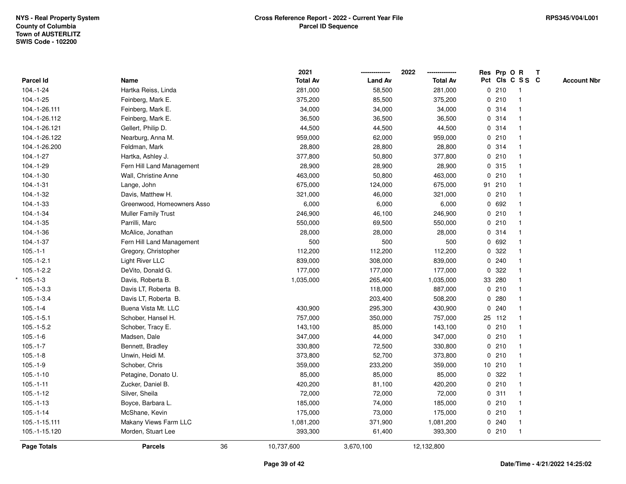|               |                            | 2021            |                | 2022            | Res Prp O R     |              | Т |                    |
|---------------|----------------------------|-----------------|----------------|-----------------|-----------------|--------------|---|--------------------|
| Parcel Id     | Name                       | <b>Total Av</b> | <b>Land Av</b> | <b>Total Av</b> | Pct Cls C S S C |              |   | <b>Account Nbr</b> |
| $104.-1-24$   | Hartka Reiss, Linda        | 281,000         | 58,500         | 281,000         | 0210            | $\mathbf{1}$ |   |                    |
| $104.-1-25$   | Feinberg, Mark E.          | 375,200         | 85,500         | 375,200         | 0210            | $\mathbf{1}$ |   |                    |
| 104.-1-26.111 | Feinberg, Mark E.          | 34,000          | 34,000         | 34,000          | 0.314           | $\mathbf{1}$ |   |                    |
| 104.-1-26.112 | Feinberg, Mark E.          | 36,500          | 36,500         | 36,500          | 0 314           | $\mathbf{1}$ |   |                    |
| 104.-1-26.121 | Gellert, Philip D.         | 44,500          | 44,500         | 44,500          | 0 314           | $\mathbf 1$  |   |                    |
| 104.-1-26.122 | Nearburg, Anna M.          | 959,000         | 62,000         | 959,000         | 0210            | $\mathbf{1}$ |   |                    |
| 104.-1-26.200 | Feldman, Mark              | 28,800          | 28,800         | 28,800          | 0 314           | $\mathbf{1}$ |   |                    |
| $104.-1-27$   | Hartka, Ashley J.          | 377,800         | 50,800         | 377,800         | 0210            | $\mathbf{1}$ |   |                    |
| $104.-1-29$   | Fern Hill Land Management  | 28,900          | 28,900         | 28,900          | 0.315           | $\mathbf{1}$ |   |                    |
| $104.-1-30$   | Wall, Christine Anne       | 463,000         | 50,800         | 463,000         | 0210            | $\mathbf{1}$ |   |                    |
| $104.-1-31$   | Lange, John                | 675,000         | 124,000        | 675,000         | 91 210          | $\mathbf 1$  |   |                    |
| $104.-1-32$   | Davis, Matthew H.          | 321,000         | 46,000         | 321,000         | 0210            |              |   |                    |
| $104.-1-33$   | Greenwood, Homeowners Asso | 6,000           | 6,000          | 6,000           | 0 692           |              |   |                    |
| 104.-1-34     | <b>Muller Family Trust</b> | 246,900         | 46,100         | 246,900         | 0210            | $\mathbf{1}$ |   |                    |
| $104.-1-35$   | Parrilli, Marc             | 550,000         | 69,500         | 550,000         | 0210            | $\mathbf{1}$ |   |                    |
| $104.-1-36$   | McAlice, Jonathan          | 28,000          | 28,000         | 28,000          | 0.314           | $\mathbf{1}$ |   |                    |
| $104.-1-37$   | Fern Hill Land Management  | 500             | 500            | 500             | 0 692           | $\mathbf{1}$ |   |                    |
| $105.-1-1$    | Gregory, Christopher       | 112,200         | 112,200        | 112,200         | 0.322           | 1            |   |                    |
| $105.-1-2.1$  | Light River LLC            | 839,000         | 308,000        | 839,000         | 0.240           | 1            |   |                    |
| $105.-1-2.2$  | DeVito, Donald G.          | 177,000         | 177,000        | 177,000         | 0.322           |              |   |                    |
| $*105.-1-3$   | Davis, Roberta B.          | 1,035,000       | 265,400        | 1,035,000       | 33 280          |              |   |                    |
| $105.-1-3.3$  | Davis LT, Roberta B.       |                 | 118,000        | 887,000         | 0210            | $\mathbf{1}$ |   |                    |
| $105.-1-3.4$  | Davis LT, Roberta B.       |                 | 203,400        | 508,200         | 0.280           | $\mathbf{1}$ |   |                    |
| $105.-1-4$    | Buena Vista Mt. LLC        | 430,900         | 295,300        | 430,900         | 0.240           | $\mathbf{1}$ |   |                    |
| $105.-1-5.1$  | Schober, Hansel H.         | 757,000         | 350,000        | 757,000         | 25 112          | $\mathbf{1}$ |   |                    |
| $105.-1-5.2$  | Schober, Tracy E.          | 143,100         | 85,000         | 143,100         | 0210            | 1            |   |                    |
| $105.-1-6$    | Madsen, Dale               | 347,000         | 44,000         | 347,000         | 0210            |              |   |                    |
| $105.-1-7$    | Bennett, Bradley           | 330,800         | 72,500         | 330,800         | 0210            | 1            |   |                    |
| $105.-1-8$    | Unwin, Heidi M.            | 373,800         | 52,700         | 373,800         | 0210            | $\mathbf{1}$ |   |                    |
| $105.-1-9$    | Schober, Chris             | 359,000         | 233,200        | 359,000         | 10 210          | $\mathbf{1}$ |   |                    |
| $105.-1-10$   | Petagine, Donato U.        | 85,000          | 85,000         | 85,000          | 0 322           | $\mathbf{1}$ |   |                    |
| $105.-1-11$   | Zucker, Daniel B.          | 420,200         | 81,100         | 420,200         | 0210            | $\mathbf{1}$ |   |                    |
| $105.-1-12$   | Silver, Sheila             | 72,000          | 72,000         | 72,000          | 0.311           | $\mathbf{1}$ |   |                    |
| $105.-1-13$   | Boyce, Barbara L.          | 185,000         | 74,000         | 185,000         | 0210            | $\mathbf{1}$ |   |                    |
| $105.-1-14$   | McShane, Kevin             | 175,000         | 73,000         | 175,000         | 0210            | $\mathbf{1}$ |   |                    |
| 105.-1-15.111 | Makany Views Farm LLC      | 1,081,200       | 371,900        | 1,081,200       | 0.240           | $\mathbf{1}$ |   |                    |
| 105.-1-15.120 | Morden, Stuart Lee         | 393,300         | 61,400         | 393,300         | 0210            | $\mathbf{1}$ |   |                    |
| Page Totals   | 36<br><b>Parcels</b>       | 10,737,600      | 3,670,100      | 12,132,800      |                 |              |   |                    |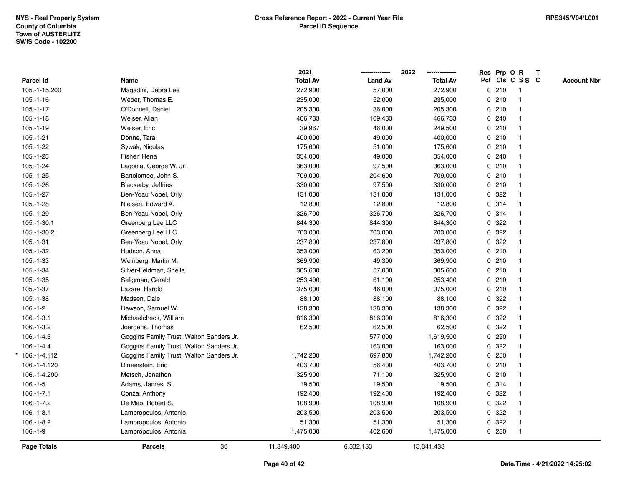|                    |                                          | 2021            |                | 2022<br>-------------- |   |       | Res Prp O R     | $\mathbf{T}$ |                    |
|--------------------|------------------------------------------|-----------------|----------------|------------------------|---|-------|-----------------|--------------|--------------------|
| <b>Parcel Id</b>   | Name                                     | <b>Total Av</b> | <b>Land Av</b> | <b>Total Av</b>        |   |       | Pct Cls C S S C |              | <b>Account Nbr</b> |
| 105.-1-15.200      | Magadini, Debra Lee                      | 272,900         | 57,000         | 272,900                |   | 0210  |                 |              |                    |
| $105.-1-16$        | Weber, Thomas E.                         | 235,000         | 52,000         | 235,000                |   | 0210  |                 |              |                    |
| $105.-1-17$        | O'Donnell, Daniel                        | 205,300         | 36,000         | 205,300                |   | 0210  |                 |              |                    |
| $105.-1-18$        | Weiser, Allan                            | 466,733         | 109,433        | 466,733                |   | 0.240 |                 |              |                    |
| $105.-1-19$        | Weiser, Eric                             | 39,967          | 46,000         | 249,500                |   | 0210  |                 |              |                    |
| $105.-1-21$        | Donne, Tara                              | 400,000         | 49,000         | 400,000                |   | 0210  |                 |              |                    |
| $105.-1-22$        | Sywak, Nicolas                           | 175,600         | 51,000         | 175,600                |   | 0210  |                 |              |                    |
| $105.-1-23$        | Fisher, Rena                             | 354,000         | 49,000         | 354,000                |   | 0.240 |                 |              |                    |
| $105.-1-24$        | Lagonia, George W. Jr                    | 363,000         | 97,500         | 363,000                |   | 0210  |                 |              |                    |
| $105.-1-25$        | Bartolomeo, John S.                      | 709,000         | 204,600        | 709,000                |   | 0210  |                 |              |                    |
| $105.-1-26$        | Blackerby, Jeffries                      | 330,000         | 97,500         | 330,000                |   | 0210  |                 |              |                    |
| $105.-1-27$        | Ben-Yoau Nobel, Orly                     | 131,000         | 131,000        | 131,000                |   | 0 322 |                 |              |                    |
| $105.-1-28$        | Nielsen, Edward A.                       | 12,800          | 12,800         | 12,800                 |   | 0.314 |                 |              |                    |
| $105.-1-29$        | Ben-Yoau Nobel, Orly                     | 326,700         | 326,700        | 326,700                |   | 0.314 |                 |              |                    |
| $105.-1-30.1$      | Greenberg Lee LLC                        | 844,300         | 844,300        | 844,300                |   | 0.322 |                 |              |                    |
| 105.-1-30.2        | Greenberg Lee LLC                        | 703,000         | 703,000        | 703,000                |   | 0.322 |                 |              |                    |
| $105.-1-31$        | Ben-Yoau Nobel, Orly                     | 237,800         | 237,800        | 237,800                |   | 0 322 |                 |              |                    |
| $105.-1-32$        | Hudson, Anna                             | 353,000         | 63,200         | 353,000                |   | 0210  |                 |              |                    |
| $105.-1-33$        | Weinberg, Martin M.                      | 369,900         | 49,300         | 369,900                |   | 0210  |                 |              |                    |
| $105.-1-34$        | Silver-Feldman, Sheila                   | 305,600         | 57,000         | 305,600                |   | 0210  |                 |              |                    |
| $105.-1-35$        | Seligman, Gerald                         | 253,400         | 61,100         | 253,400                |   | 0210  |                 |              |                    |
| $105.-1-37$        | Lazare, Harold                           | 375,000         | 46,000         | 375,000                |   | 0210  |                 |              |                    |
| $105.-1-38$        | Madsen, Dale                             | 88,100          | 88,100         | 88,100                 |   | 0.322 |                 |              |                    |
| $106.-1-2$         | Dawson, Samuel W.                        | 138,300         | 138,300        | 138,300                | 0 | 322   |                 |              |                    |
| $106.-1-3.1$       | Michaelcheck, William                    | 816,300         | 816,300        | 816,300                |   | 0 322 |                 |              |                    |
| $106.-1-3.2$       | Joergens, Thomas                         | 62,500          | 62,500         | 62,500                 |   | 0.322 |                 |              |                    |
| $106.-1-4.3$       | Goggins Family Trust, Walton Sanders Jr. |                 | 577,000        | 1,619,500              |   | 0.250 |                 |              |                    |
| $106.-1-4.4$       | Goggins Family Trust, Walton Sanders Jr. |                 | 163,000        | 163,000                |   | 0.322 |                 |              |                    |
| 106.-1-4.112       | Goggins Family Trust, Walton Sanders Jr. | 1,742,200       | 697,800        | 1,742,200              |   | 0.250 |                 |              |                    |
| 106.-1-4.120       | Dimenstein, Eric                         | 403,700         | 56,400         | 403,700                |   | 0210  |                 |              |                    |
| 106.-1-4.200       | Metsch, Jonathon                         | 325,900         | 71,100         | 325,900                |   | 0210  |                 |              |                    |
| $106.-1-5$         | Adams, James S.                          | 19,500          | 19,500         | 19,500                 |   | 0 314 |                 |              |                    |
| $106.-1-7.1$       | Conza, Anthony                           | 192,400         | 192,400        | 192,400                |   | 0.322 |                 |              |                    |
| $106.-1-7.2$       | De Meo, Robert S.                        | 108,900         | 108,900        | 108,900                |   | 0.322 |                 |              |                    |
| $106.-1-8.1$       | Lampropoulos, Antonio                    | 203,500         | 203,500        | 203,500                |   | 0.322 |                 |              |                    |
| $106.-1-8.2$       | Lampropoulos, Antonio                    | 51,300          | 51,300         | 51,300                 |   | 0.322 |                 |              |                    |
| $106.-1-9$         | Lampropoulos, Antonia                    | 1,475,000       | 402,600        | 1,475,000              |   | 0.280 |                 |              |                    |
| <b>Page Totals</b> | 36<br><b>Parcels</b>                     | 11,349,400      | 6,332,133      | 13,341,433             |   |       |                 |              |                    |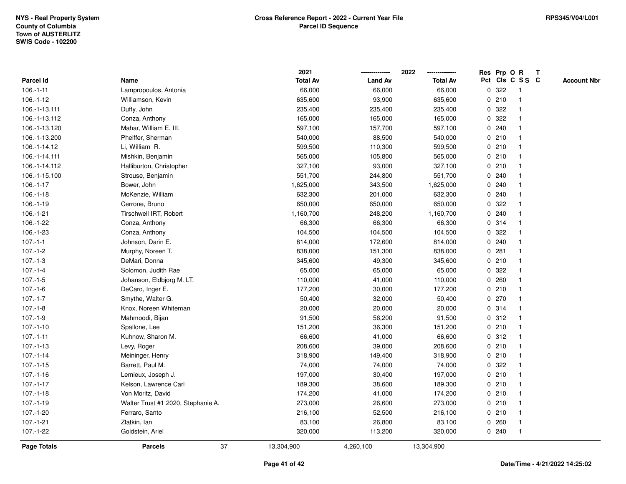|                    |                                    | 2021            |                | 2022            |             |       | Res Prp O R     | $\mathbf{T}$ |                    |
|--------------------|------------------------------------|-----------------|----------------|-----------------|-------------|-------|-----------------|--------------|--------------------|
| Parcel Id          | Name                               | <b>Total Av</b> | <b>Land Av</b> | <b>Total Av</b> |             |       | Pct Cls C S S C |              | <b>Account Nbr</b> |
| $106.-1-11$        | Lampropoulos, Antonia              | 66,000          | 66,000         | 66,000          | 0           | 322   |                 |              |                    |
| $106.-1-12$        | Williamson, Kevin                  | 635,600         | 93,900         | 635,600         |             | 0210  |                 |              |                    |
| 106.-1-13.111      | Duffy, John                        | 235,400         | 235,400        | 235,400         | $\mathbf 0$ | 322   |                 |              |                    |
| 106.-1-13.112      | Conza, Anthony                     | 165,000         | 165,000        | 165,000         | 0           | 322   |                 |              |                    |
| 106.-1-13.120      | Mahar, William E. III.             | 597,100         | 157,700        | 597,100         | 0           | 240   | -1              |              |                    |
| 106.-1-13.200      | Pheiffer, Sherman                  | 540,000         | 88,500         | 540,000         |             | 0210  | -1              |              |                    |
| 106.-1-14.12       | Li, William R.                     | 599,500         | 110,300        | 599,500         |             | 0210  |                 |              |                    |
| 106.-1-14.111      | Mishkin, Benjamin                  | 565,000         | 105,800        | 565,000         |             | 0210  |                 |              |                    |
| 106.-1-14.112      | Halliburton, Christopher           | 327,100         | 93,000         | 327,100         |             | 0210  |                 |              |                    |
| 106.-1-15.100      | Strouse, Benjamin                  | 551,700         | 244,800        | 551,700         | 0           | 240   |                 |              |                    |
| $106.-1-17$        | Bower, John                        | 1,625,000       | 343,500        | 1,625,000       |             | 0.240 | -1              |              |                    |
| $106.-1-18$        | McKenzie, William                  | 632,300         | 201,000        | 632,300         | $\mathbf 0$ | 240   |                 |              |                    |
| $106.-1-19$        | Cerrone, Bruno                     | 650,000         | 650,000        | 650,000         |             | 0.322 |                 |              |                    |
| $106.-1-21$        | <b>Tirschwell IRT, Robert</b>      | 1,160,700       | 248,200        | 1,160,700       |             | 0.240 |                 |              |                    |
| 106.-1-22          | Conza, Anthony                     | 66,300          | 66,300         | 66,300          |             | 0.314 |                 |              |                    |
| 106.-1-23          | Conza, Anthony                     | 104,500         | 104,500        | 104,500         | 0           | 322   |                 |              |                    |
| $107 - 1 - 1$      | Johnson, Darin E.                  | 814,000         | 172,600        | 814,000         | 0           | 240   |                 |              |                    |
| $107 - 1 - 2$      | Murphy, Noreen T.                  | 838,000         | 151,300        | 838,000         | 0           | 281   |                 |              |                    |
| $107 - 1 - 3$      | DeMari, Donna                      | 345,600         | 49,300         | 345,600         |             | 0210  | -1              |              |                    |
| $107 - 1 - 4$      | Solomon, Judith Rae                | 65,000          | 65,000         | 65,000          |             | 0 322 |                 |              |                    |
| $107 - 1 - 5$      | Johanson, Eldbjorg M. LT.          | 110,000         | 41,000         | 110,000         |             | 0.260 |                 |              |                    |
| $107 - 1 - 6$      | DeCaro, Inger E.                   | 177,200         | 30,000         | 177,200         |             | 0210  |                 |              |                    |
| $107 - 1 - 7$      | Smythe, Walter G.                  | 50,400          | 32,000         | 50,400          |             | 0270  |                 |              |                    |
| $107.-1-8$         | Knox, Noreen Whiteman              | 20,000          | 20,000         | 20,000          | $\mathbf 0$ | 314   | $\mathbf{1}$    |              |                    |
| $107 - 1 - 9$      | Mahmoodi, Bijan                    | 91,500          | 56,200         | 91,500          | 0           | 312   |                 |              |                    |
| $107.-1-10$        | Spallone, Lee                      | 151,200         | 36,300         | 151,200         |             | 0210  | $\mathbf 1$     |              |                    |
| $107 - 1 - 11$     | Kuhnow, Sharon M.                  | 66,600          | 41,000         | 66,600          |             | 0.312 |                 |              |                    |
| $107 - 1 - 13$     | Levy, Roger                        | 208,600         | 39,000         | 208,600         |             | 0210  |                 |              |                    |
| $107 - 1 - 14$     | Meininger, Henry                   | 318,900         | 149,400        | 318,900         |             | 0210  |                 |              |                    |
| $107 - 1 - 15$     | Barrett, Paul M.                   | 74,000          | 74,000         | 74,000          | 0           | 322   |                 |              |                    |
| $107 - 1 - 16$     | Lemieux, Joseph J.                 | 197,000         | 30,400         | 197,000         | 0           | 210   | -1              |              |                    |
| $107.-1-17$        | Kelson, Lawrence Carl              | 189,300         | 38,600         | 189,300         |             | 0210  | -1              |              |                    |
| $107 - 1 - 18$     | Von Moritz, David                  | 174,200         | 41,000         | 174,200         |             | 0210  |                 |              |                    |
| $107.-1-19$        | Walter Trust #1 2020, Stephanie A. | 273,000         | 26,600         | 273,000         |             | 0210  |                 |              |                    |
| 107.-1-20          | Ferraro, Santo                     | 216,100         | 52,500         | 216,100         |             | 0210  |                 |              |                    |
| $107.-1-21$        | Zlatkin, lan                       | 83,100          | 26,800         | 83,100          |             | 0.260 | -1              |              |                    |
| 107.-1-22          | Goldstein, Ariel                   | 320,000         | 113,200        | 320,000         |             | 0.240 | $\mathbf 1$     |              |                    |
| <b>Page Totals</b> | 37<br><b>Parcels</b>               | 13,304,900      | 4,260,100      | 13,304,900      |             |       |                 |              |                    |